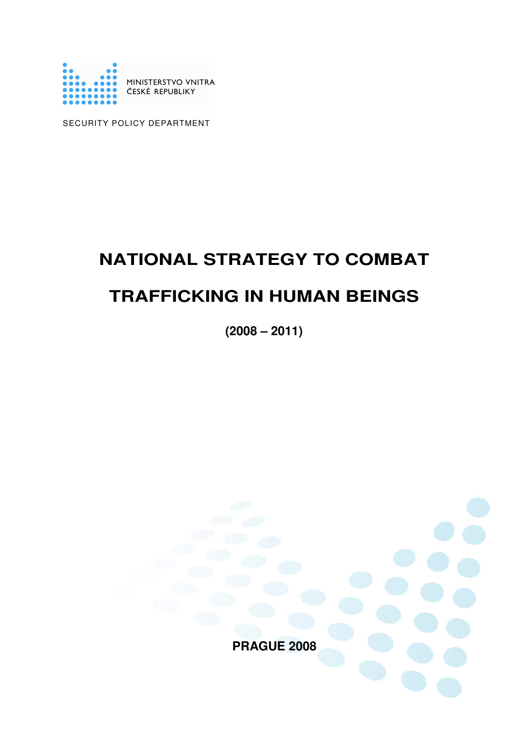

SECURITY POLICY DEPARTMENT

# **NATIONAL STRATEGY TO COMBAT TRAFFICKING IN HUMAN BEINGS**

**(2008 – 2011)**

**PRAGUE 2008**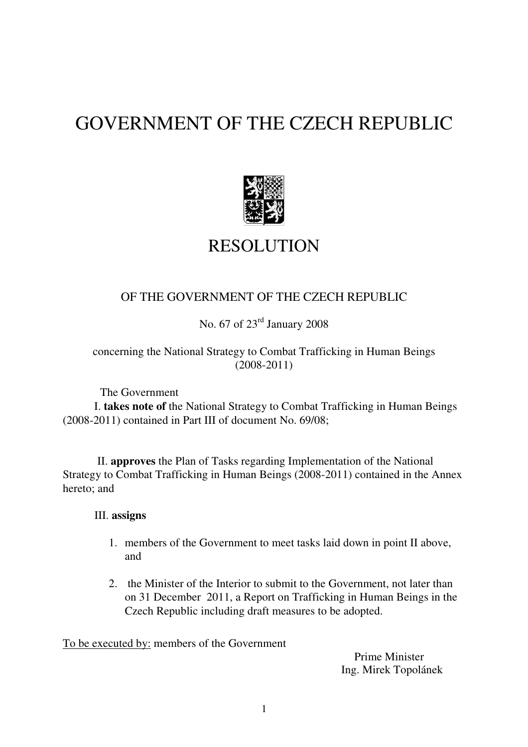## GOVERNMENT OF THE CZECH REPUBLIC



## **RESOLUTION**

## OF THE GOVERNMENT OF THE CZECH REPUBLIC

No. 67 of 23<sup>rd</sup> January 2008

concerning the National Strategy to Combat Trafficking in Human Beings (2008-2011)

The Government

I. **takes note of** the National Strategy to Combat Trafficking in Human Beings (2008-2011) contained in Part III of document No. 69/08;

II. **approves** the Plan of Tasks regarding Implementation of the National Strategy to Combat Trafficking in Human Beings (2008-2011) contained in the Annex hereto; and

## III. **assigns**

- 1. members of the Government to meet tasks laid down in point II above, and
- 2. the Minister of the Interior to submit to the Government, not later than on 31 December 2011, a Report on Trafficking in Human Beings in the Czech Republic including draft measures to be adopted.

To be executed by: members of the Government

Prime Minister Ing. Mirek Topolánek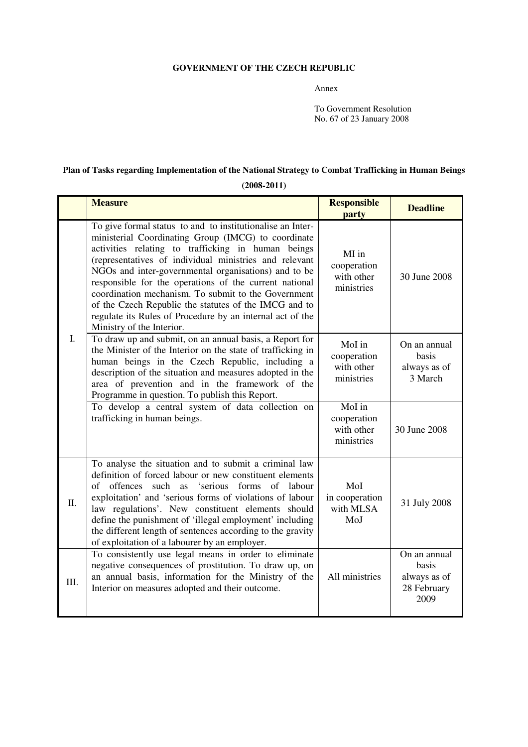#### **GOVERNMENT OF THE CZECH REPUBLIC**

Annex

To Government Resolution No. 67 of 23 January 2008

### **Plan of Tasks regarding Implementation of the National Strategy to Combat Trafficking in Human Beings**

**(2008-2011)**

|                | <b>Measure</b>                                                                                                                                                                                                                                                                                                                                                                                                                                                                                                                                                | <b>Responsible</b><br>party                       | <b>Deadline</b>                                              |
|----------------|---------------------------------------------------------------------------------------------------------------------------------------------------------------------------------------------------------------------------------------------------------------------------------------------------------------------------------------------------------------------------------------------------------------------------------------------------------------------------------------------------------------------------------------------------------------|---------------------------------------------------|--------------------------------------------------------------|
|                | To give formal status to and to institutionalise an Inter-<br>ministerial Coordinating Group (IMCG) to coordinate<br>activities relating to trafficking in human beings<br>(representatives of individual ministries and relevant<br>NGOs and inter-governmental organisations) and to be<br>responsible for the operations of the current national<br>coordination mechanism. To submit to the Government<br>of the Czech Republic the statutes of the IMCG and to<br>regulate its Rules of Procedure by an internal act of the<br>Ministry of the Interior. | MI in<br>cooperation<br>with other<br>ministries  | 30 June 2008                                                 |
| $\mathbf{I}$ . | To draw up and submit, on an annual basis, a Report for<br>the Minister of the Interior on the state of trafficking in<br>human beings in the Czech Republic, including a<br>description of the situation and measures adopted in the<br>area of prevention and in the framework of the<br>Programme in question. To publish this Report.                                                                                                                                                                                                                     | MoI in<br>cooperation<br>with other<br>ministries | On an annual<br>basis<br>always as of<br>3 March             |
|                | To develop a central system of data collection on<br>trafficking in human beings.                                                                                                                                                                                                                                                                                                                                                                                                                                                                             | MoI in<br>cooperation<br>with other<br>ministries | 30 June 2008                                                 |
| $\Pi$ .        | To analyse the situation and to submit a criminal law<br>definition of forced labour or new constituent elements<br>'serious forms<br>of offences such<br>as<br>of labour<br>exploitation' and 'serious forms of violations of labour<br>law regulations'. New constituent elements should<br>define the punishment of 'illegal employment' including<br>the different length of sentences according to the gravity<br>of exploitation of a labourer by an employer.                                                                                          | MoI<br>in cooperation<br>with MLSA<br>MoJ         | 31 July 2008                                                 |
| Ш.             | To consistently use legal means in order to eliminate<br>negative consequences of prostitution. To draw up, on<br>an annual basis, information for the Ministry of the<br>Interior on measures adopted and their outcome.                                                                                                                                                                                                                                                                                                                                     | All ministries                                    | On an annual<br>basis<br>always as of<br>28 February<br>2009 |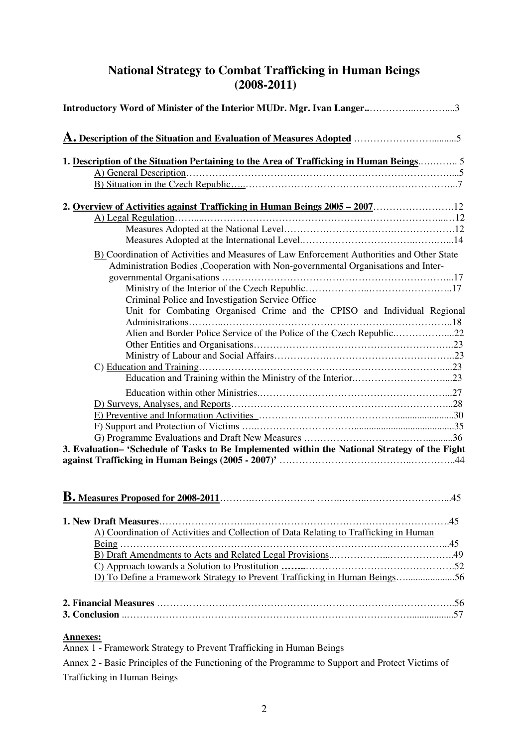## **National Strategy to Combat Trafficking in Human Beings (2008-2011)**

| Introductory Word of Minister of the Interior MUDr. Mgr. Ivan Langer3                                                                                                           |
|---------------------------------------------------------------------------------------------------------------------------------------------------------------------------------|
|                                                                                                                                                                                 |
| 1. Description of the Situation Pertaining to the Area of Trafficking in Human Beings 5                                                                                         |
|                                                                                                                                                                                 |
|                                                                                                                                                                                 |
|                                                                                                                                                                                 |
|                                                                                                                                                                                 |
|                                                                                                                                                                                 |
|                                                                                                                                                                                 |
| B) Coordination of Activities and Measures of Law Enforcement Authorities and Other State<br>Administration Bodies , Cooperation with Non-governmental Organisations and Inter- |
|                                                                                                                                                                                 |
| Criminal Police and Investigation Service Office                                                                                                                                |
| Unit for Combating Organised Crime and the CPISO and Individual Regional                                                                                                        |
|                                                                                                                                                                                 |
| Alien and Border Police Service of the Police of the Czech Republic22                                                                                                           |
|                                                                                                                                                                                 |
|                                                                                                                                                                                 |
|                                                                                                                                                                                 |
|                                                                                                                                                                                 |
|                                                                                                                                                                                 |
|                                                                                                                                                                                 |
|                                                                                                                                                                                 |
|                                                                                                                                                                                 |
|                                                                                                                                                                                 |
| 3. Evaluation- 'Schedule of Tasks to Be Implemented within the National Strategy of the Fight                                                                                   |
|                                                                                                                                                                                 |

| A) Coordination of Activities and Collection of Data Relating to Trafficking in Human                                                                                                       |  |
|---------------------------------------------------------------------------------------------------------------------------------------------------------------------------------------------|--|
| $Being \dots \dots \dots \dots \dots \dots \dots \dots \dots \dots \dots \dots \dots \dots \dots \dots \dots \dots \dots \dots \dots \dots \dots \dots \dots \dots \dots \dots \dots \dots$ |  |
|                                                                                                                                                                                             |  |
|                                                                                                                                                                                             |  |
| D) To Define a Framework Strategy to Prevent Trafficking in Human Beings56                                                                                                                  |  |
|                                                                                                                                                                                             |  |
|                                                                                                                                                                                             |  |

### **Annexes:**

Annex 1 - Framework Strategy to Prevent Trafficking in Human Beings

Annex 2 - Basic Principles of the Functioning of the Programme to Support and Protect Victims of Trafficking in Human Beings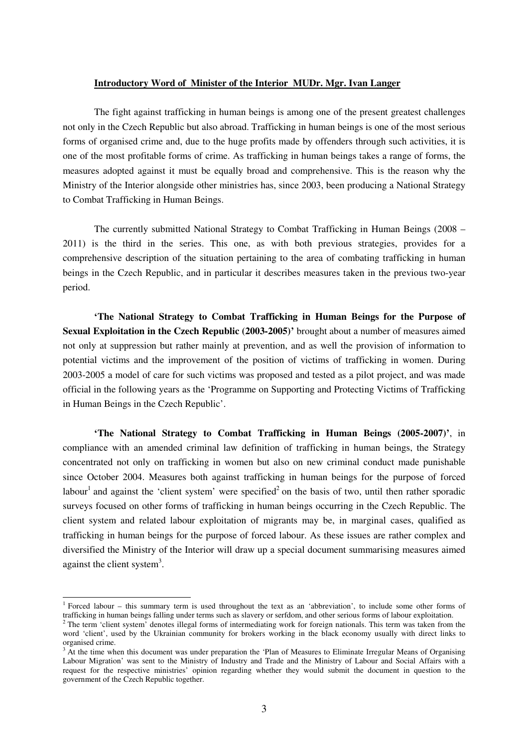#### **Introductory Word of Minister of the Interior MUDr. Mgr. Ivan Langer**

The fight against trafficking in human beings is among one of the present greatest challenges not only in the Czech Republic but also abroad. Trafficking in human beings is one of the most serious forms of organised crime and, due to the huge profits made by offenders through such activities, it is one of the most profitable forms of crime. As trafficking in human beings takes a range of forms, the measures adopted against it must be equally broad and comprehensive. This is the reason why the Ministry of the Interior alongside other ministries has, since 2003, been producing a National Strategy to Combat Trafficking in Human Beings.

The currently submitted National Strategy to Combat Trafficking in Human Beings (2008 – 2011) is the third in the series. This one, as with both previous strategies, provides for a comprehensive description of the situation pertaining to the area of combating trafficking in human beings in the Czech Republic, and in particular it describes measures taken in the previous two-year period.

**'The National Strategy to Combat Trafficking in Human Beings for the Purpose of Sexual Exploitation in the Czech Republic (2003-2005)'** brought about a number of measures aimed not only at suppression but rather mainly at prevention, and as well the provision of information to potential victims and the improvement of the position of victims of trafficking in women. During 2003-2005 a model of care for such victims was proposed and tested as a pilot project, and was made official in the following years as the 'Programme on Supporting and Protecting Victims of Trafficking in Human Beings in the Czech Republic'.

**'The National Strategy to Combat Trafficking in Human Beings (2005-2007)'**, in compliance with an amended criminal law definition of trafficking in human beings, the Strategy concentrated not only on trafficking in women but also on new criminal conduct made punishable since October 2004. Measures both against trafficking in human beings for the purpose of forced labour<sup>1</sup> and against the 'client system' were specified<sup>2</sup> on the basis of two, until then rather sporadic surveys focused on other forms of trafficking in human beings occurring in the Czech Republic. The client system and related labour exploitation of migrants may be, in marginal cases, qualified as trafficking in human beings for the purpose of forced labour. As these issues are rather complex and diversified the Ministry of the Interior will draw up a special document summarising measures aimed against the client system<sup>3</sup>.

<sup>1</sup> Forced labour – this summary term is used throughout the text as an 'abbreviation', to include some other forms of trafficking in human beings falling under terms such as slavery or serfdom, and other serious forms of labour exploitation.

 $2$  The term 'client system' denotes illegal forms of intermediating work for foreign nationals. This term was taken from the word 'client', used by the Ukrainian community for brokers working in the black economy usually with direct links to organised crime.

<sup>&</sup>lt;sup>3</sup> At the time when this document was under preparation the 'Plan of Measures to Eliminate Irregular Means of Organising Labour Migration' was sent to the Ministry of Industry and Trade and the Ministry of Labour and Social Affairs with a request for the respective ministries' opinion regarding whether they would submit the document in question to the government of the Czech Republic together.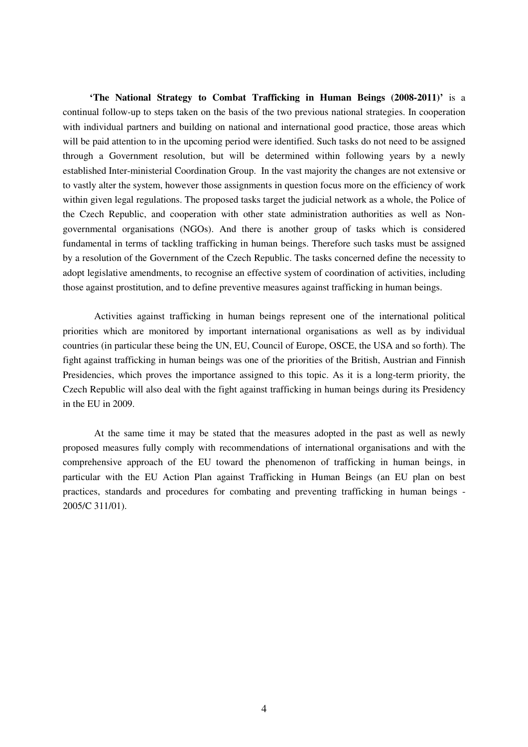**'The National Strategy to Combat Trafficking in Human Beings (2008-2011)'** is a continual follow-up to steps taken on the basis of the two previous national strategies. In cooperation with individual partners and building on national and international good practice, those areas which will be paid attention to in the upcoming period were identified. Such tasks do not need to be assigned through a Government resolution, but will be determined within following years by a newly established Inter-ministerial Coordination Group. In the vast majority the changes are not extensive or to vastly alter the system, however those assignments in question focus more on the efficiency of work within given legal regulations. The proposed tasks target the judicial network as a whole, the Police of the Czech Republic, and cooperation with other state administration authorities as well as Nongovernmental organisations (NGOs). And there is another group of tasks which is considered fundamental in terms of tackling trafficking in human beings. Therefore such tasks must be assigned by a resolution of the Government of the Czech Republic. The tasks concerned define the necessity to adopt legislative amendments, to recognise an effective system of coordination of activities, including those against prostitution, and to define preventive measures against trafficking in human beings.

Activities against trafficking in human beings represent one of the international political priorities which are monitored by important international organisations as well as by individual countries (in particular these being the UN, EU, Council of Europe, OSCE, the USA and so forth). The fight against trafficking in human beings was one of the priorities of the British, Austrian and Finnish Presidencies, which proves the importance assigned to this topic. As it is a long-term priority, the Czech Republic will also deal with the fight against trafficking in human beings during its Presidency in the EU in 2009.

At the same time it may be stated that the measures adopted in the past as well as newly proposed measures fully comply with recommendations of international organisations and with the comprehensive approach of the EU toward the phenomenon of trafficking in human beings, in particular with the EU Action Plan against Trafficking in Human Beings (an EU plan on best practices, standards and procedures for combating and preventing trafficking in human beings - 2005/C 311/01).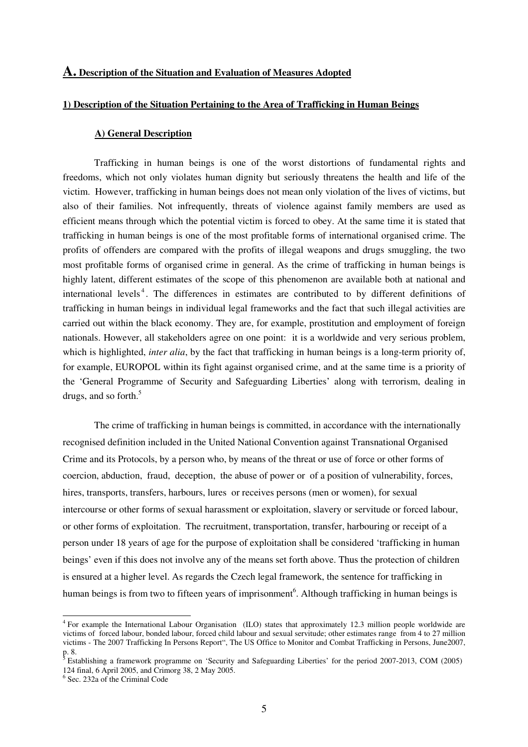#### **A. Description of the Situation and Evaluation of Measures Adopted**

#### **1) Description of the Situation Pertaining to the Area of Trafficking in Human Beings**

#### **A) General Description**

Trafficking in human beings is one of the worst distortions of fundamental rights and freedoms, which not only violates human dignity but seriously threatens the health and life of the victim. However, trafficking in human beings does not mean only violation of the lives of victims, but also of their families. Not infrequently, threats of violence against family members are used as efficient means through which the potential victim is forced to obey. At the same time it is stated that trafficking in human beings is one of the most profitable forms of international organised crime. The profits of offenders are compared with the profits of illegal weapons and drugs smuggling, the two most profitable forms of organised crime in general. As the crime of trafficking in human beings is highly latent, different estimates of the scope of this phenomenon are available both at national and international levels 4 . The differences in estimates are contributed to by different definitions of trafficking in human beings in individual legal frameworks and the fact that such illegal activities are carried out within the black economy. They are, for example, prostitution and employment of foreign nationals. However, all stakeholders agree on one point: it is a worldwide and very serious problem, which is highlighted, *inter alia*, by the fact that trafficking in human beings is a long-term priority of, for example, EUROPOL within its fight against organised crime, and at the same time is a priority of the 'General Programme of Security and Safeguarding Liberties' along with terrorism, dealing in drugs, and so forth.<sup>5</sup>

The crime of trafficking in human beings is committed, in accordance with the internationally recognised definition included in the United National Convention against Transnational Organised Crime and its Protocols, by a person who, by means of the threat or use of force or other forms of coercion, abduction, fraud, deception, the abuse of power or of a position of vulnerability, forces, hires, transports, transfers, harbours, lures or receives persons (men or women), for sexual intercourse or other forms of sexual harassment or exploitation, slavery or servitude or forced labour, or other forms of exploitation. The recruitment, transportation, transfer, harbouring or receipt of a person under 18 years of age for the purpose of exploitation shall be considered 'trafficking in human beings' even if this does not involve any of the means set forth above. Thus the protection of children is ensured at a higher level. As regards the Czech legal framework, the sentence for trafficking in human beings is from two to fifteen years of imprisonment<sup>6</sup>. Although trafficking in human beings is

<sup>4</sup> For example the International Labour Organisation (ILO) states that approximately 12.3 million people worldwide are victims of forced labour, bonded labour, forced child labour and sexual servitude; other estimates range from 4 to 27 million victims - The 2007 Trafficking In Persons Report", The US Office to Monitor and Combat Trafficking in Persons, June2007, p. 8.

<sup>&</sup>lt;sup>5</sup> Establishing a framework programme on 'Security and Safeguarding Liberties' for the period 2007-2013, COM (2005) 124 final, 6 April 2005, and Crimorg 38, 2 May 2005.

<sup>6</sup> Sec. 232a of the Criminal Code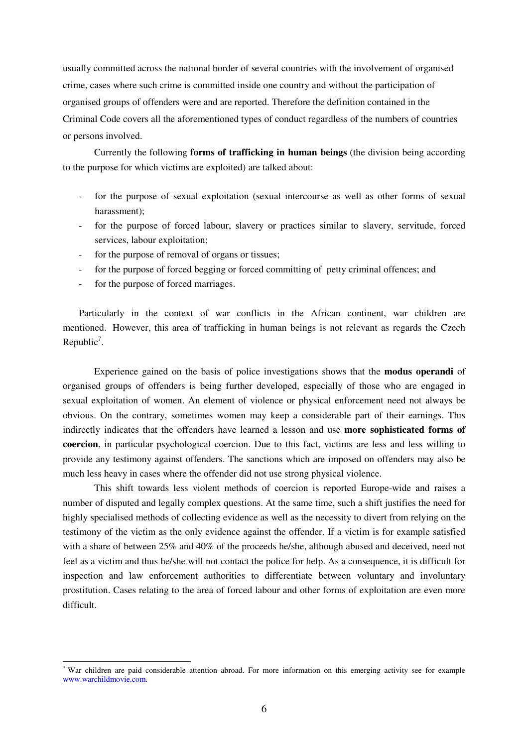usually committed across the national border of several countries with the involvement of organised crime, cases where such crime is committed inside one country and without the participation of organised groups of offenders were and are reported. Therefore the definition contained in the Criminal Code covers all the aforementioned types of conduct regardless of the numbers of countries or persons involved.

Currently the following **forms of trafficking in human beings** (the division being according to the purpose for which victims are exploited) are talked about:

- for the purpose of sexual exploitation (sexual intercourse as well as other forms of sexual harassment);
- for the purpose of forced labour, slavery or practices similar to slavery, servitude, forced services, labour exploitation;
- for the purpose of removal of organs or tissues;
- for the purpose of forced begging or forced committing of petty criminal offences; and
- for the purpose of forced marriages.

Particularly in the context of war conflicts in the African continent, war children are mentioned. However, this area of trafficking in human beings is not relevant as regards the Czech Republic<sup>7</sup>.

Experience gained on the basis of police investigations shows that the **modus operandi** of organised groups of offenders is being further developed, especially of those who are engaged in sexual exploitation of women. An element of violence or physical enforcement need not always be obvious. On the contrary, sometimes women may keep a considerable part of their earnings. This indirectly indicates that the offenders have learned a lesson and use **more sophisticated forms of coercion**, in particular psychological coercion. Due to this fact, victims are less and less willing to provide any testimony against offenders. The sanctions which are imposed on offenders may also be much less heavy in cases where the offender did not use strong physical violence.

This shift towards less violent methods of coercion is reported Europe-wide and raises a number of disputed and legally complex questions. At the same time, such a shift justifies the need for highly specialised methods of collecting evidence as well as the necessity to divert from relying on the testimony of the victim as the only evidence against the offender. If a victim is for example satisfied with a share of between 25% and 40% of the proceeds he/she, although abused and deceived, need not feel as a victim and thus he/she will not contact the police for help. As a consequence, it is difficult for inspection and law enforcement authorities to differentiate between voluntary and involuntary prostitution. Cases relating to the area of forced labour and other forms of exploitation are even more difficult.

<sup>&</sup>lt;sup>7</sup> War children are paid considerable attention abroad. For more information on this emerging activity see for example www.warchildmovie.com.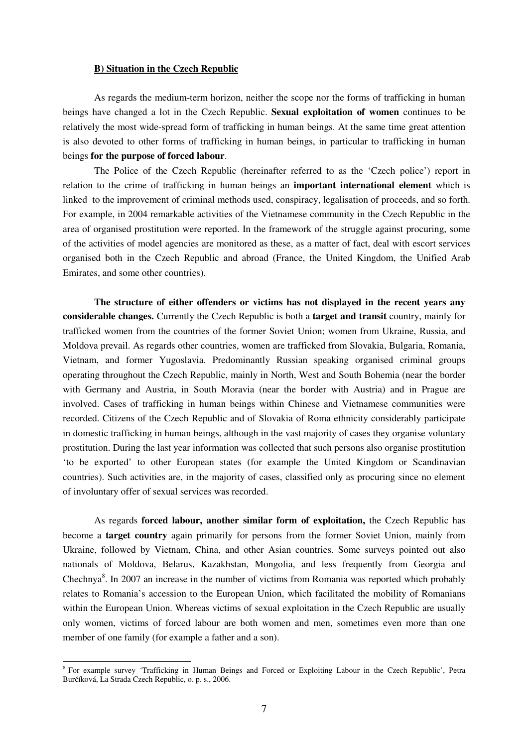#### **B) Situation in the Czech Republic**

As regards the medium-term horizon, neither the scope nor the forms of trafficking in human beings have changed a lot in the Czech Republic. **Sexual exploitation of women** continues to be relatively the most wide-spread form of trafficking in human beings. At the same time great attention is also devoted to other forms of trafficking in human beings, in particular to trafficking in human beings **for the purpose of forced labour**.

The Police of the Czech Republic (hereinafter referred to as the 'Czech police') report in relation to the crime of trafficking in human beings an **important international element** which is linked to the improvement of criminal methods used, conspiracy, legalisation of proceeds, and so forth. For example, in 2004 remarkable activities of the Vietnamese community in the Czech Republic in the area of organised prostitution were reported. In the framework of the struggle against procuring, some of the activities of model agencies are monitored as these, as a matter of fact, deal with escort services organised both in the Czech Republic and abroad (France, the United Kingdom, the Unified Arab Emirates, and some other countries).

**The structure of either offenders or victims has not displayed in the recent years any considerable changes.** Currently the Czech Republic is both a **target and transit** country, mainly for trafficked women from the countries of the former Soviet Union; women from Ukraine, Russia, and Moldova prevail. As regards other countries, women are trafficked from Slovakia, Bulgaria, Romania, Vietnam, and former Yugoslavia. Predominantly Russian speaking organised criminal groups operating throughout the Czech Republic, mainly in North, West and South Bohemia (near the border with Germany and Austria, in South Moravia (near the border with Austria) and in Prague are involved. Cases of trafficking in human beings within Chinese and Vietnamese communities were recorded. Citizens of the Czech Republic and of Slovakia of Roma ethnicity considerably participate in domestic trafficking in human beings, although in the vast majority of cases they organise voluntary prostitution. During the last year information was collected that such persons also organise prostitution 'to be exported' to other European states (for example the United Kingdom or Scandinavian countries). Such activities are, in the majority of cases, classified only as procuring since no element of involuntary offer of sexual services was recorded.

As regards **forced labour, another similar form of exploitation,** the Czech Republic has become a **target country** again primarily for persons from the former Soviet Union, mainly from Ukraine, followed by Vietnam, China, and other Asian countries. Some surveys pointed out also nationals of Moldova, Belarus, Kazakhstan, Mongolia, and less frequently from Georgia and Chechnya<sup>8</sup>. In 2007 an increase in the number of victims from Romania was reported which probably relates to Romania's accession to the European Union, which facilitated the mobility of Romanians within the European Union. Whereas victims of sexual exploitation in the Czech Republic are usually only women, victims of forced labour are both women and men, sometimes even more than one member of one family (for example a father and a son).

<sup>8</sup> For example survey 'Trafficking in Human Beings and Forced or Exploiting Labour in the Czech Republic', Petra Burčíková, La Strada Czech Republic, o. p. s., 2006.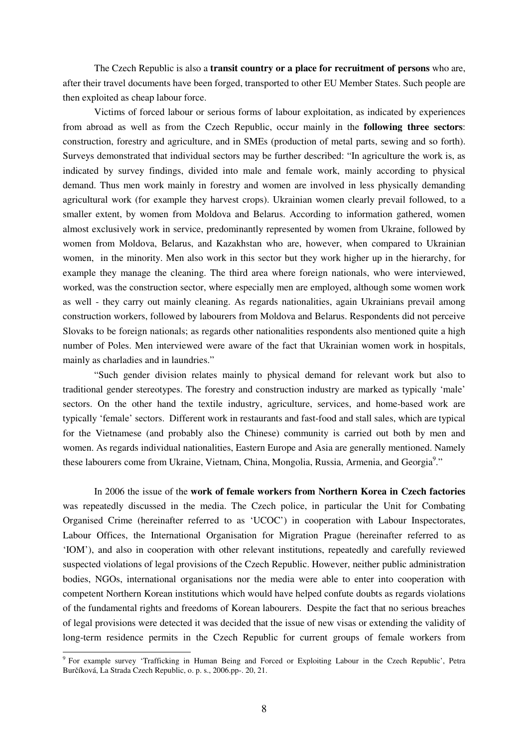The Czech Republic is also a **transit country or a place for recruitment of persons** who are, after their travel documents have been forged, transported to other EU Member States. Such people are then exploited as cheap labour force.

Victims of forced labour or serious forms of labour exploitation, as indicated by experiences from abroad as well as from the Czech Republic, occur mainly in the **following three sectors**: construction, forestry and agriculture, and in SMEs (production of metal parts, sewing and so forth). Surveys demonstrated that individual sectors may be further described: "In agriculture the work is, as indicated by survey findings, divided into male and female work, mainly according to physical demand. Thus men work mainly in forestry and women are involved in less physically demanding agricultural work (for example they harvest crops). Ukrainian women clearly prevail followed, to a smaller extent, by women from Moldova and Belarus. According to information gathered, women almost exclusively work in service, predominantly represented by women from Ukraine, followed by women from Moldova, Belarus, and Kazakhstan who are, however, when compared to Ukrainian women, in the minority. Men also work in this sector but they work higher up in the hierarchy, for example they manage the cleaning. The third area where foreign nationals, who were interviewed, worked, was the construction sector, where especially men are employed, although some women work as well - they carry out mainly cleaning. As regards nationalities, again Ukrainians prevail among construction workers, followed by labourers from Moldova and Belarus. Respondents did not perceive Slovaks to be foreign nationals; as regards other nationalities respondents also mentioned quite a high number of Poles. Men interviewed were aware of the fact that Ukrainian women work in hospitals, mainly as charladies and in laundries."

"Such gender division relates mainly to physical demand for relevant work but also to traditional gender stereotypes. The forestry and construction industry are marked as typically 'male' sectors. On the other hand the textile industry, agriculture, services, and home-based work are typically 'female' sectors. Different work in restaurants and fast-food and stall sales, which are typical for the Vietnamese (and probably also the Chinese) community is carried out both by men and women. As regards individual nationalities, Eastern Europe and Asia are generally mentioned. Namely these labourers come from Ukraine, Vietnam, China, Mongolia, Russia, Armenia, and Georgia<sup>9</sup>."

In 2006 the issue of the **work of female workers from Northern Korea in Czech factories** was repeatedly discussed in the media. The Czech police, in particular the Unit for Combating Organised Crime (hereinafter referred to as 'UCOC') in cooperation with Labour Inspectorates, Labour Offices, the International Organisation for Migration Prague (hereinafter referred to as 'IOM'), and also in cooperation with other relevant institutions, repeatedly and carefully reviewed suspected violations of legal provisions of the Czech Republic. However, neither public administration bodies, NGOs, international organisations nor the media were able to enter into cooperation with competent Northern Korean institutions which would have helped confute doubts as regards violations of the fundamental rights and freedoms of Korean labourers. Despite the fact that no serious breaches of legal provisions were detected it was decided that the issue of new visas or extending the validity of long-term residence permits in the Czech Republic for current groups of female workers from

<sup>&</sup>lt;sup>9</sup> For example survey 'Trafficking in Human Being and Forced or Exploiting Labour in the Czech Republic', Petra Burčíková, La Strada Czech Republic, o. p. s., 2006.pp-. 20, 21.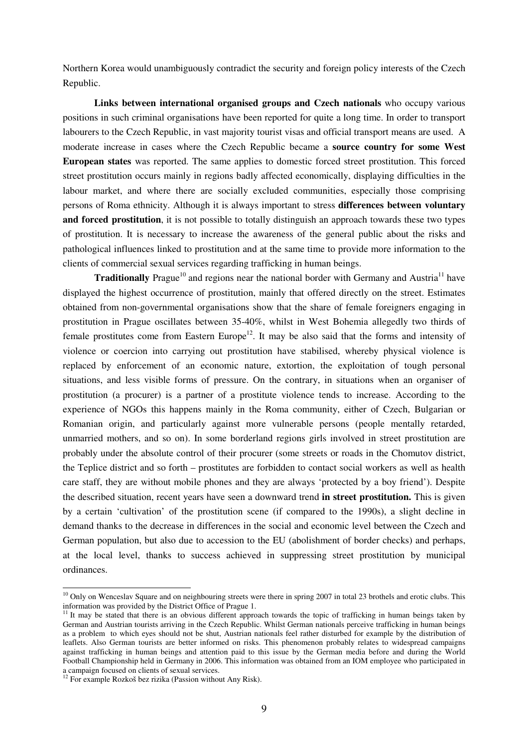Northern Korea would unambiguously contradict the security and foreign policy interests of the Czech Republic.

**Links between international organised groups and Czech nationals** who occupy various positions in such criminal organisations have been reported for quite a long time. In order to transport labourers to the Czech Republic, in vast majority tourist visas and official transport means are used. A moderate increase in cases where the Czech Republic became a **source country for some West European states** was reported. The same applies to domestic forced street prostitution. This forced street prostitution occurs mainly in regions badly affected economically, displaying difficulties in the labour market, and where there are socially excluded communities, especially those comprising persons of Roma ethnicity. Although it is always important to stress **differences between voluntary and forced prostitution**, it is not possible to totally distinguish an approach towards these two types of prostitution. It is necessary to increase the awareness of the general public about the risks and pathological influences linked to prostitution and at the same time to provide more information to the clients of commercial sexual services regarding trafficking in human beings.

**Traditionally** Prague<sup>10</sup> and regions near the national border with Germany and Austria<sup>11</sup> have displayed the highest occurrence of prostitution, mainly that offered directly on the street. Estimates obtained from non-governmental organisations show that the share of female foreigners engaging in prostitution in Prague oscillates between 35-40%, whilst in West Bohemia allegedly two thirds of female prostitutes come from Eastern Europe<sup>12</sup>. It may be also said that the forms and intensity of violence or coercion into carrying out prostitution have stabilised, whereby physical violence is replaced by enforcement of an economic nature, extortion, the exploitation of tough personal situations, and less visible forms of pressure. On the contrary, in situations when an organiser of prostitution (a procurer) is a partner of a prostitute violence tends to increase. According to the experience of NGOs this happens mainly in the Roma community, either of Czech, Bulgarian or Romanian origin, and particularly against more vulnerable persons (people mentally retarded, unmarried mothers, and so on). In some borderland regions girls involved in street prostitution are probably under the absolute control of their procurer (some streets or roads in the Chomutov district, the Teplice district and so forth – prostitutes are forbidden to contact social workers as well as health care staff, they are without mobile phones and they are always 'protected by a boy friend'). Despite the described situation, recent years have seen a downward trend **in street prostitution.** This is given by a certain 'cultivation' of the prostitution scene (if compared to the 1990s), a slight decline in demand thanks to the decrease in differences in the social and economic level between the Czech and German population, but also due to accession to the EU (abolishment of border checks) and perhaps, at the local level, thanks to success achieved in suppressing street prostitution by municipal ordinances.

<sup>&</sup>lt;sup>10</sup> Only on Wenceslav Square and on neighbouring streets were there in spring 2007 in total 23 brothels and erotic clubs. This information was provided by the District Office of Prague 1.

<sup>&</sup>lt;sup>11</sup> It may be stated that there is an obvious different approach towards the topic of trafficking in human beings taken by German and Austrian tourists arriving in the Czech Republic. Whilst German nationals perceive trafficking in human beings as a problem to which eyes should not be shut, Austrian nationals feel rather disturbed for example by the distribution of leaflets. Also German tourists are better informed on risks. This phenomenon probably relates to widespread campaigns against trafficking in human beings and attention paid to this issue by the German media before and during the World Football Championship held in Germany in 2006. This information was obtained from an IOM employee who participated in

a campaign focused on clients of sexual services. 12 For example Rozkoš bez rizika (Passion without Any Risk).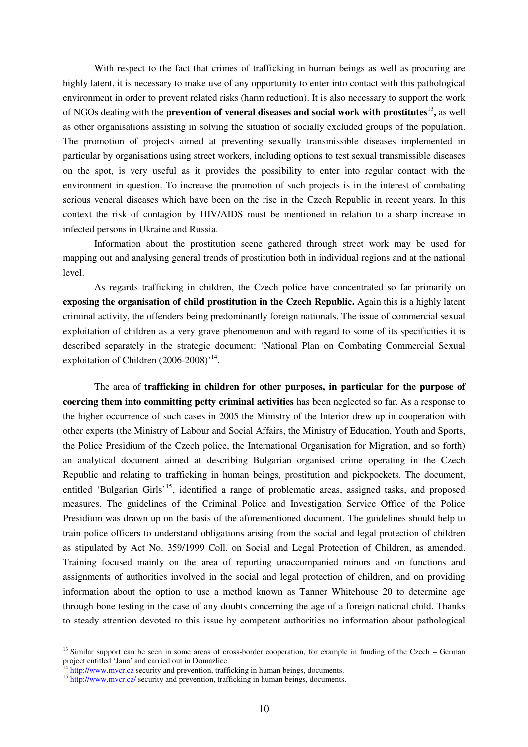With respect to the fact that crimes of trafficking in human beings as well as procuring are highly latent, it is necessary to make use of any opportunity to enter into contact with this pathological environment in order to prevent related risks (harm reduction). It is also necessary to support the work of NGOs dealing with the **prevention of veneral diseases and social work with prostitutes** 13 **,** as well as other organisations assisting in solving the situation of socially excluded groups of the population. The promotion of projects aimed at preventing sexually transmissible diseases implemented in particular by organisations using street workers, including options to test sexual transmissible diseases on the spot, is very useful as it provides the possibility to enter into regular contact with the environment in question. To increase the promotion of such projects is in the interest of combating serious veneral diseases which have been on the rise in the Czech Republic in recent years. In this context the risk of contagion by HIV/AIDS must be mentioned in relation to a sharp increase in infected persons in Ukraine and Russia.

Information about the prostitution scene gathered through street work may be used for mapping out and analysing general trends of prostitution both in individual regions and at the national level.

As regards trafficking in children, the Czech police have concentrated so far primarily on **exposing the organisation of child prostitution in the Czech Republic.** Again this is a highly latent criminal activity, the offenders being predominantly foreign nationals. The issue of commercial sexual exploitation of children as a very grave phenomenon and with regard to some of its specificities it is described separately in the strategic document: 'National Plan on Combating Commercial Sexual exploitation of Children  $(2006-2008)^{14}$ .

The area of **trafficking in children for other purposes, in particular for the purpose of coercing them into committing petty criminal activities** has been neglected so far. As a response to the higher occurrence of such cases in 2005 the Ministry of the Interior drew up in cooperation with other experts (the Ministry of Labour and Social Affairs, the Ministry of Education, Youth and Sports, the Police Presidium of the Czech police, the International Organisation for Migration, and so forth) an analytical document aimed at describing Bulgarian organised crime operating in the Czech Republic and relating to trafficking in human beings, prostitution and pickpockets. The document, entitled 'Bulgarian Girls'<sup>15</sup>, identified a range of problematic areas, assigned tasks, and proposed measures. The guidelines of the Criminal Police and Investigation Service Office of the Police Presidium was drawn up on the basis of the aforementioned document. The guidelines should help to train police officers to understand obligations arising from the social and legal protection of children as stipulated by Act No. 359/1999 Coll. on Social and Legal Protection of Children, as amended. Training focused mainly on the area of reporting unaccompanied minors and on functions and assignments of authorities involved in the social and legal protection of children, and on providing information about the option to use a method known as Tanner Whitehouse 20 to determine age through bone testing in the case of any doubts concerning the age of a foreign national child. Thanks to steady attention devoted to this issue by competent authorities no information about pathological

<sup>&</sup>lt;sup>13</sup> Similar support can be seen in some areas of cross-border cooperation, for example in funding of the Czech – German project entitled 'Jana' and carried out in Domazlice.<br><sup>14</sup> http://www.mycr.cz.security.and.prevention.traff

http://www.mvcr.cz security and prevention, trafficking in human beings, documents.

<sup>&</sup>lt;sup>15</sup> http://www.mvcr.cz/ security and prevention, trafficking in human beings, documents.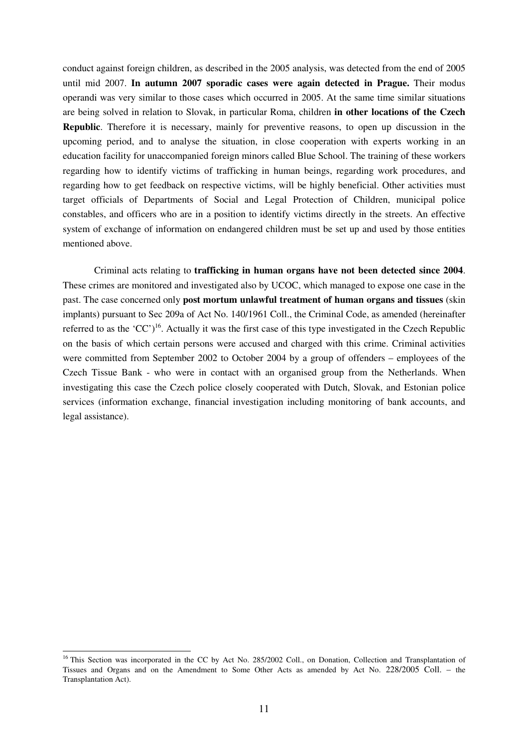conduct against foreign children, as described in the 2005 analysis, was detected from the end of 2005 until mid 2007. **In autumn 2007 sporadic cases were again detected in Prague.** Their modus operandi was very similar to those cases which occurred in 2005. At the same time similar situations are being solved in relation to Slovak, in particular Roma, children **in other locations of the Czech Republic**. Therefore it is necessary, mainly for preventive reasons, to open up discussion in the upcoming period, and to analyse the situation, in close cooperation with experts working in an education facility for unaccompanied foreign minors called Blue School. The training of these workers regarding how to identify victims of trafficking in human beings, regarding work procedures, and regarding how to get feedback on respective victims, will be highly beneficial. Other activities must target officials of Departments of Social and Legal Protection of Children, municipal police constables, and officers who are in a position to identify victims directly in the streets. An effective system of exchange of information on endangered children must be set up and used by those entities mentioned above.

Criminal acts relating to **trafficking in human organs have not been detected since 2004**. These crimes are monitored and investigated also by UCOC, which managed to expose one case in the past. The case concerned only **post mortum unlawful treatment of human organs and tissues** (skin implants) pursuant to Sec 209a of Act No. 140/1961 Coll., the Criminal Code, as amended (hereinafter referred to as the 'CC')<sup>16</sup>. Actually it was the first case of this type investigated in the Czech Republic on the basis of which certain persons were accused and charged with this crime. Criminal activities were committed from September 2002 to October 2004 by a group of offenders – employees of the Czech Tissue Bank - who were in contact with an organised group from the Netherlands. When investigating this case the Czech police closely cooperated with Dutch, Slovak, and Estonian police services (information exchange, financial investigation including monitoring of bank accounts, and legal assistance).

<sup>&</sup>lt;sup>16</sup> This Section was incorporated in the CC by Act No. 285/2002 Coll., on Donation, Collection and Transplantation of Tissues and Organs and on the Amendment to Some Other Acts as amended by Act No. 228/2005 Coll. – the Transplantation Act).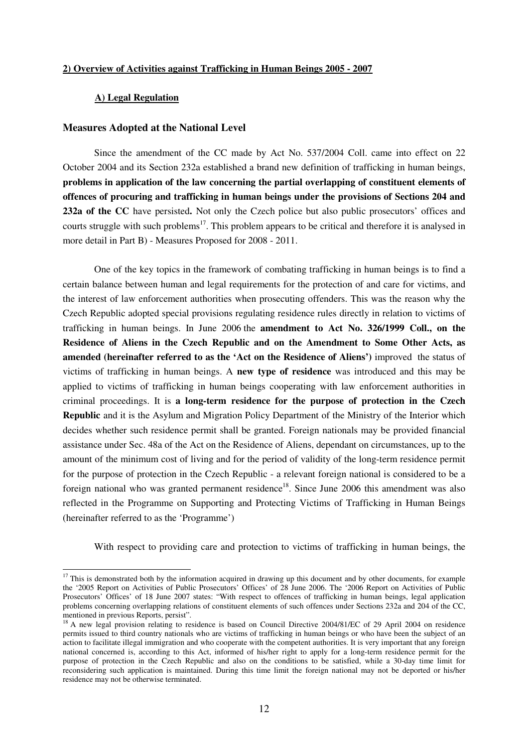#### **2) Overview of Activities against Trafficking in Human Beings 2005 - 2007**

#### **A) Legal Regulation**

#### **Measures Adopted at the National Level**

Since the amendment of the CC made by Act No. 537/2004 Coll. came into effect on 22 October 2004 and its Section 232a established a brand new definition of trafficking in human beings, **problems in application of the law concerning the partial overlapping of constituent elements of offences of procuring and trafficking in human beings under the provisions of Sections 204 and 232a of the CC** have persisted**.** Not only the Czech police but also public prosecutors' offices and courts struggle with such problems<sup>17</sup>. This problem appears to be critical and therefore it is analysed in more detail in Part B) - Measures Proposed for 2008 - 2011.

One of the key topics in the framework of combating trafficking in human beings is to find a certain balance between human and legal requirements for the protection of and care for victims, and the interest of law enforcement authorities when prosecuting offenders. This was the reason why the Czech Republic adopted special provisions regulating residence rules directly in relation to victims of trafficking in human beings. In June 2006 the **amendment to Act No. 326/1999 Coll., on the Residence of Aliens in the Czech Republic and on the Amendment to Some Other Acts, as amended (hereinafter referred to as the 'Act on the Residence of Aliens')** improved the status of victims of trafficking in human beings. A **new type of residence** was introduced and this may be applied to victims of trafficking in human beings cooperating with law enforcement authorities in criminal proceedings. It is **a long-term residence for the purpose of protection in the Czech Republic** and it is the Asylum and Migration Policy Department of the Ministry of the Interior which decides whether such residence permit shall be granted. Foreign nationals may be provided financial assistance under Sec. 48a of the Act on the Residence of Aliens, dependant on circumstances, up to the amount of the minimum cost of living and for the period of validity of the long-term residence permit for the purpose of protection in the Czech Republic - a relevant foreign national is considered to be a foreign national who was granted permanent residence<sup>18</sup>. Since June 2006 this amendment was also reflected in the Programme on Supporting and Protecting Victims of Trafficking in Human Beings (hereinafter referred to as the 'Programme')

With respect to providing care and protection to victims of trafficking in human beings, the

 $17$  This is demonstrated both by the information acquired in drawing up this document and by other documents, for example the '2005 Report on Activities of Public Prosecutors' Offices' of 28 June 2006. The '2006 Report on Activities of Public Prosecutors' Offices' of 18 June 2007 states: "With respect to offences of trafficking in human beings, legal application problems concerning overlapping relations of constituent elements of such offences under Sections 232a and 204 of the CC, mentioned in previous Reports, persist".

<sup>&</sup>lt;sup>18</sup> A new legal provision relating to residence is based on Council Directive 2004/81/EC of 29 April 2004 on residence permits issued to third country nationals who are victims of trafficking in human beings or who have been the subject of an action to facilitate illegal immigration and who cooperate with the competent authorities. It is very important that any foreign national concerned is, according to this Act, informed of his/her right to apply for a long-term residence permit for the purpose of protection in the Czech Republic and also on the conditions to be satisfied, while a 30-day time limit for reconsidering such application is maintained. During this time limit the foreign national may not be deported or his/her residence may not be otherwise terminated.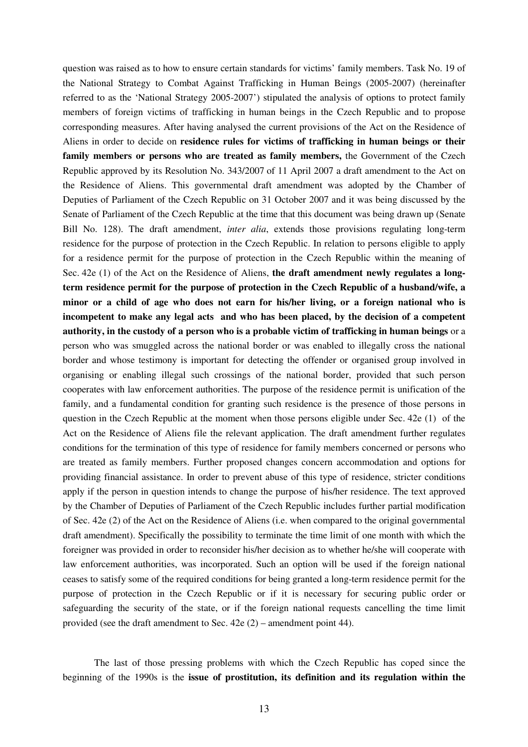question was raised as to how to ensure certain standards for victims' family members. Task No. 19 of the National Strategy to Combat Against Trafficking in Human Beings (2005-2007) (hereinafter referred to as the 'National Strategy 2005-2007') stipulated the analysis of options to protect family members of foreign victims of trafficking in human beings in the Czech Republic and to propose corresponding measures. After having analysed the current provisions of the Act on the Residence of Aliens in order to decide on **residence rules for victims of trafficking in human beings or their family members or persons who are treated as family members,** the Government of the Czech Republic approved by its Resolution No. 343/2007 of 11 April 2007 a draft amendment to the Act on the Residence of Aliens. This governmental draft amendment was adopted by the Chamber of Deputies of Parliament of the Czech Republic on 31 October 2007 and it was being discussed by the Senate of Parliament of the Czech Republic at the time that this document was being drawn up (Senate Bill No. 128). The draft amendment, *inter alia*, extends those provisions regulating long-term residence for the purpose of protection in the Czech Republic. In relation to persons eligible to apply for a residence permit for the purpose of protection in the Czech Republic within the meaning of Sec. 42e (1) of the Act on the Residence of Aliens, **the draft amendment newly regulates a longterm residence permit for the purpose of protection in the Czech Republic of a husband/wife, a minor or a child of age who does not earn for his/her living, or a foreign national who is incompetent to make any legal acts and who has been placed, by the decision of a competent authority, in the custody of a person who is a probable victim of trafficking in human beings** or a person who was smuggled across the national border or was enabled to illegally cross the national border and whose testimony is important for detecting the offender or organised group involved in organising or enabling illegal such crossings of the national border, provided that such person cooperates with law enforcement authorities. The purpose of the residence permit is unification of the family, and a fundamental condition for granting such residence is the presence of those persons in question in the Czech Republic at the moment when those persons eligible under Sec. 42e (1) of the Act on the Residence of Aliens file the relevant application. The draft amendment further regulates conditions for the termination of this type of residence for family members concerned or persons who are treated as family members. Further proposed changes concern accommodation and options for providing financial assistance. In order to prevent abuse of this type of residence, stricter conditions apply if the person in question intends to change the purpose of his/her residence. The text approved by the Chamber of Deputies of Parliament of the Czech Republic includes further partial modification of Sec. 42e (2) of the Act on the Residence of Aliens (i.e. when compared to the original governmental draft amendment). Specifically the possibility to terminate the time limit of one month with which the foreigner was provided in order to reconsider his/her decision as to whether he/she will cooperate with law enforcement authorities, was incorporated. Such an option will be used if the foreign national ceases to satisfy some of the required conditions for being granted a long-term residence permit for the purpose of protection in the Czech Republic or if it is necessary for securing public order or safeguarding the security of the state, or if the foreign national requests cancelling the time limit provided (see the draft amendment to Sec. 42e (2) – amendment point 44).

The last of those pressing problems with which the Czech Republic has coped since the beginning of the 1990s is the **issue of prostitution, its definition and its regulation within the**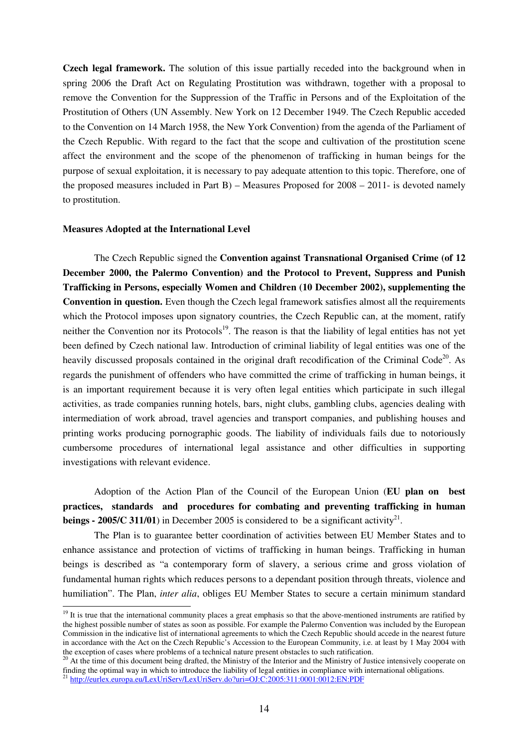**Czech legal framework.** The solution of this issue partially receded into the background when in spring 2006 the Draft Act on Regulating Prostitution was withdrawn, together with a proposal to remove the Convention for the Suppression of the Traffic in Persons and of the Exploitation of the Prostitution of Others (UN Assembly. New York on 12 December 1949. The Czech Republic acceded to the Convention on 14 March 1958, the New York Convention) from the agenda of the Parliament of the Czech Republic. With regard to the fact that the scope and cultivation of the prostitution scene affect the environment and the scope of the phenomenon of trafficking in human beings for the purpose of sexual exploitation, it is necessary to pay adequate attention to this topic. Therefore, one of the proposed measures included in Part B) – Measures Proposed for 2008 – 2011- is devoted namely to prostitution.

#### **Measures Adopted at the International Level**

The Czech Republic signed the **Convention against Transnational Organised Crime (of 12 December 2000, the Palermo Convention) and the Protocol to Prevent, Suppress and Punish Trafficking in Persons, especially Women and Children (10 December 2002), supplementing the Convention in question.** Even though the Czech legal framework satisfies almost all the requirements which the Protocol imposes upon signatory countries, the Czech Republic can, at the moment, ratify neither the Convention nor its Protocols<sup>19</sup>. The reason is that the liability of legal entities has not yet been defined by Czech national law. Introduction of criminal liability of legal entities was one of the heavily discussed proposals contained in the original draft recodification of the Criminal Code<sup>20</sup>. As regards the punishment of offenders who have committed the crime of trafficking in human beings, it is an important requirement because it is very often legal entities which participate in such illegal activities, as trade companies running hotels, bars, night clubs, gambling clubs, agencies dealing with intermediation of work abroad, travel agencies and transport companies, and publishing houses and printing works producing pornographic goods. The liability of individuals fails due to notoriously cumbersome procedures of international legal assistance and other difficulties in supporting investigations with relevant evidence.

Adoption of the Action Plan of the Council of the European Union (**EU plan on best practices, standards and procedures for combating and preventing trafficking in human beings - 2005/C 311/01**) in December 2005 is considered to be a significant activity 21 .

The Plan is to guarantee better coordination of activities between EU Member States and to enhance assistance and protection of victims of trafficking in human beings. Trafficking in human beings is described as "a contemporary form of slavery, a serious crime and gross violation of fundamental human rights which reduces persons to a dependant position through threats, violence and humiliation". The Plan, *inter alia*, obliges EU Member States to secure a certain minimum standard

<sup>&</sup>lt;sup>19</sup> It is true that the international community places a great emphasis so that the above-mentioned instruments are ratified by the highest possible number of states as soon as possible. For example the Palermo Convention was included by the European Commission in the indicative list of international agreements to which the Czech Republic should accede in the nearest future in accordance with the Act on the Czech Republic's Accession to the European Community, i.e. at least by 1 May 2004 with the exception of cases where problems of a technical nature present obstacles to such ratification.

<sup>&</sup>lt;sup>20</sup> At the time of this document being drafted, the Ministry of the Interior and the Ministry of Justice intensively cooperate on finding the optimal way in which to introduce the liability of legal entities in compliance with international obligations. <sup>21</sup> http://eurlex.europa.eu/LexUriServ/LexUriServ.do?uri=OJ:C:2005:311:0001:0012:EN:PDF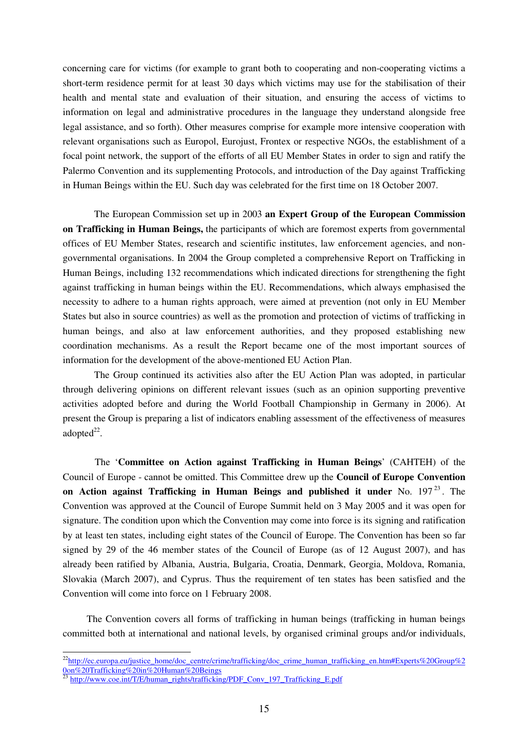concerning care for victims (for example to grant both to cooperating and non-cooperating victims a short-term residence permit for at least 30 days which victims may use for the stabilisation of their health and mental state and evaluation of their situation, and ensuring the access of victims to information on legal and administrative procedures in the language they understand alongside free legal assistance, and so forth). Other measures comprise for example more intensive cooperation with relevant organisations such as Europol, Eurojust, Frontex or respective NGOs, the establishment of a focal point network, the support of the efforts of all EU Member States in order to sign and ratify the Palermo Convention and its supplementing Protocols, and introduction of the Day against Trafficking in Human Beings within the EU. Such day was celebrated for the first time on 18 October 2007.

The European Commission set up in 2003 **an Expert Group of the European Commission on Trafficking in Human Beings,** the participants of which are foremost experts from governmental offices of EU Member States, research and scientific institutes, law enforcement agencies, and nongovernmental organisations. In 2004 the Group completed a comprehensive Report on Trafficking in Human Beings, including 132 recommendations which indicated directions for strengthening the fight against trafficking in human beings within the EU. Recommendations, which always emphasised the necessity to adhere to a human rights approach, were aimed at prevention (not only in EU Member States but also in source countries) as well as the promotion and protection of victims of trafficking in human beings, and also at law enforcement authorities, and they proposed establishing new coordination mechanisms. As a result the Report became one of the most important sources of information for the development of the above-mentioned EU Action Plan.

The Group continued its activities also after the EU Action Plan was adopted, in particular through delivering opinions on different relevant issues (such as an opinion supporting preventive activities adopted before and during the World Football Championship in Germany in 2006). At present the Group is preparing a list of indicators enabling assessment of the effectiveness of measures adopted $^{22}$ .

The '**Committee on Action against Trafficking in Human Beings**' (CAHTEH) of the Council of Europe - cannot be omitted. This Committee drew up the **Council of Europe Convention on Action against Trafficking in Human Beings and published it under** No. 197 23 . The Convention was approved at the Council of Europe Summit held on 3 May 2005 and it was open for signature. The condition upon which the Convention may come into force is its signing and ratification by at least ten states, including eight states of the Council of Europe. The Convention has been so far signed by 29 of the 46 member states of the Council of Europe (as of 12 August 2007), and has already been ratified by Albania, Austria, Bulgaria, Croatia, Denmark, Georgia, Moldova, Romania, Slovakia (March 2007), and Cyprus. Thus the requirement of ten states has been satisfied and the Convention will come into force on 1 February 2008.

The Convention covers all forms of trafficking in human beings (trafficking in human beings committed both at international and national levels, by organised criminal groups and/or individuals,

<sup>&</sup>lt;sup>22</sup>http://ec.europa.eu/justice\_home/doc\_centre/crime/trafficking/doc\_crime\_human\_trafficking\_en.htm#Experts%20Group%2 0on%20Trafficking%20in%20Human%20Beings<br>23 http://www.coe.int/T/E/human\_rights/traffickin

http://www.coe.int/T/E/human\_rights/trafficking/PDF\_Conv\_197\_Trafficking\_E.pdf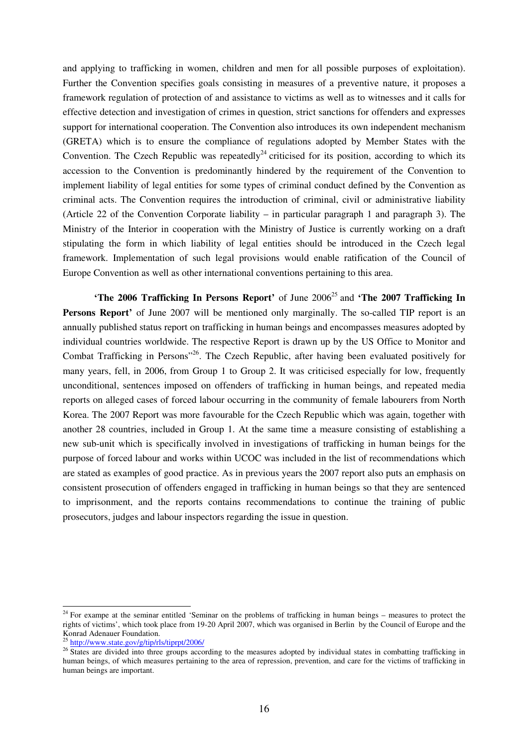and applying to trafficking in women, children and men for all possible purposes of exploitation). Further the Convention specifies goals consisting in measures of a preventive nature, it proposes a framework regulation of protection of and assistance to victims as well as to witnesses and it calls for effective detection and investigation of crimes in question, strict sanctions for offenders and expresses support for international cooperation. The Convention also introduces its own independent mechanism (GRETA) which is to ensure the compliance of regulations adopted by Member States with the Convention. The Czech Republic was repeatedly<sup>24</sup> criticised for its position, according to which its accession to the Convention is predominantly hindered by the requirement of the Convention to implement liability of legal entities for some types of criminal conduct defined by the Convention as criminal acts. The Convention requires the introduction of criminal, civil or administrative liability (Article 22 of the Convention Corporate liability – in particular paragraph 1 and paragraph 3). The Ministry of the Interior in cooperation with the Ministry of Justice is currently working on a draft stipulating the form in which liability of legal entities should be introduced in the Czech legal framework. Implementation of such legal provisions would enable ratification of the Council of Europe Convention as well as other international conventions pertaining to this area.

**'The 2006 Trafficking In Persons Report'** of June 2006 25 and **'The 2007 Trafficking In Persons Report'** of June 2007 will be mentioned only marginally. The so-called TIP report is an annually published status report on trafficking in human beings and encompasses measures adopted by individual countries worldwide. The respective Report is drawn up by the US Office to Monitor and Combat Trafficking in Persons"<sup>26</sup>. The Czech Republic, after having been evaluated positively for many years, fell, in 2006, from Group 1 to Group 2. It was criticised especially for low, frequently unconditional, sentences imposed on offenders of trafficking in human beings, and repeated media reports on alleged cases of forced labour occurring in the community of female labourers from North Korea. The 2007 Report was more favourable for the Czech Republic which was again, together with another 28 countries, included in Group 1. At the same time a measure consisting of establishing a new sub-unit which is specifically involved in investigations of trafficking in human beings for the purpose of forced labour and works within UCOC was included in the list of recommendations which are stated as examples of good practice. As in previous years the 2007 report also puts an emphasis on consistent prosecution of offenders engaged in trafficking in human beings so that they are sentenced to imprisonment, and the reports contains recommendations to continue the training of public prosecutors, judges and labour inspectors regarding the issue in question.

<sup>&</sup>lt;sup>24</sup> For exampe at the seminar entitled 'Seminar on the problems of trafficking in human beings – measures to protect the rights of victims', which took place from 19-20 April 2007, which was organised in Berlin by the Council of Europe and the Konrad Adenauer Foundation.<br><sup>25</sup> http://www.state.gov/g/tip/rls/tiprpt/2006/

<sup>&</sup>lt;sup>26</sup> States are divided into three groups according to the measures adopted by individual states in combatting trafficking in human beings, of which measures pertaining to the area of repression, prevention, and care for the victims of trafficking in human beings are important.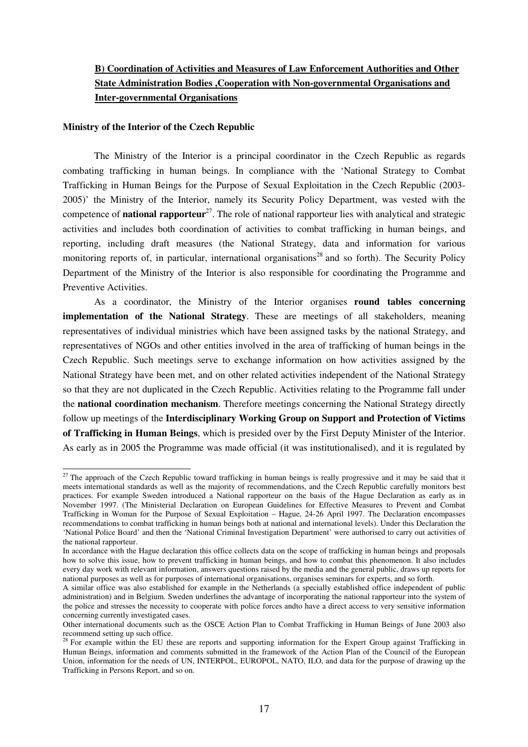## **B) Coordination of Activities and Measures of Law Enforcement Authorities and Other State Administration Bodies ,Cooperation with Non-governmental Organisations and Inter-governmental Organisations**

#### **Ministry of the Interior of the Czech Republic**

The Ministry of the Interior is a principal coordinator in the Czech Republic as regards combating trafficking in human beings. In compliance with the 'National Strategy to Combat Trafficking in Human Beings for the Purpose of Sexual Exploitation in the Czech Republic (2003- 2005)' the Ministry of the Interior, namely its Security Policy Department, was vested with the competence of **national rapporteur**<sup>27</sup>. The role of national rapporteur lies with analytical and strategic activities and includes both coordination of activities to combat trafficking in human beings, and reporting, including draft measures (the National Strategy, data and information for various monitoring reports of, in particular, international organisations<sup>28</sup> and so forth). The Security Policy Department of the Ministry of the Interior is also responsible for coordinating the Programme and Preventive Activities.

As a coordinator, the Ministry of the Interior organises **round tables concerning implementation of the National Strategy**. These are meetings of all stakeholders, meaning representatives of individual ministries which have been assigned tasks by the national Strategy, and representatives of NGOs and other entities involved in the area of trafficking of human beings in the Czech Republic. Such meetings serve to exchange information on how activities assigned by the National Strategy have been met, and on other related activities independent of the National Strategy so that they are not duplicated in the Czech Republic. Activities relating to the Programme fall under the **national coordination mechanism**. Therefore meetings concerning the National Strategy directly follow up meetings of the **Interdisciplinary Working Group on Support and Protection of Victims of Trafficking in Human Beings**, which is presided over by the First Deputy Minister of the Interior. As early as in 2005 the Programme was made official (it was institutionalised), and it is regulated by

 $27$  The approach of the Czech Republic toward trafficking in human beings is really progressive and it may be said that it meets international standards as well as the majority of recommendations, and the Czech Republic carefully monitors best practices. For example Sweden introduced a National rapporteur on the basis of the Hague Declaration as early as in November 1997. (The Ministerial Declaration on European Guidelines for Effective Measures to Prevent and Combat Trafficking in Woman for the Purpose of Sexual Exploitation – Hague, 24-26 April 1997. The Declaration encompasses recommendations to combat trafficking in human beings both at national and international levels). Under this Declaration the 'National Police Board' and then the 'National Criminal Investigation Department' were authorised to carry out activities of the national rapporteur.

In accordance with the Hague declaration this office collects data on the scope of trafficking in human beings and proposals how to solve this issue, how to prevent trafficking in human beings, and how to combat this phenomenon. It also includes every day work with relevant information, answers questions raised by the media and the general public, draws up reports for national purposes as well as for purposes of international organisations, organises seminars for experts, and so forth.

A similar office was also established for example in the Netherlands (a specially established office independent of public administration) and in Belgium. Sweden underlines the advantage of incorporating the national rapporteur into the system of the police and stresses the necessity to cooperate with police forces andto have a direct access to very sensitive information concerning currently investigated cases.

Other international documents such as the OSCE Action Plan to Combat Trafficking in Human Beings of June 2003 also recommend setting up such office.

<sup>&</sup>lt;sup>28</sup> For example within the EU these are reports and supporting information for the Expert Group against Trafficking in Human Beings, information and comments submitted in the framework of the Action Plan of the Council of the European Union, information for the needs of UN, INTERPOL, EUROPOL, NATO, ILO, and data for the purpose of drawing up the Trafficking in Persons Report, and so on.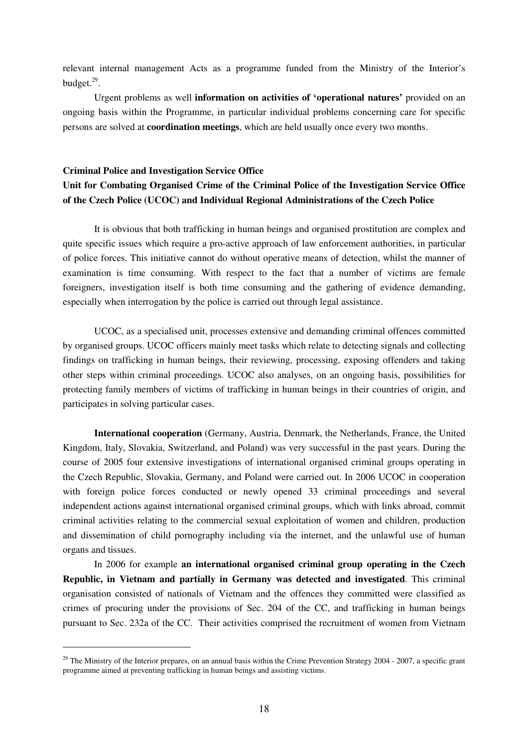relevant internal management Acts as a programme funded from the Ministry of the Interior's budget. 29 .

Urgent problems as well **information on activities of 'operational natures'** provided on an ongoing basis within the Programme, in particular individual problems concerning care for specific persons are solved at **coordination meetings**, which are held usually once every two months.

## **Criminal Police and Investigation Service Office Unit for Combating Organised Crime of the Criminal Police of the Investigation Service Office of the Czech Police (UCOC) and Individual Regional Administrations of the Czech Police**

It is obvious that both trafficking in human beings and organised prostitution are complex and quite specific issues which require a pro-active approach of law enforcement authorities, in particular of police forces. This initiative cannot do without operative means of detection, whilst the manner of examination is time consuming. With respect to the fact that a number of victims are female foreigners, investigation itself is both time consuming and the gathering of evidence demanding, especially when interrogation by the police is carried out through legal assistance.

UCOC, as a specialised unit, processes extensive and demanding criminal offences committed by organised groups. UCOC officers mainly meet tasks which relate to detecting signals and collecting findings on trafficking in human beings, their reviewing, processing, exposing offenders and taking other steps within criminal proceedings. UCOC also analyses, on an ongoing basis, possibilities for protecting family members of victims of trafficking in human beings in their countries of origin, and participates in solving particular cases.

**International cooperation** (Germany, Austria, Denmark, the Netherlands, France, the United Kingdom, Italy, Slovakia, Switzerland, and Poland) was very successful in the past years. During the course of 2005 four extensive investigations of international organised criminal groups operating in the Czech Republic, Slovakia, Germany, and Poland were carried out. In 2006 UCOC in cooperation with foreign police forces conducted or newly opened 33 criminal proceedings and several independent actions against international organised criminal groups, which with links abroad, commit criminal activities relating to the commercial sexual exploitation of women and children, production and dissemination of child pornography including via the internet, and the unlawful use of human organs and tissues.

In 2006 for example **an international organised criminal group operating in the Czech Republic, in Vietnam and partially in Germany was detected and investigated**. This criminal organisation consisted of nationals of Vietnam and the offences they committed were classified as crimes of procuring under the provisions of Sec. 204 of the CC, and trafficking in human beings pursuant to Sec. 232a of the CC. Their activities comprised the recruitment of women from Vietnam

<sup>&</sup>lt;sup>29</sup> The Ministry of the Interior prepares, on an annual basis within the Crime Prevention Strategy  $2004 - 2007$ , a specific grant programme aimed at preventing trafficking in human beings and assisting victims.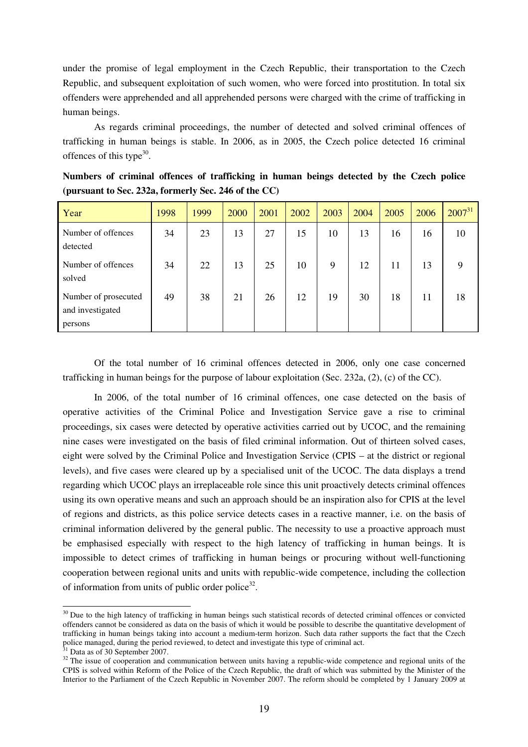under the promise of legal employment in the Czech Republic, their transportation to the Czech Republic, and subsequent exploitation of such women, who were forced into prostitution. In total six offenders were apprehended and all apprehended persons were charged with the crime of trafficking in human beings.

As regards criminal proceedings, the number of detected and solved criminal offences of trafficking in human beings is stable. In 2006, as in 2005, the Czech police detected 16 criminal offences of this type $30$ .

|                                                      |  |  |  |  | Numbers of criminal offences of trafficking in human beings detected by the Czech police |  |  |  |  |  |  |  |  |
|------------------------------------------------------|--|--|--|--|------------------------------------------------------------------------------------------|--|--|--|--|--|--|--|--|
| (pursuant to Sec. 232a, formerly Sec. 246 of the CC) |  |  |  |  |                                                                                          |  |  |  |  |  |  |  |  |

| Year                                                | 1998 | 1999 | 2000 | 2001 | 2002 | 2003 | 2004 | 2005 | 2006 | $2007^{31}$ |
|-----------------------------------------------------|------|------|------|------|------|------|------|------|------|-------------|
| Number of offences<br>detected                      | 34   | 23   | 13   | 27   | 15   | 10   | 13   | 16   | 16   | 10          |
| Number of offences<br>solved                        | 34   | 22   | 13   | 25   | 10   | 9    | 12   | 11   | 13   | 9           |
| Number of prosecuted<br>and investigated<br>persons | 49   | 38   | 21   | 26   | 12   | 19   | 30   | 18   | 11   | 18          |

Of the total number of 16 criminal offences detected in 2006, only one case concerned trafficking in human beings for the purpose of labour exploitation (Sec. 232a, (2), (c) of the CC).

In 2006, of the total number of 16 criminal offences, one case detected on the basis of operative activities of the Criminal Police and Investigation Service gave a rise to criminal proceedings, six cases were detected by operative activities carried out by UCOC, and the remaining nine cases were investigated on the basis of filed criminal information. Out of thirteen solved cases, eight were solved by the Criminal Police and Investigation Service (CPIS – at the district or regional levels), and five cases were cleared up by a specialised unit of the UCOC. The data displays a trend regarding which UCOC plays an irreplaceable role since this unit proactively detects criminal offences using its own operative means and such an approach should be an inspiration also for CPIS at the level of regions and districts, as this police service detects cases in a reactive manner, i.e. on the basis of criminal information delivered by the general public. The necessity to use a proactive approach must be emphasised especially with respect to the high latency of trafficking in human beings. It is impossible to detect crimes of trafficking in human beings or procuring without well-functioning cooperation between regional units and units with republic-wide competence, including the collection of information from units of public order police<sup>32</sup>.

<sup>&</sup>lt;sup>30</sup> Due to the high latency of trafficking in human beings such statistical records of detected criminal offences or convicted offenders cannot be considered as data on the basis of which it would be possible to describe the quantitative development of trafficking in human beings taking into account a medium-term horizon. Such data rather supports the fact that the Czech police managed, during the period reviewed, to detect and investigate this type of criminal act.

 $31$  Data as of 30 September 2007.

<sup>&</sup>lt;sup>32</sup> The issue of cooperation and communication between units having a republic-wide competence and regional units of the CPIS is solved within Reform of the Police of the Czech Republic, the draft of which was submitted by the Minister of the Interior to the Parliament of the Czech Republic in November 2007. The reform should be completed by 1 January 2009 at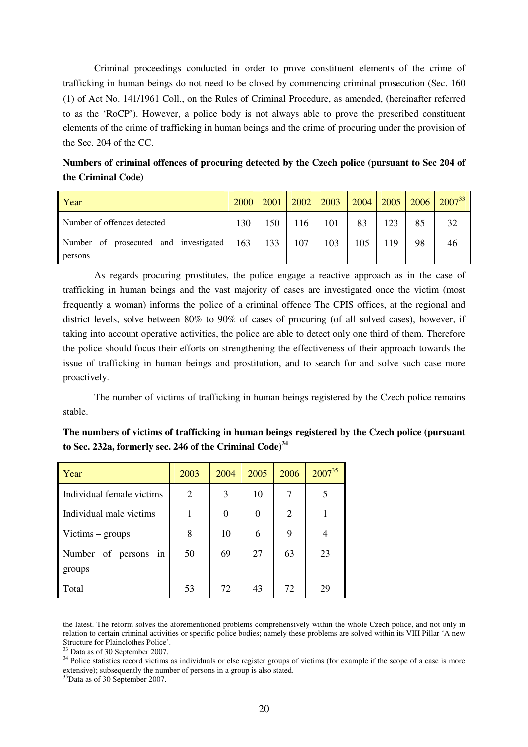Criminal proceedings conducted in order to prove constituent elements of the crime of trafficking in human beings do not need to be closed by commencing criminal prosecution (Sec. 160 (1) of Act No. 141/1961 Coll., on the Rules of Criminal Procedure, as amended, (hereinafter referred to as the 'RoCP'). However, a police body is not always able to prove the prescribed constituent elements of the crime of trafficking in human beings and the crime of procuring under the provision of the Sec. 204 of the CC.

| Numbers of criminal offences of procuring detected by the Czech police (pursuant to Sec 204 of |
|------------------------------------------------------------------------------------------------|
| the Criminal Code)                                                                             |

| Year                                  | 2000 | 2001 | 2002 | 2003 | 2004 | 2005 | 2006 | $2007^{33}$ |
|---------------------------------------|------|------|------|------|------|------|------|-------------|
| Number of offences detected           | 130  | 150  | 116  | 101  | 83   | 123  | 85   | 32          |
| Number of prosecuted and investigated | 163  | 133  | 107  | 103  | 105  | 119  | 98   | 46          |
| persons                               |      |      |      |      |      |      |      |             |

As regards procuring prostitutes, the police engage a reactive approach as in the case of trafficking in human beings and the vast majority of cases are investigated once the victim (most frequently a woman) informs the police of a criminal offence The CPIS offices, at the regional and district levels, solve between 80% to 90% of cases of procuring (of all solved cases), however, if taking into account operative activities, the police are able to detect only one third of them. Therefore the police should focus their efforts on strengthening the effectiveness of their approach towards the issue of trafficking in human beings and prostitution, and to search for and solve such case more proactively.

The number of victims of trafficking in human beings registered by the Czech police remains stable.

**The numbers of victims of trafficking in human beings registered by the Czech police (pursuant to Sec. 232a, formerly sec. 246 of the Criminal Code) 34**

| Year                       | 2003 | 2004     | 2005 | 2006           | $2007^{35}$ |
|----------------------------|------|----------|------|----------------|-------------|
| Individual female victims  | 2    | 3        | 10   | 7              | 5           |
| Individual male victims    | 1    | $\Omega$ | 0    | $\overline{2}$ |             |
| Victims $-$ groups         | 8    | 10       | 6    | 9              | 4           |
| Number<br>of persons<br>in | 50   | 69       | 27   | 63             | 23          |
| groups                     |      |          |      |                |             |
| Total                      | 53   | 72       | 43   | 72             | 29          |

the latest. The reform solves the aforementioned problems comprehensively within the whole Czech police, and not only in relation to certain criminal activities or specific police bodies; namely these problems are solved within its VIII Pillar 'A new Structure for Plainclothes Police'.

<sup>33</sup> Data as of 30 September 2007.

<sup>&</sup>lt;sup>34</sup> Police statistics record victims as individuals or else register groups of victims (for example if the scope of a case is more extensive); subsequently the number of persons in a group is also stated.

 $35$ Data as of 30 September 2007.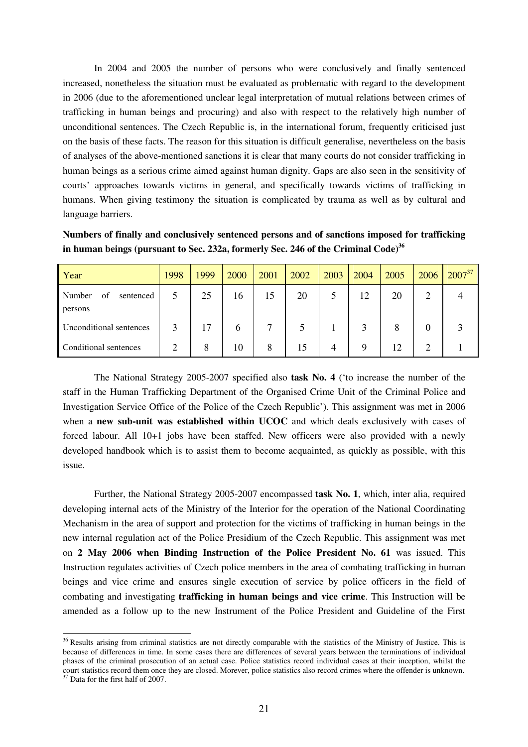In 2004 and 2005 the number of persons who were conclusively and finally sentenced increased, nonetheless the situation must be evaluated as problematic with regard to the development in 2006 (due to the aforementioned unclear legal interpretation of mutual relations between crimes of trafficking in human beings and procuring) and also with respect to the relatively high number of unconditional sentences. The Czech Republic is, in the international forum, frequently criticised just on the basis of these facts. The reason for this situation is difficult generalise, nevertheless on the basis of analyses of the above-mentioned sanctions it is clear that many courts do not consider trafficking in human beings as a serious crime aimed against human dignity. Gaps are also seen in the sensitivity of courts' approaches towards victims in general, and specifically towards victims of trafficking in humans. When giving testimony the situation is complicated by trauma as well as by cultural and language barriers.

**Numbers of finally and conclusively sentenced persons and of sanctions imposed for trafficking in human beings (pursuant to Sec. 232a, formerly Sec. 246 of the Criminal Code) 36**

| Year                                 | 1998 | 1999 | 2000 | 2001 | 2002 | 2003 | 2004 | 2005 | 2006 | $2007^{37}$ |
|--------------------------------------|------|------|------|------|------|------|------|------|------|-------------|
| of<br>Number<br>sentenced<br>persons |      | 25   | 16   | 15   | 20   |      | 12   | 20   | 2    |             |
| Unconditional sentences              | 3    | 17   | 6    | 7    | 5    |      | 3    | 8    | 0    |             |
| Conditional sentences                | ◠    | 8    | 10   | 8    | 15   | 4    | Q    | 12   | 2    |             |

The National Strategy 2005-2007 specified also **task No. 4** ('to increase the number of the staff in the Human Trafficking Department of the Organised Crime Unit of the Criminal Police and Investigation Service Office of the Police of the Czech Republic'). This assignment was met in 2006 when a **new sub-unit was established within UCOC** and which deals exclusively with cases of forced labour. All 10+1 jobs have been staffed. New officers were also provided with a newly developed handbook which is to assist them to become acquainted, as quickly as possible, with this issue.

Further, the National Strategy 2005-2007 encompassed **task No. 1**, which, inter alia, required developing internal acts of the Ministry of the Interior for the operation of the National Coordinating Mechanism in the area of support and protection for the victims of trafficking in human beings in the new internal regulation act of the Police Presidium of the Czech Republic. This assignment was met on **2 May 2006 when Binding Instruction of the Police President No. 61** was issued. This Instruction regulates activities of Czech police members in the area of combating trafficking in human beings and vice crime and ensures single execution of service by police officers in the field of combating and investigating **trafficking in human beings and vice crime**. This Instruction will be amended as a follow up to the new Instrument of the Police President and Guideline of the First

<sup>&</sup>lt;sup>36</sup> Results arising from criminal statistics are not directly comparable with the statistics of the Ministry of Justice. This is because of differences in time. In some cases there are differences of several years between the terminations of individual phases of the criminal prosecution of an actual case. Police statistics record individual cases at their inception, whilst the court statistics record them once they are closed. Morever, police statistics also record crimes where the offender is unknown.  $37$  Data for the first half of 2007.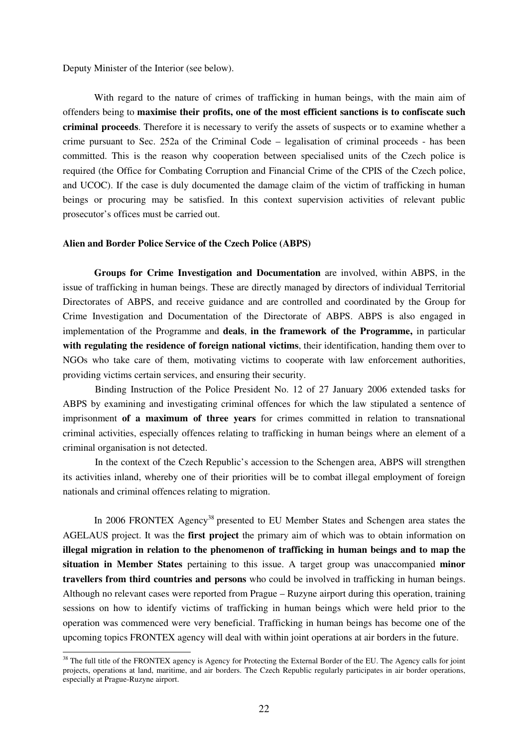Deputy Minister of the Interior (see below).

With regard to the nature of crimes of trafficking in human beings, with the main aim of offenders being to **maximise their profits, one of the most efficient sanctions is to confiscate such criminal proceeds**. Therefore it is necessary to verify the assets of suspects or to examine whether a crime pursuant to Sec. 252a of the Criminal Code – legalisation of criminal proceeds - has been committed. This is the reason why cooperation between specialised units of the Czech police is required (the Office for Combating Corruption and Financial Crime of the CPIS of the Czech police, and UCOC). If the case is duly documented the damage claim of the victim of trafficking in human beings or procuring may be satisfied. In this context supervision activities of relevant public prosecutor's offices must be carried out.

#### **Alien and Border Police Service of the Czech Police (ABPS)**

**Groups for Crime Investigation and Documentation** are involved, within ABPS, in the issue of trafficking in human beings. These are directly managed by directors of individual Territorial Directorates of ABPS, and receive guidance and are controlled and coordinated by the Group for Crime Investigation and Documentation of the Directorate of ABPS. ABPS is also engaged in implementation of the Programme and **deals**, **in the framework of the Programme,** in particular **with regulating the residence of foreign national victims**, their identification, handing them over to NGOs who take care of them, motivating victims to cooperate with law enforcement authorities, providing victims certain services, and ensuring their security.

Binding Instruction of the Police President No. 12 of 27 January 2006 extended tasks for ABPS by examining and investigating criminal offences for which the law stipulated a sentence of imprisonment **of a maximum of three years** for crimes committed in relation to transnational criminal activities, especially offences relating to trafficking in human beings where an element of a criminal organisation is not detected.

In the context of the Czech Republic's accession to the Schengen area, ABPS will strengthen its activities inland, whereby one of their priorities will be to combat illegal employment of foreign nationals and criminal offences relating to migration.

In 2006 FRONTEX Agency<sup>38</sup> presented to EU Member States and Schengen area states the AGELAUS project. It was the **first project** the primary aim of which was to obtain information on **illegal migration in relation to the phenomenon of trafficking in human beings and to map the situation in Member States** pertaining to this issue. A target group was unaccompanied **minor travellers from third countries and persons** who could be involved in trafficking in human beings. Although no relevant cases were reported from Prague – Ruzyne airport during this operation, training sessions on how to identify victims of trafficking in human beings which were held prior to the operation was commenced were very beneficial. Trafficking in human beings has become one of the upcoming topics FRONTEX agency will deal with within joint operations at air borders in the future.

<sup>&</sup>lt;sup>38</sup> The full title of the FRONTEX agency is Agency for Protecting the External Border of the EU. The Agency calls for joint projects, operations at land, maritime, and air borders. The Czech Republic regularly participates in air border operations, especially at Prague-Ruzyne airport.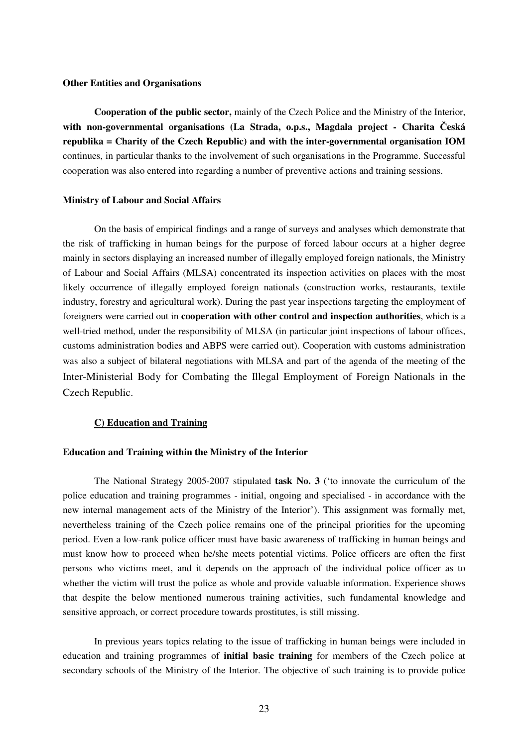#### **Other Entities and Organisations**

**Cooperation of the public sector,** mainly of the Czech Police and the Ministry of the Interior, **with non-governmental organisations (La Strada, o.p.s., Magdala project - Charita eská republika = Charity of the Czech Republic) and with the inter-governmental organisation IOM** continues, in particular thanks to the involvement of such organisations in the Programme. Successful cooperation was also entered into regarding a number of preventive actions and training sessions.

#### **Ministry of Labour and Social Affairs**

On the basis of empirical findings and a range of surveys and analyses which demonstrate that the risk of trafficking in human beings for the purpose of forced labour occurs at a higher degree mainly in sectors displaying an increased number of illegally employed foreign nationals, the Ministry of Labour and Social Affairs (MLSA) concentrated its inspection activities on places with the most likely occurrence of illegally employed foreign nationals (construction works, restaurants, textile industry, forestry and agricultural work). During the past year inspections targeting the employment of foreigners were carried out in **cooperation with other control and inspection authorities**, which is a well-tried method, under the responsibility of MLSA (in particular joint inspections of labour offices, customs administration bodies and ABPS were carried out). Cooperation with customs administration was also a subject of bilateral negotiations with MLSA and part of the agenda of the meeting of the Inter-Ministerial Body for Combating the Illegal Employment of Foreign Nationals in the Czech Republic.

#### **C) Education and Training**

#### **Education and Training within the Ministry of the Interior**

The National Strategy 2005-2007 stipulated **task No. 3** ('to innovate the curriculum of the police education and training programmes - initial, ongoing and specialised - in accordance with the new internal management acts of the Ministry of the Interior'). This assignment was formally met, nevertheless training of the Czech police remains one of the principal priorities for the upcoming period. Even a low-rank police officer must have basic awareness of trafficking in human beings and must know how to proceed when he/she meets potential victims. Police officers are often the first persons who victims meet, and it depends on the approach of the individual police officer as to whether the victim will trust the police as whole and provide valuable information. Experience shows that despite the below mentioned numerous training activities, such fundamental knowledge and sensitive approach, or correct procedure towards prostitutes, is still missing.

In previous years topics relating to the issue of trafficking in human beings were included in education and training programmes of **initial basic training** for members of the Czech police at secondary schools of the Ministry of the Interior. The objective of such training is to provide police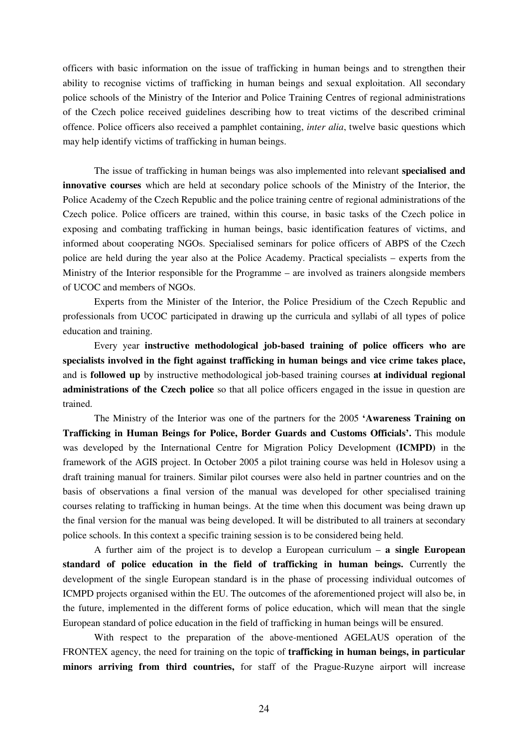officers with basic information on the issue of trafficking in human beings and to strengthen their ability to recognise victims of trafficking in human beings and sexual exploitation. All secondary police schools of the Ministry of the Interior and Police Training Centres of regional administrations of the Czech police received guidelines describing how to treat victims of the described criminal offence. Police officers also received a pamphlet containing, *inter alia*, twelve basic questions which may help identify victims of trafficking in human beings.

The issue of trafficking in human beings was also implemented into relevant **specialised and innovative courses** which are held at secondary police schools of the Ministry of the Interior, the Police Academy of the Czech Republic and the police training centre of regional administrations of the Czech police. Police officers are trained, within this course, in basic tasks of the Czech police in exposing and combating trafficking in human beings, basic identification features of victims, and informed about cooperating NGOs. Specialised seminars for police officers of ABPS of the Czech police are held during the year also at the Police Academy. Practical specialists – experts from the Ministry of the Interior responsible for the Programme – are involved as trainers alongside members of UCOC and members of NGOs.

Experts from the Minister of the Interior, the Police Presidium of the Czech Republic and professionals from UCOC participated in drawing up the curricula and syllabi of all types of police education and training.

Every year **instructive methodological job-based training of police officers who are specialists involved in the fight against trafficking in human beings and vice crime takes place,** and is **followed up** by instructive methodological job-based training courses **at individual regional administrations of the Czech police** so that all police officers engaged in the issue in question are trained.

The Ministry of the Interior was one of the partners for the 2005 **'Awareness Training on Trafficking in Human Beings for Police, Border Guards and Customs Officials'.** This module was developed by the International Centre for Migration Policy Development **(ICMPD)** in the framework of the AGIS project. In October 2005 a pilot training course was held in Holesov using a draft training manual for trainers. Similar pilot courses were also held in partner countries and on the basis of observations a final version of the manual was developed for other specialised training courses relating to trafficking in human beings. At the time when this document was being drawn up the final version for the manual was being developed. It will be distributed to all trainers at secondary police schools. In this context a specific training session is to be considered being held.

A further aim of the project is to develop a European curriculum – **a single European standard of police education in the field of trafficking in human beings.** Currently the development of the single European standard is in the phase of processing individual outcomes of ICMPD projects organised within the EU. The outcomes of the aforementioned project will also be, in the future, implemented in the different forms of police education, which will mean that the single European standard of police education in the field of trafficking in human beings will be ensured.

With respect to the preparation of the above-mentioned AGELAUS operation of the FRONTEX agency, the need for training on the topic of **trafficking in human beings, in particular minors arriving from third countries,** for staff of the Prague-Ruzyne airport will increase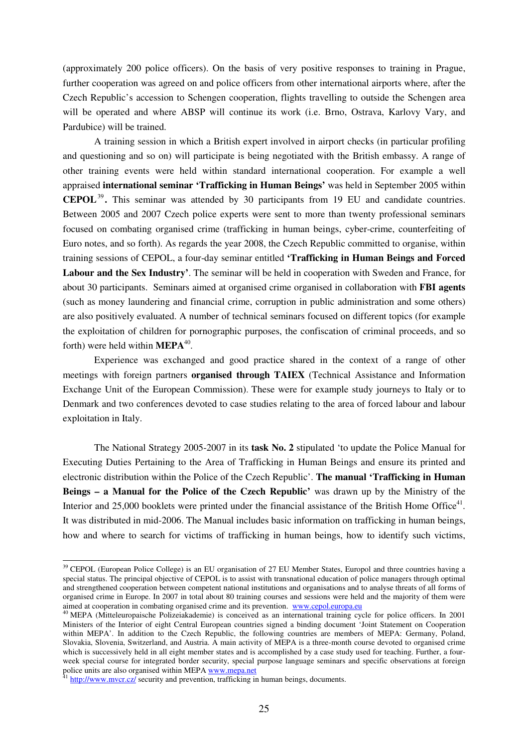(approximately 200 police officers). On the basis of very positive responses to training in Prague, further cooperation was agreed on and police officers from other international airports where, after the Czech Republic's accession to Schengen cooperation, flights travelling to outside the Schengen area will be operated and where ABSP will continue its work (i.e. Brno, Ostrava, Karlovy Vary, and Pardubice) will be trained.

A training session in which a British expert involved in airport checks (in particular profiling and questioning and so on) will participate is being negotiated with the British embassy. A range of other training events were held within standard international cooperation. For example a well appraised **international seminar 'Trafficking in Human Beings'** was held in September 2005 within **CEPOL** 39 **.** This seminar was attended by 30 participants from 19 EU and candidate countries. Between 2005 and 2007 Czech police experts were sent to more than twenty professional seminars focused on combating organised crime (trafficking in human beings, cyber-crime, counterfeiting of Euro notes, and so forth). As regards the year 2008, the Czech Republic committed to organise, within training sessions of CEPOL, a four-day seminar entitled **'Trafficking in Human Beings and Forced Labour and the Sex Industry'**. The seminar will be held in cooperation with Sweden and France, for about 30 participants. Seminars aimed at organised crime organised in collaboration with **FBI agents** (such as money laundering and financial crime, corruption in public administration and some others) are also positively evaluated. A number of technical seminars focused on different topics (for example the exploitation of children for pornographic purposes, the confiscation of criminal proceeds, and so forth) were held within **MEPA** 40 .

Experience was exchanged and good practice shared in the context of a range of other meetings with foreign partners **organised through TAIEX** (Technical Assistance and Information Exchange Unit of the European Commission). These were for example study journeys to Italy or to Denmark and two conferences devoted to case studies relating to the area of forced labour and labour exploitation in Italy.

The National Strategy 2005-2007 in its **task No. 2** stipulated 'to update the Police Manual for Executing Duties Pertaining to the Area of Trafficking in Human Beings and ensure its printed and electronic distribution within the Police of the Czech Republic'. **The manual 'Trafficking in Human Beings – a Manual for the Police of the Czech Republic'** was drawn up by the Ministry of the Interior and 25,000 booklets were printed under the financial assistance of the British Home Office<sup>41</sup>. It was distributed in mid-2006. The Manual includes basic information on trafficking in human beings, how and where to search for victims of trafficking in human beings, how to identify such victims,

<sup>&</sup>lt;sup>39</sup> CEPOL (European Police College) is an EU organisation of 27 EU Member States, Europol and three countries having a special status. The principal objective of CEPOL is to assist with transnational education of police managers through optimal and strengthened cooperation between competent national institutions and organisations and to analyse threats of all forms of organised crime in Europe. In 2007 in total about 80 training courses and sessions were held and the majority of them were aimed at cooperation in combating organised crime and its prevention. www.cepol.europa.eu

<sup>40</sup> MEPA (Mitteleuropaische Polizeiakademie) is conceived as an international training cycle for police officers. In 2001 Ministers of the Interior of eight Central European countries signed a binding document 'Joint Statement on Cooperation within MEPA'. In addition to the Czech Republic, the following countries are members of MEPA: Germany, Poland, Slovakia, Slovenia, Switzerland, and Austria. A main activity of MEPA is a three-month course devoted to organised crime which is successively held in all eight member states and is accomplished by a case study used for teaching. Further, a fourweek special course for integrated border security, special purpose language seminars and specific observations at foreign police units are also organised within MEPA www.mepa.net<br><sup>41</sup> http://www.mycr.cz/.security.and prevention.trafficking.in

http://www.mvcr.cz/ security and prevention, trafficking in human beings, documents.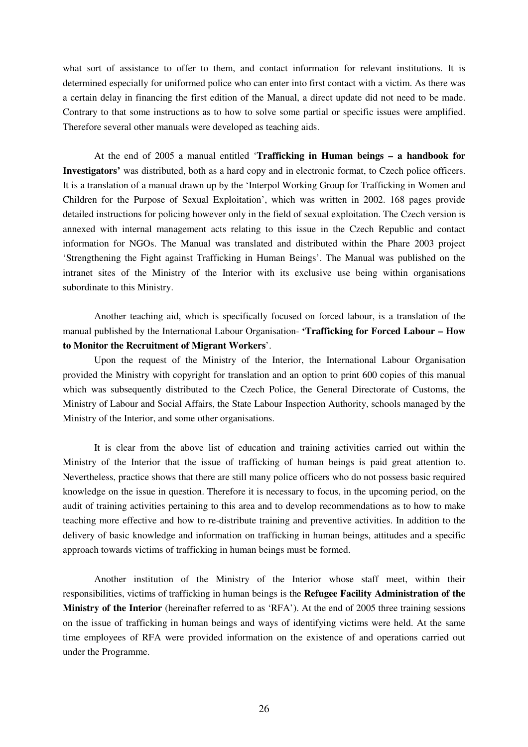what sort of assistance to offer to them, and contact information for relevant institutions. It is determined especially for uniformed police who can enter into first contact with a victim. As there was a certain delay in financing the first edition of the Manual, a direct update did not need to be made. Contrary to that some instructions as to how to solve some partial or specific issues were amplified. Therefore several other manuals were developed as teaching aids.

At the end of 2005 a manual entitled '**Trafficking in Human beings – a handbook for Investigators'** was distributed, both as a hard copy and in electronic format, to Czech police officers. It is a translation of a manual drawn up by the 'Interpol Working Group for Trafficking in Women and Children for the Purpose of Sexual Exploitation', which was written in 2002. 168 pages provide detailed instructions for policing however only in the field of sexual exploitation. The Czech version is annexed with internal management acts relating to this issue in the Czech Republic and contact information for NGOs. The Manual was translated and distributed within the Phare 2003 project 'Strengthening the Fight against Trafficking in Human Beings'. The Manual was published on the intranet sites of the Ministry of the Interior with its exclusive use being within organisations subordinate to this Ministry.

Another teaching aid, which is specifically focused on forced labour, is a translation of the manual published by the International Labour Organisation- **'Trafficking for Forced Labour – How to Monitor the Recruitment of Migrant Workers**'.

Upon the request of the Ministry of the Interior, the International Labour Organisation provided the Ministry with copyright for translation and an option to print 600 copies of this manual which was subsequently distributed to the Czech Police, the General Directorate of Customs, the Ministry of Labour and Social Affairs, the State Labour Inspection Authority, schools managed by the Ministry of the Interior, and some other organisations.

It is clear from the above list of education and training activities carried out within the Ministry of the Interior that the issue of trafficking of human beings is paid great attention to. Nevertheless, practice shows that there are still many police officers who do not possess basic required knowledge on the issue in question. Therefore it is necessary to focus, in the upcoming period, on the audit of training activities pertaining to this area and to develop recommendations as to how to make teaching more effective and how to re-distribute training and preventive activities. In addition to the delivery of basic knowledge and information on trafficking in human beings, attitudes and a specific approach towards victims of trafficking in human beings must be formed.

Another institution of the Ministry of the Interior whose staff meet, within their responsibilities, victims of trafficking in human beings is the **Refugee Facility Administration of the Ministry of the Interior** (hereinafter referred to as 'RFA'). At the end of 2005 three training sessions on the issue of trafficking in human beings and ways of identifying victims were held. At the same time employees of RFA were provided information on the existence of and operations carried out under the Programme.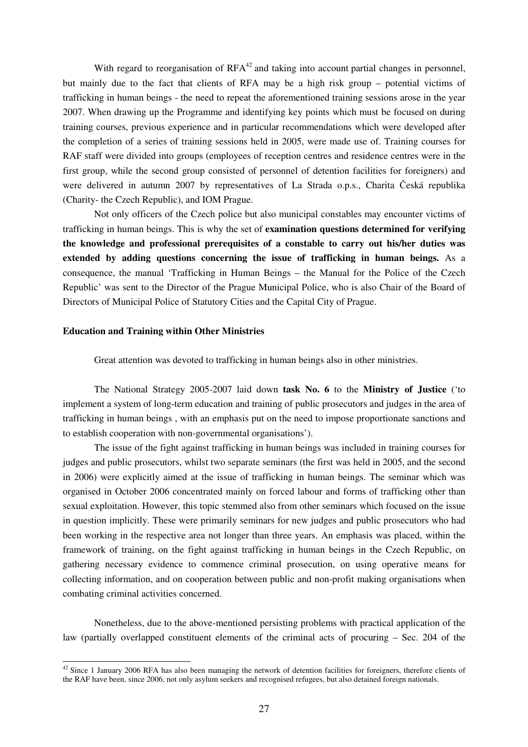With regard to reorganisation of  $RFA^{42}$  and taking into account partial changes in personnel, but mainly due to the fact that clients of RFA may be a high risk group – potential victims of trafficking in human beings - the need to repeat the aforementioned training sessions arose in the year 2007. When drawing up the Programme and identifying key points which must be focused on during training courses, previous experience and in particular recommendations which were developed after the completion of a series of training sessions held in 2005, were made use of. Training courses for RAF staff were divided into groups (employees of reception centres and residence centres were in the first group, while the second group consisted of personnel of detention facilities for foreigners) and were delivered in autumn 2007 by representatives of La Strada o.p.s., Charita Česká republika (Charity- the Czech Republic), and IOM Prague.

Not only officers of the Czech police but also municipal constables may encounter victims of trafficking in human beings. This is why the set of **examination questions determined for verifying the knowledge and professional prerequisites of a constable to carry out his/her duties was extended by adding questions concerning the issue of trafficking in human beings.** As a consequence, the manual 'Trafficking in Human Beings – the Manual for the Police of the Czech Republic' was sent to the Director of the Prague Municipal Police, who is also Chair of the Board of Directors of Municipal Police of Statutory Cities and the Capital City of Prague.

#### **Education and Training within Other Ministries**

Great attention was devoted to trafficking in human beings also in other ministries.

The National Strategy 2005-2007 laid down **task No. 6** to the **Ministry of Justice** ('to implement a system of long-term education and training of public prosecutors and judges in the area of trafficking in human beings , with an emphasis put on the need to impose proportionate sanctions and to establish cooperation with non-governmental organisations').

The issue of the fight against trafficking in human beings was included in training courses for judges and public prosecutors, whilst two separate seminars (the first was held in 2005, and the second in 2006) were explicitly aimed at the issue of trafficking in human beings. The seminar which was organised in October 2006 concentrated mainly on forced labour and forms of trafficking other than sexual exploitation. However, this topic stemmed also from other seminars which focused on the issue in question implicitly. These were primarily seminars for new judges and public prosecutors who had been working in the respective area not longer than three years. An emphasis was placed, within the framework of training, on the fight against trafficking in human beings in the Czech Republic, on gathering necessary evidence to commence criminal prosecution, on using operative means for collecting information, and on cooperation between public and non-profit making organisations when combating criminal activities concerned.

Nonetheless, due to the above-mentioned persisting problems with practical application of the law (partially overlapped constituent elements of the criminal acts of procuring – Sec. 204 of the

 $42$  Since 1 January 2006 RFA has also been managing the network of detention facilities for foreigners, therefore clients of the RAF have been, since 2006, not only asylum seekers and recognised refugees, but also detained foreign nationals.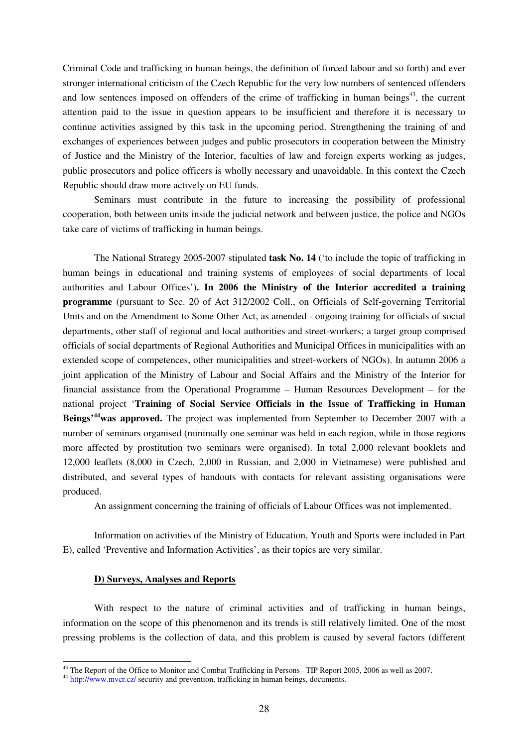Criminal Code and trafficking in human beings, the definition of forced labour and so forth) and ever stronger international criticism of the Czech Republic for the very low numbers of sentenced offenders and low sentences imposed on offenders of the crime of trafficking in human beings<sup>43</sup>, the current attention paid to the issue in question appears to be insufficient and therefore it is necessary to continue activities assigned by this task in the upcoming period. Strengthening the training of and exchanges of experiences between judges and public prosecutors in cooperation between the Ministry of Justice and the Ministry of the Interior, faculties of law and foreign experts working as judges, public prosecutors and police officers is wholly necessary and unavoidable. In this context the Czech Republic should draw more actively on EU funds.

Seminars must contribute in the future to increasing the possibility of professional cooperation, both between units inside the judicial network and between justice, the police and NGOs take care of victims of trafficking in human beings.

The National Strategy 2005-2007 stipulated **task No. 14** ('to include the topic of trafficking in human beings in educational and training systems of employees of social departments of local authorities and Labour Offices')**. In 2006 the Ministry of the Interior accredited a training programme** (pursuant to Sec. 20 of Act 312/2002 Coll., on Officials of Self-governing Territorial Units and on the Amendment to Some Other Act, as amended - ongoing training for officials of social departments, other staff of regional and local authorities and street-workers; a target group comprised officials of social departments of Regional Authorities and Municipal Offices in municipalities with an extended scope of competences, other municipalities and street-workers of NGOs). In autumn 2006 a joint application of the Ministry of Labour and Social Affairs and the Ministry of the Interior for financial assistance from the Operational Programme – Human Resources Development – for the national project '**Training of Social Service Officials in the Issue of Trafficking in Human Beings' <sup>44</sup>was approved.** The project was implemented from September to December 2007 with a number of seminars organised (minimally one seminar was held in each region, while in those regions more affected by prostitution two seminars were organised). In total 2,000 relevant booklets and 12,000 leaflets (8,000 in Czech, 2,000 in Russian, and 2,000 in Vietnamese) were published and distributed, and several types of handouts with contacts for relevant assisting organisations were produced.

An assignment concerning the training of officials of Labour Offices was not implemented.

Information on activities of the Ministry of Education, Youth and Sports were included in Part E), called 'Preventive and Information Activities', as their topics are very similar.

#### **D) Surveys, Analyses and Reports**

With respect to the nature of criminal activities and of trafficking in human beings, information on the scope of this phenomenon and its trends is still relatively limited. One of the most pressing problems is the collection of data, and this problem is caused by several factors (different

<sup>43</sup> The Report of the Office to Monitor and Combat Trafficking in Persons– TIP Report 2005, 2006 as well as 2007.

<sup>&</sup>lt;sup>44</sup> http://www.mvcr.cz/ security and prevention, trafficking in human beings, documents.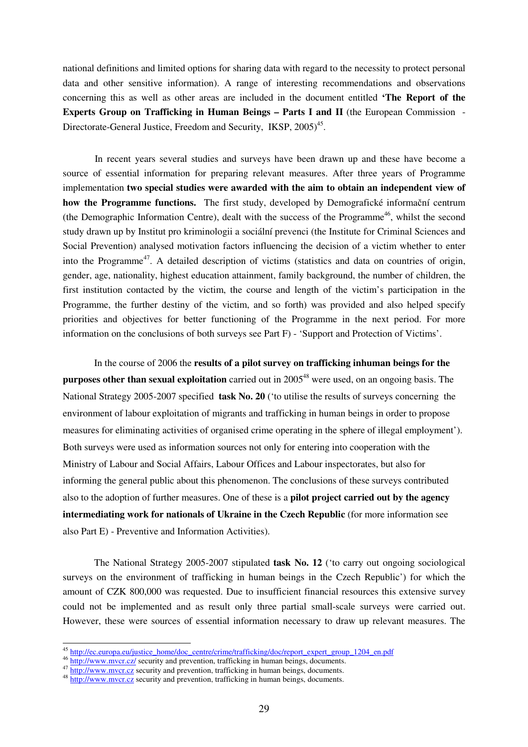national definitions and limited options for sharing data with regard to the necessity to protect personal data and other sensitive information). A range of interesting recommendations and observations concerning this as well as other areas are included in the document entitled **'The Report of the Experts Group on Trafficking in Human Beings – Parts I and II** (the European Commission - Directorate-General Justice, Freedom and Security, IKSP, 2005)<sup>45</sup>.

In recent years several studies and surveys have been drawn up and these have become a source of essential information for preparing relevant measures. After three years of Programme implementation **two special studies were awarded with the aim to obtain an independent view of how the Programme functions.** The first study, developed by Demografické informační centrum (the Demographic Information Centre), dealt with the success of the Programme<sup>46</sup>, whilst the second study drawn up by Institut pro kriminologii a sociální prevenci (the Institute for Criminal Sciences and Social Prevention) analysed motivation factors influencing the decision of a victim whether to enter into the Programme<sup>47</sup>. A detailed description of victims (statistics and data on countries of origin, gender, age, nationality, highest education attainment, family background, the number of children, the first institution contacted by the victim, the course and length of the victim's participation in the Programme, the further destiny of the victim, and so forth) was provided and also helped specify priorities and objectives for better functioning of the Programme in the next period. For more information on the conclusions of both surveys see Part F) - 'Support and Protection of Victims'.

In the course of 2006 the **results of a pilot survey on trafficking inhuman beings for the purposes other than sexual exploitation** carried out in 2005 <sup>48</sup> were used, on an ongoing basis. The National Strategy 2005-2007 specified **task No. 20** ('to utilise the results of surveys concerning the environment of labour exploitation of migrants and trafficking in human beings in order to propose measures for eliminating activities of organised crime operating in the sphere of illegal employment'). Both surveys were used as information sources not only for entering into cooperation with the Ministry of Labour and Social Affairs, Labour Offices and Labour inspectorates, but also for informing the general public about this phenomenon. The conclusions of these surveys contributed also to the adoption of further measures. One of these is a **pilot project carried out by the agency intermediating work for nationals of Ukraine in the Czech Republic** (for more information see also Part E) - Preventive and Information Activities).

The National Strategy 2005-2007 stipulated **task No. 12** ('to carry out ongoing sociological surveys on the environment of trafficking in human beings in the Czech Republic') for which the amount of CZK 800,000 was requested. Due to insufficient financial resources this extensive survey could not be implemented and as result only three partial small-scale surveys were carried out. However, these were sources of essential information necessary to draw up relevant measures. The

<sup>&</sup>lt;sup>45</sup> http://ec.europa.eu/justice\_home/doc\_centre/crime/trafficking/doc/report\_expert\_group\_1204\_en.pdf

<sup>&</sup>lt;sup>46</sup> http://www.mvcr.cz/ security and prevention, trafficking in human beings, documents.

<sup>&</sup>lt;sup>47</sup> http://www.mvcr.cz security and prevention, trafficking in human beings, documents.

<sup>&</sup>lt;sup>48</sup> http://www.mvcr.cz security and prevention, trafficking in human beings, documents.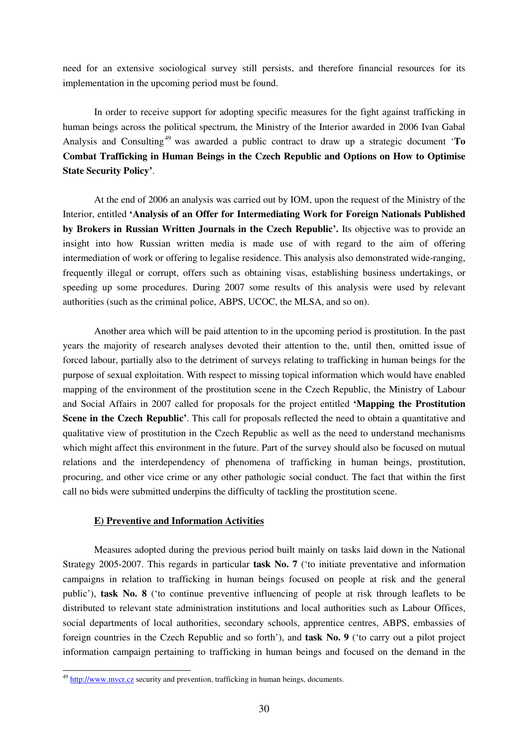need for an extensive sociological survey still persists, and therefore financial resources for its implementation in the upcoming period must be found.

In order to receive support for adopting specific measures for the fight against trafficking in human beings across the political spectrum, the Ministry of the Interior awarded in 2006 Ivan Gabal Analysis and Consulting <sup>49</sup> was awarded a public contract to draw up a strategic document '**To Combat Trafficking in Human Beings in the Czech Republic and Options on How to Optimise State Security Policy'**.

At the end of 2006 an analysis was carried out by IOM, upon the request of the Ministry of the Interior, entitled **'Analysis of an Offer for Intermediating Work for Foreign Nationals Published by Brokers in Russian Written Journals in the Czech Republic'.** Its objective was to provide an insight into how Russian written media is made use of with regard to the aim of offering intermediation of work or offering to legalise residence. This analysis also demonstrated wide-ranging, frequently illegal or corrupt, offers such as obtaining visas, establishing business undertakings, or speeding up some procedures. During 2007 some results of this analysis were used by relevant authorities (such as the criminal police, ABPS, UCOC, the MLSA, and so on).

Another area which will be paid attention to in the upcoming period is prostitution. In the past years the majority of research analyses devoted their attention to the, until then, omitted issue of forced labour, partially also to the detriment of surveys relating to trafficking in human beings for the purpose of sexual exploitation. With respect to missing topical information which would have enabled mapping of the environment of the prostitution scene in the Czech Republic, the Ministry of Labour and Social Affairs in 2007 called for proposals for the project entitled **'Mapping the Prostitution Scene in the Czech Republic'**. This call for proposals reflected the need to obtain a quantitative and qualitative view of prostitution in the Czech Republic as well as the need to understand mechanisms which might affect this environment in the future. Part of the survey should also be focused on mutual relations and the interdependency of phenomena of trafficking in human beings, prostitution, procuring, and other vice crime or any other pathologic social conduct. The fact that within the first call no bids were submitted underpins the difficulty of tackling the prostitution scene.

#### **E) Preventive and Information Activities**

Measures adopted during the previous period built mainly on tasks laid down in the National Strategy 2005-2007. This regards in particular **task No. 7** ('to initiate preventative and information campaigns in relation to trafficking in human beings focused on people at risk and the general public'), **task No. 8** ('to continue preventive influencing of people at risk through leaflets to be distributed to relevant state administration institutions and local authorities such as Labour Offices, social departments of local authorities, secondary schools, apprentice centres, ABPS, embassies of foreign countries in the Czech Republic and so forth'), and **task No. 9** ('to carry out a pilot project information campaign pertaining to trafficking in human beings and focused on the demand in the

<sup>&</sup>lt;sup>49</sup> http://www.mvcr.cz security and prevention, trafficking in human beings, documents.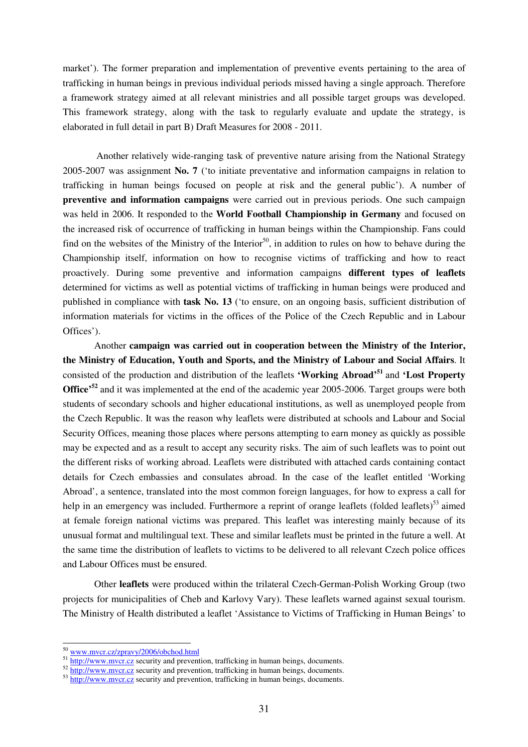market'). The former preparation and implementation of preventive events pertaining to the area of trafficking in human beings in previous individual periods missed having a single approach. Therefore a framework strategy aimed at all relevant ministries and all possible target groups was developed. This framework strategy, along with the task to regularly evaluate and update the strategy, is elaborated in full detail in part B) Draft Measures for 2008 - 2011.

Another relatively wide-ranging task of preventive nature arising from the National Strategy 2005-2007 was assignment **No. 7** ('to initiate preventative and information campaigns in relation to trafficking in human beings focused on people at risk and the general public'). A number of **preventive and information campaigns** were carried out in previous periods. One such campaign was held in 2006. It responded to the **World Football Championship in Germany** and focused on the increased risk of occurrence of trafficking in human beings within the Championship. Fans could find on the websites of the Ministry of the Interior<sup>50</sup>, in addition to rules on how to behave during the Championship itself, information on how to recognise victims of trafficking and how to react proactively. During some preventive and information campaigns **different types of leaflets** determined for victims as well as potential victims of trafficking in human beings were produced and published in compliance with **task No. 13** ('to ensure, on an ongoing basis, sufficient distribution of information materials for victims in the offices of the Police of the Czech Republic and in Labour Offices').

Another **campaign was carried out in cooperation between the Ministry of the Interior, the Ministry of Education, Youth and Sports, and the Ministry of Labour and Social Affairs**. It consisted of the production and distribution of the leaflets **'Working Abroad' 51** and **'Lost Property Office<sup>,52</sup>** and it was implemented at the end of the academic year 2005-2006. Target groups were both students of secondary schools and higher educational institutions, as well as unemployed people from the Czech Republic. It was the reason why leaflets were distributed at schools and Labour and Social Security Offices, meaning those places where persons attempting to earn money as quickly as possible may be expected and as a result to accept any security risks. The aim of such leaflets was to point out the different risks of working abroad. Leaflets were distributed with attached cards containing contact details for Czech embassies and consulates abroad. In the case of the leaflet entitled 'Working Abroad', a sentence, translated into the most common foreign languages, for how to express a call for help in an emergency was included. Furthermore a reprint of orange leaflets (folded leaflets)<sup>53</sup> aimed at female foreign national victims was prepared. This leaflet was interesting mainly because of its unusual format and multilingual text. These and similar leaflets must be printed in the future a well. At the same time the distribution of leaflets to victims to be delivered to all relevant Czech police offices and Labour Offices must be ensured.

Other **leaflets** were produced within the trilateral Czech-German-Polish Working Group (two projects for municipalities of Cheb and Karlovy Vary). These leaflets warned against sexual tourism. The Ministry of Health distributed a leaflet 'Assistance to Victims of Trafficking in Human Beings' to

<sup>50</sup> www.mvcr.cz/zpravy/2006/obchod.html

<sup>&</sup>lt;sup>51</sup> http://www.mvcr.cz security and prevention, trafficking in human beings, documents.

<sup>&</sup>lt;sup>52</sup> http://www.mvcr.cz security and prevention, trafficking in human beings, documents.

<sup>&</sup>lt;sup>53</sup> http://www.mvcr.cz security and prevention, trafficking in human beings, documents.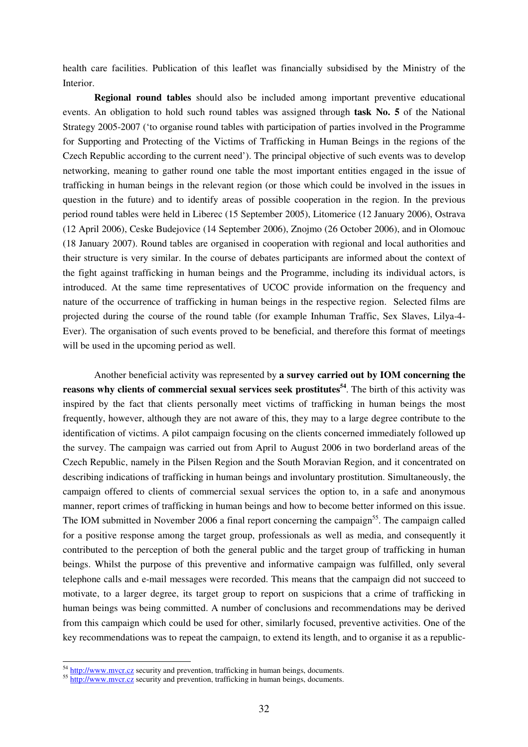health care facilities. Publication of this leaflet was financially subsidised by the Ministry of the Interior.

**Regional round tables** should also be included among important preventive educational events. An obligation to hold such round tables was assigned through **task No. 5** of the National Strategy 2005-2007 ('to organise round tables with participation of parties involved in the Programme for Supporting and Protecting of the Victims of Trafficking in Human Beings in the regions of the Czech Republic according to the current need'). The principal objective of such events was to develop networking, meaning to gather round one table the most important entities engaged in the issue of trafficking in human beings in the relevant region (or those which could be involved in the issues in question in the future) and to identify areas of possible cooperation in the region. In the previous period round tables were held in Liberec (15 September 2005), Litomerice (12 January 2006), Ostrava (12 April 2006), Ceske Budejovice (14 September 2006), Znojmo (26 October 2006), and in Olomouc (18 January 2007). Round tables are organised in cooperation with regional and local authorities and their structure is very similar. In the course of debates participants are informed about the context of the fight against trafficking in human beings and the Programme, including its individual actors, is introduced. At the same time representatives of UCOC provide information on the frequency and nature of the occurrence of trafficking in human beings in the respective region. Selected films are projected during the course of the round table (for example Inhuman Traffic, Sex Slaves, Lilya-4- Ever). The organisation of such events proved to be beneficial, and therefore this format of meetings will be used in the upcoming period as well.

Another beneficial activity was represented by **a survey carried out by IOM concerning the reasons why clients of commercial sexual services seek prostitutes 54** . The birth of this activity was inspired by the fact that clients personally meet victims of trafficking in human beings the most frequently, however, although they are not aware of this, they may to a large degree contribute to the identification of victims. A pilot campaign focusing on the clients concerned immediately followed up the survey. The campaign was carried out from April to August 2006 in two borderland areas of the Czech Republic, namely in the Pilsen Region and the South Moravian Region, and it concentrated on describing indications of trafficking in human beings and involuntary prostitution. Simultaneously, the campaign offered to clients of commercial sexual services the option to, in a safe and anonymous manner, report crimes of trafficking in human beings and how to become better informed on this issue. The IOM submitted in November 2006 a final report concerning the campaign<sup>55</sup>. The campaign called for a positive response among the target group, professionals as well as media, and consequently it contributed to the perception of both the general public and the target group of trafficking in human beings. Whilst the purpose of this preventive and informative campaign was fulfilled, only several telephone calls and e-mail messages were recorded. This means that the campaign did not succeed to motivate, to a larger degree, its target group to report on suspicions that a crime of trafficking in human beings was being committed. A number of conclusions and recommendations may be derived from this campaign which could be used for other, similarly focused, preventive activities. One of the key recommendations was to repeat the campaign, to extend its length, and to organise it as a republic-

<sup>&</sup>lt;sup>54</sup> http://www.mvcr.cz security and prevention, trafficking in human beings, documents.

<sup>&</sup>lt;sup>55</sup> http://www.mvcr.cz security and prevention, trafficking in human beings, documents.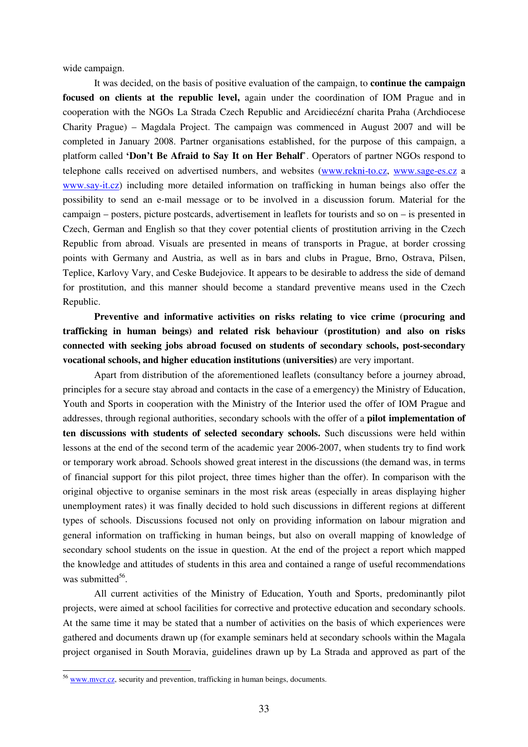wide campaign.

It was decided, on the basis of positive evaluation of the campaign, to **continue the campaign focused on clients at the republic level,** again under the coordination of IOM Prague and in cooperation with the NGOs La Strada Czech Republic and Arcidiecézní charita Praha (Archdiocese Charity Prague) – Magdala Project. The campaign was commenced in August 2007 and will be completed in January 2008. Partner organisations established, for the purpose of this campaign, a platform called **'Don't Be Afraid to Say It on Her Behalf**'. Operators of partner NGOs respond to telephone calls received on advertised numbers, and websites (www.rekni-to.cz, www.sage-es.cz a www.say-it.cz) including more detailed information on trafficking in human beings also offer the possibility to send an e-mail message or to be involved in a discussion forum. Material for the campaign – posters, picture postcards, advertisement in leaflets for tourists and so on – is presented in Czech, German and English so that they cover potential clients of prostitution arriving in the Czech Republic from abroad. Visuals are presented in means of transports in Prague, at border crossing points with Germany and Austria, as well as in bars and clubs in Prague, Brno, Ostrava, Pilsen, Teplice, Karlovy Vary, and Ceske Budejovice. It appears to be desirable to address the side of demand for prostitution, and this manner should become a standard preventive means used in the Czech Republic.

**Preventive and informative activities on risks relating to vice crime (procuring and trafficking in human beings) and related risk behaviour (prostitution) and also on risks connected with seeking jobs abroad focused on students of secondary schools, post-secondary vocational schools, and higher education institutions (universities)** are very important.

Apart from distribution of the aforementioned leaflets (consultancy before a journey abroad, principles for a secure stay abroad and contacts in the case of a emergency) the Ministry of Education, Youth and Sports in cooperation with the Ministry of the Interior used the offer of IOM Prague and addresses, through regional authorities, secondary schools with the offer of a **pilot implementation of ten discussions with students of selected secondary schools.** Such discussions were held within lessons at the end of the second term of the academic year 2006-2007, when students try to find work or temporary work abroad. Schools showed great interest in the discussions (the demand was, in terms of financial support for this pilot project, three times higher than the offer). In comparison with the original objective to organise seminars in the most risk areas (especially in areas displaying higher unemployment rates) it was finally decided to hold such discussions in different regions at different types of schools. Discussions focused not only on providing information on labour migration and general information on trafficking in human beings, but also on overall mapping of knowledge of secondary school students on the issue in question. At the end of the project a report which mapped the knowledge and attitudes of students in this area and contained a range of useful recommendations was submitted<sup>56</sup>.

All current activities of the Ministry of Education, Youth and Sports, predominantly pilot projects, were aimed at school facilities for corrective and protective education and secondary schools. At the same time it may be stated that a number of activities on the basis of which experiences were gathered and documents drawn up (for example seminars held at secondary schools within the Magala project organised in South Moravia, guidelines drawn up by La Strada and approved as part of the

 $56$  www.mvcr.cz, security and prevention, trafficking in human beings, documents.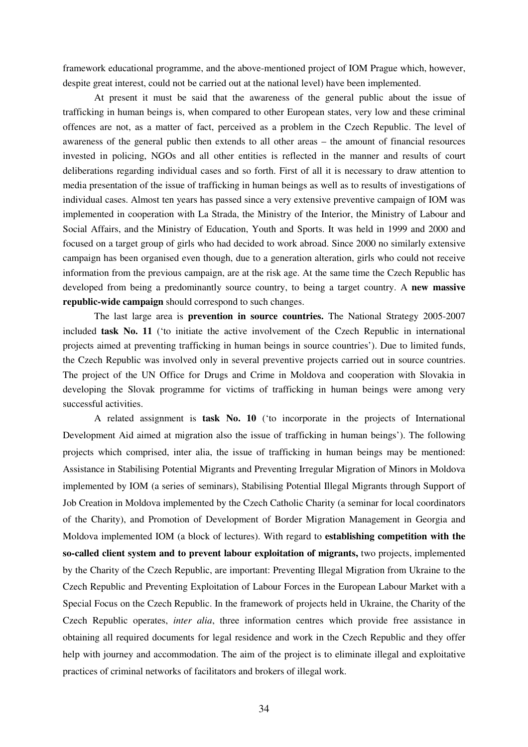framework educational programme, and the above-mentioned project of IOM Prague which, however, despite great interest, could not be carried out at the national level) have been implemented.

At present it must be said that the awareness of the general public about the issue of trafficking in human beings is, when compared to other European states, very low and these criminal offences are not, as a matter of fact, perceived as a problem in the Czech Republic. The level of awareness of the general public then extends to all other areas – the amount of financial resources invested in policing, NGOs and all other entities is reflected in the manner and results of court deliberations regarding individual cases and so forth. First of all it is necessary to draw attention to media presentation of the issue of trafficking in human beings as well as to results of investigations of individual cases. Almost ten years has passed since a very extensive preventive campaign of IOM was implemented in cooperation with La Strada, the Ministry of the Interior, the Ministry of Labour and Social Affairs, and the Ministry of Education, Youth and Sports. It was held in 1999 and 2000 and focused on a target group of girls who had decided to work abroad. Since 2000 no similarly extensive campaign has been organised even though, due to a generation alteration, girls who could not receive information from the previous campaign, are at the risk age. At the same time the Czech Republic has developed from being a predominantly source country, to being a target country. A **new massive republic-wide campaign** should correspond to such changes.

The last large area is **prevention in source countries.** The National Strategy 2005-2007 included **task No. 11** ('to initiate the active involvement of the Czech Republic in international projects aimed at preventing trafficking in human beings in source countries'). Due to limited funds, the Czech Republic was involved only in several preventive projects carried out in source countries. The project of the UN Office for Drugs and Crime in Moldova and cooperation with Slovakia in developing the Slovak programme for victims of trafficking in human beings were among very successful activities.

A related assignment is **task No. 10** ('to incorporate in the projects of International Development Aid aimed at migration also the issue of trafficking in human beings'). The following projects which comprised, inter alia, the issue of trafficking in human beings may be mentioned: Assistance in Stabilising Potential Migrants and Preventing Irregular Migration of Minors in Moldova implemented by IOM (a series of seminars), Stabilising Potential Illegal Migrants through Support of Job Creation in Moldova implemented by the Czech Catholic Charity (a seminar for local coordinators of the Charity), and Promotion of Development of Border Migration Management in Georgia and Moldova implemented IOM (a block of lectures). With regard to **establishing competition with the so-called client system and to prevent labour exploitation of migrants,** two projects, implemented by the Charity of the Czech Republic, are important: Preventing Illegal Migration from Ukraine to the Czech Republic and Preventing Exploitation of Labour Forces in the European Labour Market with a Special Focus on the Czech Republic. In the framework of projects held in Ukraine, the Charity of the Czech Republic operates, *inter alia*, three information centres which provide free assistance in obtaining all required documents for legal residence and work in the Czech Republic and they offer help with journey and accommodation. The aim of the project is to eliminate illegal and exploitative practices of criminal networks of facilitators and brokers of illegal work.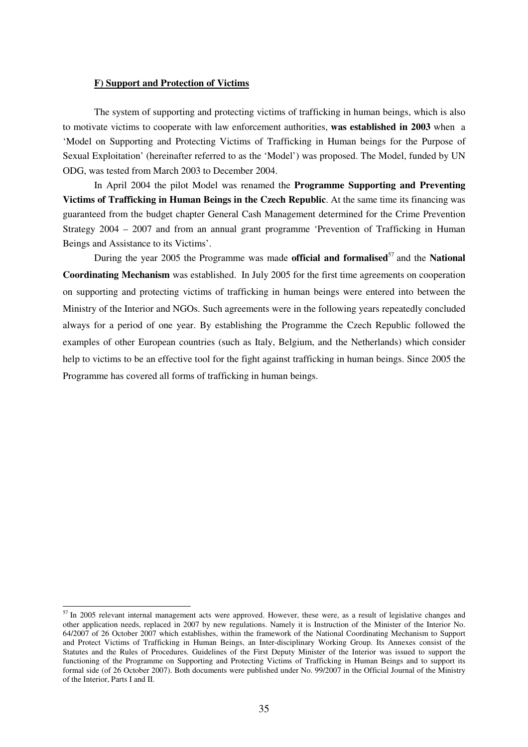#### **F) Support and Protection of Victims**

The system of supporting and protecting victims of trafficking in human beings, which is also to motivate victims to cooperate with law enforcement authorities, **was established in 2003** when a 'Model on Supporting and Protecting Victims of Trafficking in Human beings for the Purpose of Sexual Exploitation' (hereinafter referred to as the 'Model') was proposed. The Model, funded by UN ODG, was tested from March 2003 to December 2004.

In April 2004 the pilot Model was renamed the **Programme Supporting and Preventing Victims of Trafficking in Human Beings in the Czech Republic**. At the same time its financing was guaranteed from the budget chapter General Cash Management determined for the Crime Prevention Strategy 2004 – 2007 and from an annual grant programme 'Prevention of Trafficking in Human Beings and Assistance to its Victims'.

During the year 2005 the Programme was made **official and formalised** 57 and the **National Coordinating Mechanism** was established. In July 2005 for the first time agreements on cooperation on supporting and protecting victims of trafficking in human beings were entered into between the Ministry of the Interior and NGOs. Such agreements were in the following years repeatedly concluded always for a period of one year. By establishing the Programme the Czech Republic followed the examples of other European countries (such as Italy, Belgium, and the Netherlands) which consider help to victims to be an effective tool for the fight against trafficking in human beings. Since 2005 the Programme has covered all forms of trafficking in human beings.

 $57$  In 2005 relevant internal management acts were approved. However, these were, as a result of legislative changes and other application needs, replaced in 2007 by new regulations. Namely it is Instruction of the Minister of the Interior No. 64/2007 of 26 October 2007 which establishes, within the framework of the National Coordinating Mechanism to Support and Protect Victims of Trafficking in Human Beings, an Inter-disciplinary Working Group. Its Annexes consist of the Statutes and the Rules of Procedures. Guidelines of the First Deputy Minister of the Interior was issued to support the functioning of the Programme on Supporting and Protecting Victims of Trafficking in Human Beings and to support its formal side (of 26 October 2007). Both documents were published under No. 99/2007 in the Official Journal of the Ministry of the Interior, Parts I and II.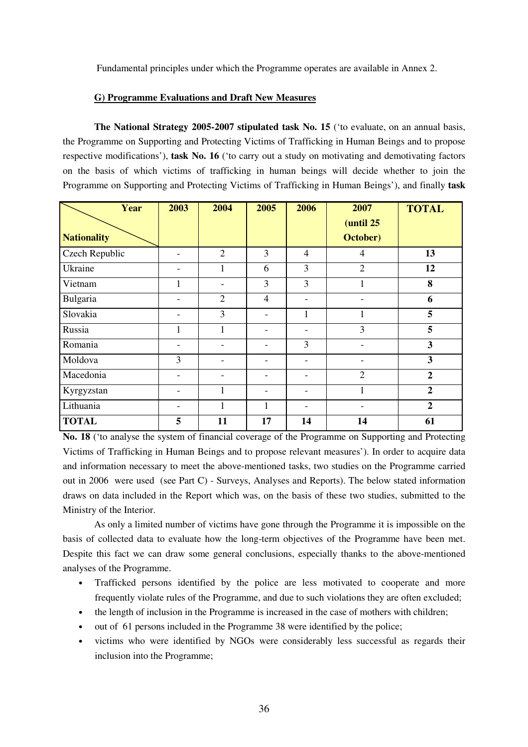Fundamental principles under which the Programme operates are available in Annex 2.

#### **G) Programme Evaluations and Draft New Measures**

**The National Strategy 2005-2007 stipulated task No. 15** ('to evaluate, on an annual basis, the Programme on Supporting and Protecting Victims of Trafficking in Human Beings and to propose respective modifications'), **task No. 16** ('to carry out a study on motivating and demotivating factors on the basis of which victims of trafficking in human beings will decide whether to join the Programme on Supporting and Protecting Victims of Trafficking in Human Beings'), and finally **task**

| Year               | 2003 | 2004           | 2005                     | 2006           | 2007<br>(until 25 | <b>TOTAL</b>   |
|--------------------|------|----------------|--------------------------|----------------|-------------------|----------------|
| <b>Nationality</b> |      |                |                          |                | October)          |                |
| Czech Republic     |      | $\overline{2}$ | 3                        | $\overline{4}$ | $\overline{4}$    | 13             |
| Ukraine            |      | $\mathbf{1}$   | 6                        | 3              | $\overline{2}$    | 12             |
| Vietnam            | 1    |                | 3                        | 3              | 1                 | 8              |
| Bulgaria           |      | $\overline{2}$ | $\overline{4}$           |                |                   | 6              |
| Slovakia           |      | 3              | $\overline{\phantom{a}}$ | $\mathbf{1}$   | 1                 | 5              |
| Russia             | 1    | 1              | $\overline{\phantom{a}}$ |                | 3                 | 5              |
| Romania            |      |                | $\overline{\phantom{0}}$ | 3              |                   | 3              |
| Moldova            | 3    | -              | $\overline{\phantom{a}}$ |                | ۰                 | $\mathbf{3}$   |
| Macedonia          |      |                | $\overline{\phantom{0}}$ |                | $\overline{2}$    | $\overline{2}$ |
| Kyrgyzstan         |      | 1              | $\overline{\phantom{a}}$ |                | 1                 | $\overline{2}$ |
| Lithuania          |      | 1              | $\mathbf{1}$             |                |                   | $\overline{2}$ |
| <b>TOTAL</b>       | 5    | 11             | 17                       | 14             | 14                | 61             |

**No. 18** ('to analyse the system of financial coverage of the Programme on Supporting and Protecting Victims of Trafficking in Human Beings and to propose relevant measures'). In order to acquire data and information necessary to meet the above-mentioned tasks, two studies on the Programme carried out in 2006 were used (see Part C) - Surveys, Analyses and Reports). The below stated information draws on data included in the Report which was, on the basis of these two studies, submitted to the Ministry of the Interior.

As only a limited number of victims have gone through the Programme it is impossible on the basis of collected data to evaluate how the long-term objectives of the Programme have been met. Despite this fact we can draw some general conclusions, especially thanks to the above-mentioned analyses of the Programme.

- Trafficked persons identified by the police are less motivated to cooperate and more frequently violate rules of the Programme, and due to such violations they are often excluded;
- the length of inclusion in the Programme is increased in the case of mothers with children;
- out of 61 persons included in the Programme 38 were identified by the police;
- victims who were identified by NGOs were considerably less successful as regards their inclusion into the Programme;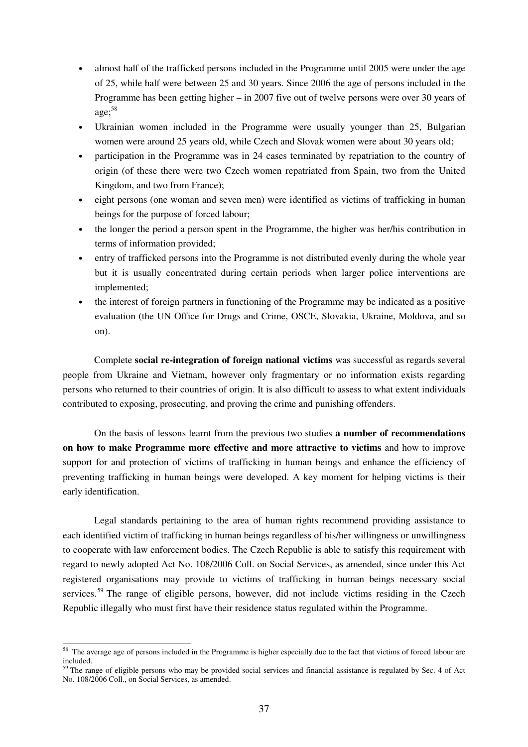- almost half of the trafficked persons included in the Programme until 2005 were under the age of 25, while half were between 25 and 30 years. Since 2006 the age of persons included in the Programme has been getting higher – in 2007 five out of twelve persons were over 30 years of age; 58
- Ukrainian women included in the Programme were usually younger than 25, Bulgarian women were around 25 years old, while Czech and Slovak women were about 30 years old;
- participation in the Programme was in 24 cases terminated by repatriation to the country of origin (of these there were two Czech women repatriated from Spain, two from the United Kingdom, and two from France);
- eight persons (one woman and seven men) were identified as victims of trafficking in human beings for the purpose of forced labour;
- the longer the period a person spent in the Programme, the higher was her/his contribution in terms of information provided;
- entry of trafficked persons into the Programme is not distributed evenly during the whole year but it is usually concentrated during certain periods when larger police interventions are implemented;
- the interest of foreign partners in functioning of the Programme may be indicated as a positive evaluation (the UN Office for Drugs and Crime, OSCE, Slovakia, Ukraine, Moldova, and so on).

Complete **social re-integration of foreign national victims** was successful as regards several people from Ukraine and Vietnam, however only fragmentary or no information exists regarding persons who returned to their countries of origin. It is also difficult to assess to what extent individuals contributed to exposing, prosecuting, and proving the crime and punishing offenders.

On the basis of lessons learnt from the previous two studies **a number of recommendations on how to make Programme more effective and more attractive to victims** and how to improve support for and protection of victims of trafficking in human beings and enhance the efficiency of preventing trafficking in human beings were developed. A key moment for helping victims is their early identification.

Legal standards pertaining to the area of human rights recommend providing assistance to each identified victim of trafficking in human beings regardless of his/her willingness or unwillingness to cooperate with law enforcement bodies. The Czech Republic is able to satisfy this requirement with regard to newly adopted Act No. 108/2006 Coll. on Social Services, as amended, since under this Act registered organisations may provide to victims of trafficking in human beings necessary social services.<sup>59</sup> The range of eligible persons, however, did not include victims residing in the Czech Republic illegally who must first have their residence status regulated within the Programme.

<sup>&</sup>lt;sup>58</sup> The average age of persons included in the Programme is higher especially due to the fact that victims of forced labour are included.

<sup>&</sup>lt;sup>59</sup> The range of eligible persons who may be provided social services and financial assistance is regulated by Sec. 4 of Act No. 108/2006 Coll., on Social Services, as amended.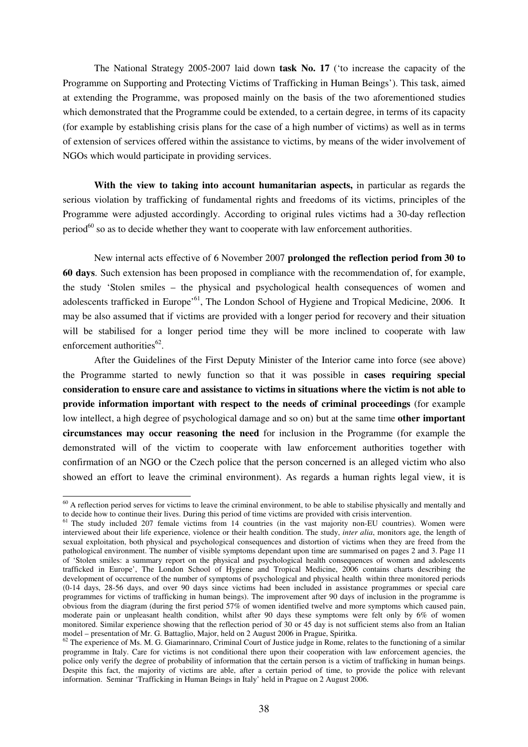The National Strategy 2005-2007 laid down **task No. 17** ('to increase the capacity of the Programme on Supporting and Protecting Victims of Trafficking in Human Beings'). This task, aimed at extending the Programme, was proposed mainly on the basis of the two aforementioned studies which demonstrated that the Programme could be extended, to a certain degree, in terms of its capacity (for example by establishing crisis plans for the case of a high number of victims) as well as in terms of extension of services offered within the assistance to victims, by means of the wider involvement of NGOs which would participate in providing services.

**With the view to taking into account humanitarian aspects,** in particular as regards the serious violation by trafficking of fundamental rights and freedoms of its victims, principles of the Programme were adjusted accordingly. According to original rules victims had a 30-day reflection period<sup>60</sup> so as to decide whether they want to cooperate with law enforcement authorities.

New internal acts effective of 6 November 2007 **prolonged the reflection period from 30 to 60 days**. Such extension has been proposed in compliance with the recommendation of, for example, the study 'Stolen smiles – the physical and psychological health consequences of women and adolescents trafficked in Europe'<sup>61</sup>, The London School of Hygiene and Tropical Medicine, 2006. It may be also assumed that if victims are provided with a longer period for recovery and their situation will be stabilised for a longer period time they will be more inclined to cooperate with law enforcement authorities<sup>62</sup>.

After the Guidelines of the First Deputy Minister of the Interior came into force (see above) the Programme started to newly function so that it was possible in **cases requiring special consideration to ensure care and assistance to victims in situations where the victim is not able to provide information important with respect to the needs of criminal proceedings** (for example low intellect, a high degree of psychological damage and so on) but at the same time **other important circumstances may occur reasoning the need** for inclusion in the Programme (for example the demonstrated will of the victim to cooperate with law enforcement authorities together with confirmation of an NGO or the Czech police that the person concerned is an alleged victim who also showed an effort to leave the criminal environment). As regards a human rights legal view, it is

 $<sup>60</sup>$  A reflection period serves for victims to leave the criminal environment, to be able to stabilise physically and mentally and</sup> to decide how to continue their lives. During this period of time victims are provided with crisis intervention.

<sup>&</sup>lt;sup>61</sup> The study included 207 female victims from 14 countries (in the vast majority non-EU countries). Women were interviewed about their life experience, violence or their health condition. The study, *inter alia*, monitors age, the length of sexual exploitation, both physical and psychological consequences and distortion of victims when they are freed from the pathological environment. The number of visible symptoms dependant upon time are summarised on pages 2 and 3. Page 11 of 'Stolen smiles: a summary report on the physical and psychological health consequences of women and adolescents trafficked in Europe', The London School of Hygiene and Tropical Medicine, 2006 contains charts describing the development of occurrence of the number of symptoms of psychological and physical health within three monitored periods (0-14 days, 28-56 days, and over 90 days since victims had been included in assistance programmes or special care programmes for victims of trafficking in human beings). The improvement after 90 days of inclusion in the programme is obvious from the diagram (during the first period 57% of women identified twelve and more symptoms which caused pain, moderate pain or unpleasant health condition, whilst after 90 days these symptoms were felt only by 6% of women monitored. Similar experience showing that the reflection period of 30 or 45 day is not sufficient stems also from an Italian model – presentation of Mr. G. Battaglio, Major, held on 2 August 2006 in Prague, Spiritka.

<sup>&</sup>lt;sup>62</sup> The experience of Ms. M. G. Giamarinnaro, Criminal Court of Justice judge in Rome, relates to the functioning of a similar programme in Italy. Care for victims is not conditional there upon their cooperation with law enforcement agencies, the police only verify the degree of probability of information that the certain person is a victim of trafficking in human beings. Despite this fact, the majority of victims are able, after a certain period of time, to provide the police with relevant information. Seminar 'Trafficking in Human Beings in Italy' held in Prague on 2 August 2006.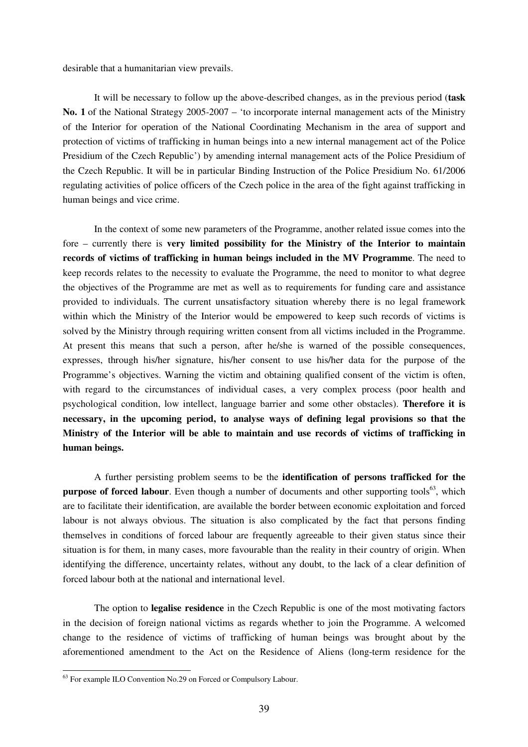desirable that a humanitarian view prevails.

It will be necessary to follow up the above-described changes, as in the previous period (**task No. 1** of the National Strategy 2005-2007 – 'to incorporate internal management acts of the Ministry of the Interior for operation of the National Coordinating Mechanism in the area of support and protection of victims of trafficking in human beings into a new internal management act of the Police Presidium of the Czech Republic') by amending internal management acts of the Police Presidium of the Czech Republic. It will be in particular Binding Instruction of the Police Presidium No. 61/2006 regulating activities of police officers of the Czech police in the area of the fight against trafficking in human beings and vice crime.

In the context of some new parameters of the Programme, another related issue comes into the fore – currently there is **very limited possibility for the Ministry of the Interior to maintain records of victims of trafficking in human beings included in the MV Programme**. The need to keep records relates to the necessity to evaluate the Programme, the need to monitor to what degree the objectives of the Programme are met as well as to requirements for funding care and assistance provided to individuals. The current unsatisfactory situation whereby there is no legal framework within which the Ministry of the Interior would be empowered to keep such records of victims is solved by the Ministry through requiring written consent from all victims included in the Programme. At present this means that such a person, after he/she is warned of the possible consequences, expresses, through his/her signature, his/her consent to use his/her data for the purpose of the Programme's objectives. Warning the victim and obtaining qualified consent of the victim is often, with regard to the circumstances of individual cases, a very complex process (poor health and psychological condition, low intellect, language barrier and some other obstacles). **Therefore it is necessary, in the upcoming period, to analyse ways of defining legal provisions so that the Ministry of the Interior will be able to maintain and use records of victims of trafficking in human beings.**

A further persisting problem seems to be the **identification of persons trafficked for the purpose of forced labour**. Even though a number of documents and other supporting tools 63 , which are to facilitate their identification, are available the border between economic exploitation and forced labour is not always obvious. The situation is also complicated by the fact that persons finding themselves in conditions of forced labour are frequently agreeable to their given status since their situation is for them, in many cases, more favourable than the reality in their country of origin. When identifying the difference, uncertainty relates, without any doubt, to the lack of a clear definition of forced labour both at the national and international level.

The option to **legalise residence** in the Czech Republic is one of the most motivating factors in the decision of foreign national victims as regards whether to join the Programme. A welcomed change to the residence of victims of trafficking of human beings was brought about by the aforementioned amendment to the Act on the Residence of Aliens (long-term residence for the

<sup>&</sup>lt;sup>63</sup> For example ILO Convention No.29 on Forced or Compulsory Labour.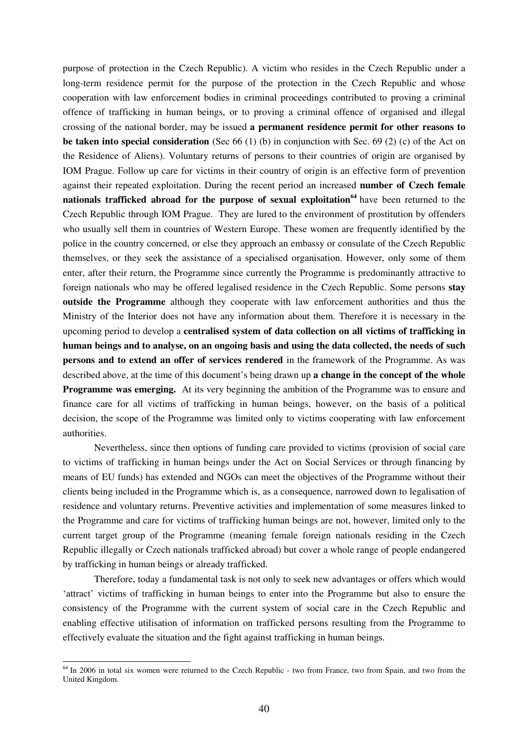purpose of protection in the Czech Republic). A victim who resides in the Czech Republic under a long-term residence permit for the purpose of the protection in the Czech Republic and whose cooperation with law enforcement bodies in criminal proceedings contributed to proving a criminal offence of trafficking in human beings, or to proving a criminal offence of organised and illegal crossing of the national border, may be issued **a permanent residence permit for other reasons to be taken into special consideration** (Sec 66 (1) (b) in conjunction with Sec. 69 (2) (c) of the Act on the Residence of Aliens). Voluntary returns of persons to their countries of origin are organised by IOM Prague. Follow up care for victims in their country of origin is an effective form of prevention against their repeated exploitation. During the recent period an increased **number of Czech female nationals trafficked abroad for the purpose of sexual exploitation 64** have been returned to the Czech Republic through IOM Prague. They are lured to the environment of prostitution by offenders who usually sell them in countries of Western Europe. These women are frequently identified by the police in the country concerned, or else they approach an embassy or consulate of the Czech Republic themselves, or they seek the assistance of a specialised organisation. However, only some of them enter, after their return, the Programme since currently the Programme is predominantly attractive to foreign nationals who may be offered legalised residence in the Czech Republic. Some persons **stay outside the Programme** although they cooperate with law enforcement authorities and thus the Ministry of the Interior does not have any information about them. Therefore it is necessary in the upcoming period to develop a **centralised system of data collection on all victims of trafficking in human beings and to analyse, on an ongoing basis and using the data collected, the needs of such persons and to extend an offer of services rendered** in the framework of the Programme. As was described above, at the time of this document's being drawn up **a change in the concept of the whole Programme was emerging.** At its very beginning the ambition of the Programme was to ensure and finance care for all victims of trafficking in human beings, however, on the basis of a political decision, the scope of the Programme was limited only to victims cooperating with law enforcement authorities.

Nevertheless, since then options of funding care provided to victims (provision of social care to victims of trafficking in human beings under the Act on Social Services or through financing by means of EU funds) has extended and NGOs can meet the objectives of the Programme without their clients being included in the Programme which is, as a consequence, narrowed down to legalisation of residence and voluntary returns. Preventive activities and implementation of some measures linked to the Programme and care for victims of trafficking human beings are not, however, limited only to the current target group of the Programme (meaning female foreign nationals residing in the Czech Republic illegally or Czech nationals trafficked abroad) but cover a whole range of people endangered by trafficking in human beings or already trafficked.

Therefore, today a fundamental task is not only to seek new advantages or offers which would 'attract' victims of trafficking in human beings to enter into the Programme but also to ensure the consistency of the Programme with the current system of social care in the Czech Republic and enabling effective utilisation of information on trafficked persons resulting from the Programme to effectively evaluate the situation and the fight against trafficking in human beings.

<sup>&</sup>lt;sup>64</sup> In 2006 in total six women were returned to the Czech Republic - two from France, two from Spain, and two from the United Kingdom.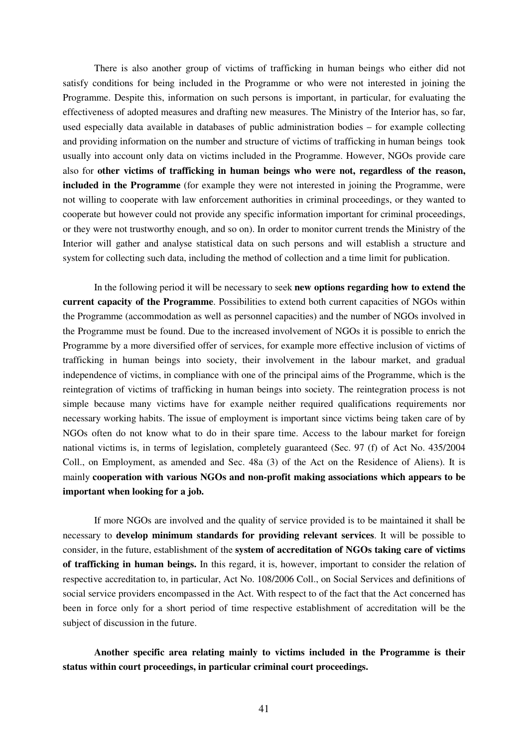There is also another group of victims of trafficking in human beings who either did not satisfy conditions for being included in the Programme or who were not interested in joining the Programme. Despite this, information on such persons is important, in particular, for evaluating the effectiveness of adopted measures and drafting new measures. The Ministry of the Interior has, so far, used especially data available in databases of public administration bodies – for example collecting and providing information on the number and structure of victims of trafficking in human beings took usually into account only data on victims included in the Programme. However, NGOs provide care also for **other victims of trafficking in human beings who were not, regardless of the reason, included in the Programme** (for example they were not interested in joining the Programme, were not willing to cooperate with law enforcement authorities in criminal proceedings, or they wanted to cooperate but however could not provide any specific information important for criminal proceedings, or they were not trustworthy enough, and so on). In order to monitor current trends the Ministry of the Interior will gather and analyse statistical data on such persons and will establish a structure and system for collecting such data, including the method of collection and a time limit for publication.

In the following period it will be necessary to seek **new options regarding how to extend the current capacity of the Programme**. Possibilities to extend both current capacities of NGOs within the Programme (accommodation as well as personnel capacities) and the number of NGOs involved in the Programme must be found. Due to the increased involvement of NGOs it is possible to enrich the Programme by a more diversified offer of services, for example more effective inclusion of victims of trafficking in human beings into society, their involvement in the labour market, and gradual independence of victims, in compliance with one of the principal aims of the Programme, which is the reintegration of victims of trafficking in human beings into society. The reintegration process is not simple because many victims have for example neither required qualifications requirements nor necessary working habits. The issue of employment is important since victims being taken care of by NGOs often do not know what to do in their spare time. Access to the labour market for foreign national victims is, in terms of legislation, completely guaranteed (Sec. 97 (f) of Act No. 435/2004 Coll., on Employment, as amended and Sec. 48a (3) of the Act on the Residence of Aliens). It is mainly **cooperation with various NGOs and non-profit making associations which appears to be important when looking for a job.**

If more NGOs are involved and the quality of service provided is to be maintained it shall be necessary to **develop minimum standards for providing relevant services**. It will be possible to consider, in the future, establishment of the **system of accreditation of NGOs taking care of victims of trafficking in human beings.** In this regard, it is, however, important to consider the relation of respective accreditation to, in particular, Act No. 108/2006 Coll., on Social Services and definitions of social service providers encompassed in the Act. With respect to of the fact that the Act concerned has been in force only for a short period of time respective establishment of accreditation will be the subject of discussion in the future.

**Another specific area relating mainly to victims included in the Programme is their status within court proceedings, in particular criminal court proceedings.**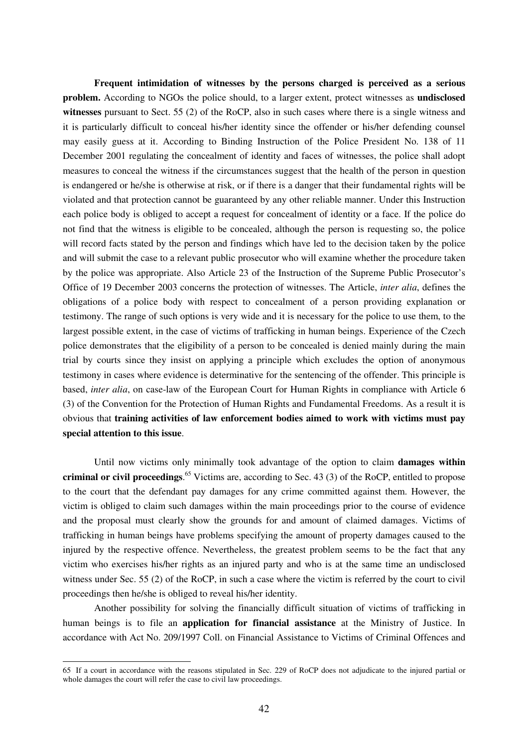**Frequent intimidation of witnesses by the persons charged is perceived as a serious problem.** According to NGOs the police should, to a larger extent, protect witnesses as **undisclosed witnesses** pursuant to Sect. 55 (2) of the RoCP, also in such cases where there is a single witness and it is particularly difficult to conceal his/her identity since the offender or his/her defending counsel may easily guess at it. According to Binding Instruction of the Police President No. 138 of 11 December 2001 regulating the concealment of identity and faces of witnesses, the police shall adopt measures to conceal the witness if the circumstances suggest that the health of the person in question is endangered or he/she is otherwise at risk, or if there is a danger that their fundamental rights will be violated and that protection cannot be guaranteed by any other reliable manner. Under this Instruction each police body is obliged to accept a request for concealment of identity or a face. If the police do not find that the witness is eligible to be concealed, although the person is requesting so, the police will record facts stated by the person and findings which have led to the decision taken by the police and will submit the case to a relevant public prosecutor who will examine whether the procedure taken by the police was appropriate. Also Article 23 of the Instruction of the Supreme Public Prosecutor's Office of 19 December 2003 concerns the protection of witnesses. The Article, *inter alia*, defines the obligations of a police body with respect to concealment of a person providing explanation or testimony. The range of such options is very wide and it is necessary for the police to use them, to the largest possible extent, in the case of victims of trafficking in human beings. Experience of the Czech police demonstrates that the eligibility of a person to be concealed is denied mainly during the main trial by courts since they insist on applying a principle which excludes the option of anonymous testimony in cases where evidence is determinative for the sentencing of the offender. This principle is based, *inter alia*, on case-law of the European Court for Human Rights in compliance with Article 6 (3) of the Convention for the Protection of Human Rights and Fundamental Freedoms. As a result it is obvious that **training activities of law enforcement bodies aimed to work with victims must pay special attention to this issue**.

Until now victims only minimally took advantage of the option to claim **damages within criminal or civil proceedings**. <sup>65</sup> Victims are, according to Sec. 43 (3) of the RoCP, entitled to propose to the court that the defendant pay damages for any crime committed against them. However, the victim is obliged to claim such damages within the main proceedings prior to the course of evidence and the proposal must clearly show the grounds for and amount of claimed damages. Victims of trafficking in human beings have problems specifying the amount of property damages caused to the injured by the respective offence. Nevertheless, the greatest problem seems to be the fact that any victim who exercises his/her rights as an injured party and who is at the same time an undisclosed witness under Sec. 55 (2) of the RoCP, in such a case where the victim is referred by the court to civil proceedings then he/she is obliged to reveal his/her identity.

Another possibility for solving the financially difficult situation of victims of trafficking in human beings is to file an **application for financial assistance** at the Ministry of Justice. In accordance with Act No. 209/1997 Coll. on Financial Assistance to Victims of Criminal Offences and

<sup>65</sup> If a court in accordance with the reasons stipulated in Sec. 229 of RoCP does not adjudicate to the injured partial or whole damages the court will refer the case to civil law proceedings.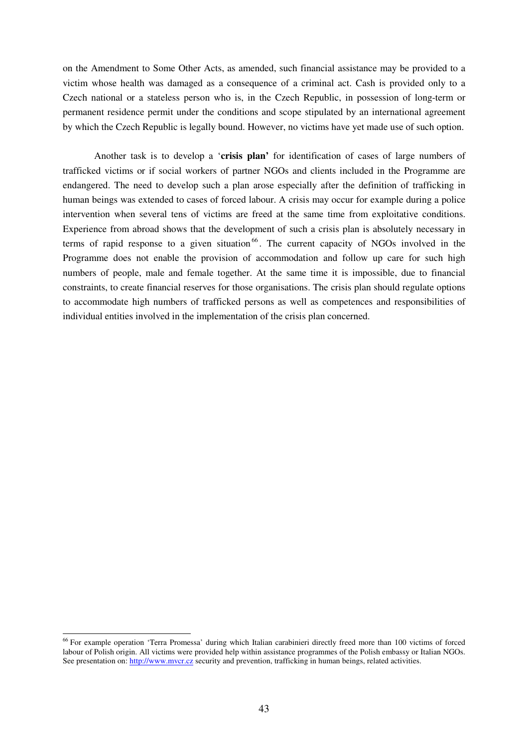on the Amendment to Some Other Acts, as amended, such financial assistance may be provided to a victim whose health was damaged as a consequence of a criminal act. Cash is provided only to a Czech national or a stateless person who is, in the Czech Republic, in possession of long-term or permanent residence permit under the conditions and scope stipulated by an international agreement by which the Czech Republic is legally bound. However, no victims have yet made use of such option.

Another task is to develop a '**crisis plan'** for identification of cases of large numbers of trafficked victims or if social workers of partner NGOs and clients included in the Programme are endangered. The need to develop such a plan arose especially after the definition of trafficking in human beings was extended to cases of forced labour. A crisis may occur for example during a police intervention when several tens of victims are freed at the same time from exploitative conditions. Experience from abroad shows that the development of such a crisis plan is absolutely necessary in terms of rapid response to a given situation<sup>66</sup>. The current capacity of NGOs involved in the Programme does not enable the provision of accommodation and follow up care for such high numbers of people, male and female together. At the same time it is impossible, due to financial constraints, to create financial reserves for those organisations. The crisis plan should regulate options to accommodate high numbers of trafficked persons as well as competences and responsibilities of individual entities involved in the implementation of the crisis plan concerned.

<sup>&</sup>lt;sup>66</sup> For example operation 'Terra Promessa' during which Italian carabinieri directly freed more than 100 victims of forced labour of Polish origin. All victims were provided help within assistance programmes of the Polish embassy or Italian NGOs. See presentation on: http://www.mvcr.cz security and prevention, trafficking in human beings, related activities.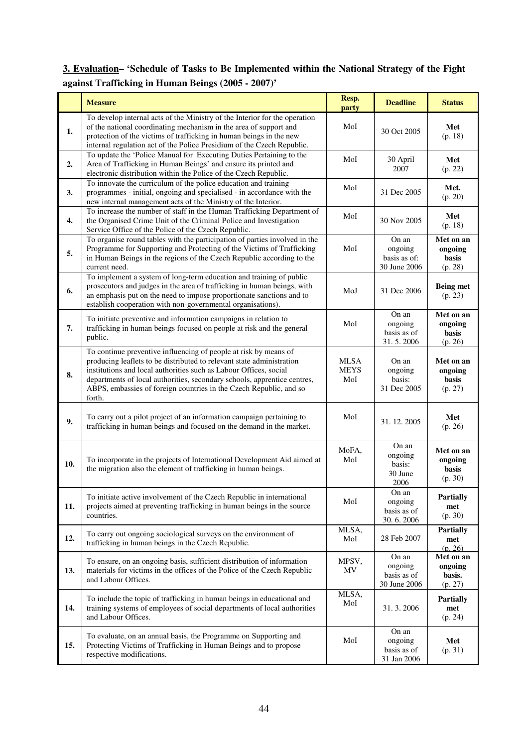# **3. Evaluation– 'Schedule of Tasks to Be Implemented within the National Strategy of the Fight against Trafficking in Human Beings (2005 - 2007)'**

|     | <b>Measure</b>                                                                                                                                                                                                                                                                                                                                                             | Resp.<br>party                    | <b>Deadline</b>                                  | <b>Status</b>                                   |
|-----|----------------------------------------------------------------------------------------------------------------------------------------------------------------------------------------------------------------------------------------------------------------------------------------------------------------------------------------------------------------------------|-----------------------------------|--------------------------------------------------|-------------------------------------------------|
| 1.  | To develop internal acts of the Ministry of the Interior for the operation<br>of the national coordinating mechanism in the area of support and<br>protection of the victims of trafficking in human beings in the new<br>internal regulation act of the Police Presidium of the Czech Republic.                                                                           | MoI                               | 30 Oct 2005                                      | Met<br>(p. 18)                                  |
| 2.  | To update the 'Police Manual for Executing Duties Pertaining to the<br>Area of Trafficking in Human Beings' and ensure its printed and<br>electronic distribution within the Police of the Czech Republic.                                                                                                                                                                 | MoI                               | 30 April<br>2007                                 | Met<br>(p. 22)                                  |
| 3.  | To innovate the curriculum of the police education and training<br>programmes - initial, ongoing and specialised - in accordance with the<br>new internal management acts of the Ministry of the Interior.                                                                                                                                                                 | MoI                               | 31 Dec 2005                                      | Met.<br>(p. 20)                                 |
| 4.  | To increase the number of staff in the Human Trafficking Department of<br>the Organised Crime Unit of the Criminal Police and Investigation<br>Service Office of the Police of the Czech Republic.                                                                                                                                                                         | MoI                               | 30 Nov 2005                                      | Met<br>(p. 18)                                  |
| 5.  | To organise round tables with the participation of parties involved in the<br>Programme for Supporting and Protecting of the Victims of Trafficking<br>in Human Beings in the regions of the Czech Republic according to the<br>current need.                                                                                                                              | MoI                               | On an<br>ongoing<br>basis as of:<br>30 June 2006 | Met on an<br>ongoing<br><b>basis</b><br>(p. 28) |
| 6.  | To implement a system of long-term education and training of public<br>prosecutors and judges in the area of trafficking in human beings, with<br>an emphasis put on the need to impose proportionate sanctions and to<br>establish cooperation with non-governmental organisations).                                                                                      | MoJ                               | 31 Dec 2006                                      | <b>Being met</b><br>(p. 23)                     |
| 7.  | To initiate preventive and information campaigns in relation to<br>trafficking in human beings focused on people at risk and the general<br>public.                                                                                                                                                                                                                        | MoI                               | On an<br>ongoing<br>basis as of<br>31.5.2006     | Met on an<br>ongoing<br><b>basis</b><br>(p. 26) |
| 8.  | To continue preventive influencing of people at risk by means of<br>producing leaflets to be distributed to relevant state administration<br>institutions and local authorities such as Labour Offices, social<br>departments of local authorities, secondary schools, apprentice centres,<br>ABPS, embassies of foreign countries in the Czech Republic, and so<br>forth. | <b>MLSA</b><br><b>MEYS</b><br>MoI | On an<br>ongoing<br>basis:<br>31 Dec 2005        | Met on an<br>ongoing<br>basis<br>(p. 27)        |
| 9.  | To carry out a pilot project of an information campaign pertaining to<br>trafficking in human beings and focused on the demand in the market.                                                                                                                                                                                                                              | MoI                               | 31.12.2005                                       | Met<br>(p. 26)                                  |
| 10. | To incorporate in the projects of International Development Aid aimed at<br>the migration also the element of trafficking in human beings.                                                                                                                                                                                                                                 | MoFA,<br>MoI                      | On an<br>ongoing<br>basis:<br>30 June<br>2006    | Met on an<br>ongoing<br>basis<br>(p. 30)        |
| 11. | To initiate active involvement of the Czech Republic in international<br>projects aimed at preventing trafficking in human beings in the source<br>countries.                                                                                                                                                                                                              | MoI                               | On an<br>ongoing<br>basis as of<br>30.6.2006     | <b>Partially</b><br>met<br>(p. 30)              |
| 12. | To carry out ongoing sociological surveys on the environment of<br>trafficking in human beings in the Czech Republic.                                                                                                                                                                                                                                                      | MLSA,<br>MoI                      | 28 Feb 2007                                      | <b>Partially</b><br>met<br>(p. 26)              |
| 13. | To ensure, on an ongoing basis, sufficient distribution of information<br>materials for victims in the offices of the Police of the Czech Republic<br>and Labour Offices.                                                                                                                                                                                                  | MPSV,<br>MV                       | On an<br>ongoing<br>basis as of<br>30 June 2006  | Met on an<br>ongoing<br>basis.<br>(p. 27)       |
| 14. | To include the topic of trafficking in human beings in educational and<br>training systems of employees of social departments of local authorities<br>and Labour Offices.                                                                                                                                                                                                  | MLSA,<br>MoI                      | 31.3.2006                                        | <b>Partially</b><br>met<br>(p. 24)              |
| 15. | To evaluate, on an annual basis, the Programme on Supporting and<br>Protecting Victims of Trafficking in Human Beings and to propose<br>respective modifications.                                                                                                                                                                                                          | MoI                               | On an<br>ongoing<br>basis as of<br>31 Jan 2006   | Met<br>(p. 31)                                  |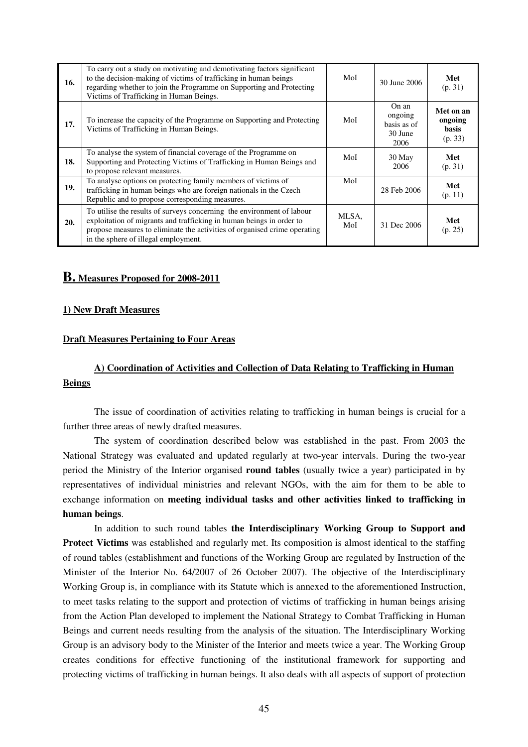| 16. | To carry out a study on motivating and demotivating factors significant<br>to the decision-making of victims of trafficking in human beings<br>regarding whether to join the Programme on Supporting and Protecting<br>Victims of Trafficking in Human Beings.      | MoI          | 30 June 2006                                       | Met<br>(p. 31)                                  |
|-----|---------------------------------------------------------------------------------------------------------------------------------------------------------------------------------------------------------------------------------------------------------------------|--------------|----------------------------------------------------|-------------------------------------------------|
| 17. | To increase the capacity of the Programme on Supporting and Protecting<br>Victims of Trafficking in Human Beings.                                                                                                                                                   | MoI          | On an<br>ongoing<br>basis as of<br>30 June<br>2006 | Met on an<br>ongoing<br><b>basis</b><br>(p. 33) |
| 18. | To analyse the system of financial coverage of the Programme on<br>Supporting and Protecting Victims of Trafficking in Human Beings and<br>to propose relevant measures.                                                                                            | MoI          | 30 May<br>2006                                     | Met<br>(p. 31)                                  |
| 19. | To analyse options on protecting family members of victims of<br>trafficking in human beings who are foreign nationals in the Czech<br>Republic and to propose corresponding measures.                                                                              | MoI          | 28 Feb 2006                                        | Met<br>(p. 11)                                  |
| 20. | To utilise the results of surveys concerning the environment of labour<br>exploitation of migrants and trafficking in human beings in order to<br>propose measures to eliminate the activities of organised crime operating<br>in the sphere of illegal employment. | MLSA,<br>MoI | 31 Dec 2006                                        | Met<br>(p. 25)                                  |

# **B. Measures Proposed for 2008-2011**

### **1) New Draft Measures**

#### **Draft Measures Pertaining to Four Areas**

# **A) Coordination of Activities and Collection of Data Relating to Trafficking in Human Beings**

The issue of coordination of activities relating to trafficking in human beings is crucial for a further three areas of newly drafted measures.

The system of coordination described below was established in the past. From 2003 the National Strategy was evaluated and updated regularly at two-year intervals. During the two-year period the Ministry of the Interior organised **round tables** (usually twice a year) participated in by representatives of individual ministries and relevant NGOs, with the aim for them to be able to exchange information on **meeting individual tasks and other activities linked to trafficking in human beings**.

In addition to such round tables **the Interdisciplinary Working Group to Support and Protect Victims** was established and regularly met. Its composition is almost identical to the staffing of round tables (establishment and functions of the Working Group are regulated by Instruction of the Minister of the Interior No. 64/2007 of 26 October 2007). The objective of the Interdisciplinary Working Group is, in compliance with its Statute which is annexed to the aforementioned Instruction, to meet tasks relating to the support and protection of victims of trafficking in human beings arising from the Action Plan developed to implement the National Strategy to Combat Trafficking in Human Beings and current needs resulting from the analysis of the situation. The Interdisciplinary Working Group is an advisory body to the Minister of the Interior and meets twice a year. The Working Group creates conditions for effective functioning of the institutional framework for supporting and protecting victims of trafficking in human beings. It also deals with all aspects of support of protection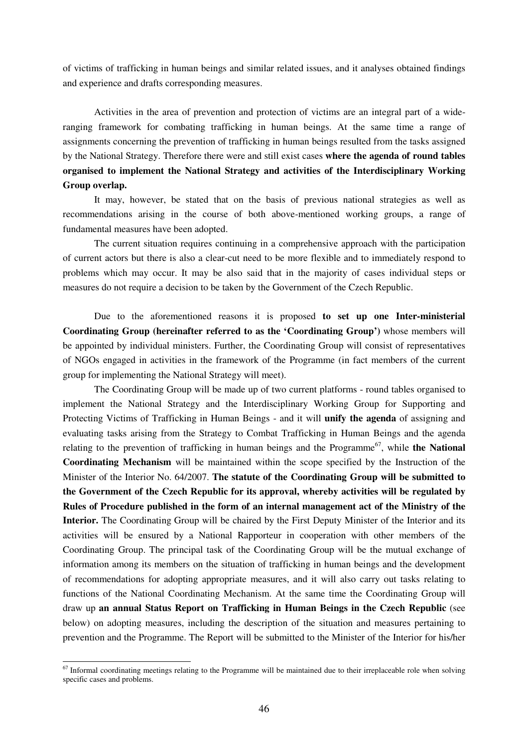of victims of trafficking in human beings and similar related issues, and it analyses obtained findings and experience and drafts corresponding measures.

Activities in the area of prevention and protection of victims are an integral part of a wideranging framework for combating trafficking in human beings. At the same time a range of assignments concerning the prevention of trafficking in human beings resulted from the tasks assigned by the National Strategy. Therefore there were and still exist cases **where the agenda of round tables organised to implement the National Strategy and activities of the Interdisciplinary Working Group overlap.**

It may, however, be stated that on the basis of previous national strategies as well as recommendations arising in the course of both above-mentioned working groups, a range of fundamental measures have been adopted.

The current situation requires continuing in a comprehensive approach with the participation of current actors but there is also a clear-cut need to be more flexible and to immediately respond to problems which may occur. It may be also said that in the majority of cases individual steps or measures do not require a decision to be taken by the Government of the Czech Republic.

Due to the aforementioned reasons it is proposed **to set up one Inter-ministerial Coordinating Group (hereinafter referred to as the 'Coordinating Group')** whose members will be appointed by individual ministers. Further, the Coordinating Group will consist of representatives of NGOs engaged in activities in the framework of the Programme (in fact members of the current group for implementing the National Strategy will meet).

The Coordinating Group will be made up of two current platforms - round tables organised to implement the National Strategy and the Interdisciplinary Working Group for Supporting and Protecting Victims of Trafficking in Human Beings - and it will **unify the agenda** of assigning and evaluating tasks arising from the Strategy to Combat Trafficking in Human Beings and the agenda relating to the prevention of trafficking in human beings and the Programme 67 , while **the National Coordinating Mechanism** will be maintained within the scope specified by the Instruction of the Minister of the Interior No. 64/2007. **The statute of the Coordinating Group will be submitted to the Government of the Czech Republic for its approval, whereby activities will be regulated by Rules of Procedure published in the form of an internal management act of the Ministry of the Interior.** The Coordinating Group will be chaired by the First Deputy Minister of the Interior and its activities will be ensured by a National Rapporteur in cooperation with other members of the Coordinating Group. The principal task of the Coordinating Group will be the mutual exchange of information among its members on the situation of trafficking in human beings and the development of recommendations for adopting appropriate measures, and it will also carry out tasks relating to functions of the National Coordinating Mechanism. At the same time the Coordinating Group will draw up **an annual Status Report on Trafficking in Human Beings in the Czech Republic** (see below) on adopting measures, including the description of the situation and measures pertaining to prevention and the Programme. The Report will be submitted to the Minister of the Interior for his/her

 $67$  Informal coordinating meetings relating to the Programme will be maintained due to their irreplaceable role when solving specific cases and problems.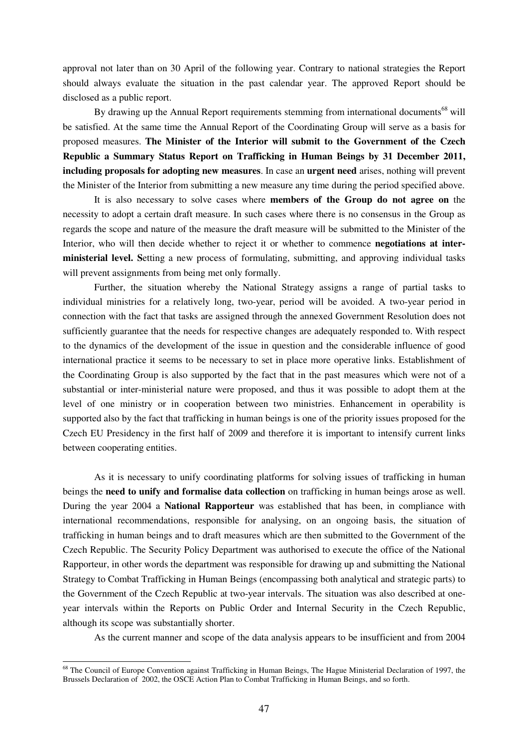approval not later than on 30 April of the following year. Contrary to national strategies the Report should always evaluate the situation in the past calendar year. The approved Report should be disclosed as a public report.

By drawing up the Annual Report requirements stemming from international documents<sup>68</sup> will be satisfied. At the same time the Annual Report of the Coordinating Group will serve as a basis for proposed measures. **The Minister of the Interior will submit to the Government of the Czech Republic a Summary Status Report on Trafficking in Human Beings by 31 December 2011, including proposals for adopting new measures**. In case an **urgent need** arises, nothing will prevent the Minister of the Interior from submitting a new measure any time during the period specified above.

It is also necessary to solve cases where **members of the Group do not agree on** the necessity to adopt a certain draft measure. In such cases where there is no consensus in the Group as regards the scope and nature of the measure the draft measure will be submitted to the Minister of the Interior, who will then decide whether to reject it or whether to commence **negotiations at interministerial level. S**etting a new process of formulating, submitting, and approving individual tasks will prevent assignments from being met only formally.

Further, the situation whereby the National Strategy assigns a range of partial tasks to individual ministries for a relatively long, two-year, period will be avoided. A two-year period in connection with the fact that tasks are assigned through the annexed Government Resolution does not sufficiently guarantee that the needs for respective changes are adequately responded to. With respect to the dynamics of the development of the issue in question and the considerable influence of good international practice it seems to be necessary to set in place more operative links. Establishment of the Coordinating Group is also supported by the fact that in the past measures which were not of a substantial or inter-ministerial nature were proposed, and thus it was possible to adopt them at the level of one ministry or in cooperation between two ministries. Enhancement in operability is supported also by the fact that trafficking in human beings is one of the priority issues proposed for the Czech EU Presidency in the first half of 2009 and therefore it is important to intensify current links between cooperating entities.

As it is necessary to unify coordinating platforms for solving issues of trafficking in human beings the **need to unify and formalise data collection** on trafficking in human beings arose as well. During the year 2004 a **National Rapporteur** was established that has been, in compliance with international recommendations, responsible for analysing, on an ongoing basis, the situation of trafficking in human beings and to draft measures which are then submitted to the Government of the Czech Republic. The Security Policy Department was authorised to execute the office of the National Rapporteur, in other words the department was responsible for drawing up and submitting the National Strategy to Combat Trafficking in Human Beings (encompassing both analytical and strategic parts) to the Government of the Czech Republic at two-year intervals. The situation was also described at oneyear intervals within the Reports on Public Order and Internal Security in the Czech Republic, although its scope was substantially shorter.

As the current manner and scope of the data analysis appears to be insufficient and from 2004

<sup>&</sup>lt;sup>68</sup> The Council of Europe Convention against Trafficking in Human Beings, The Hague Ministerial Declaration of 1997, the Brussels Declaration of 2002, the OSCE Action Plan to Combat Trafficking in Human Beings, and so forth.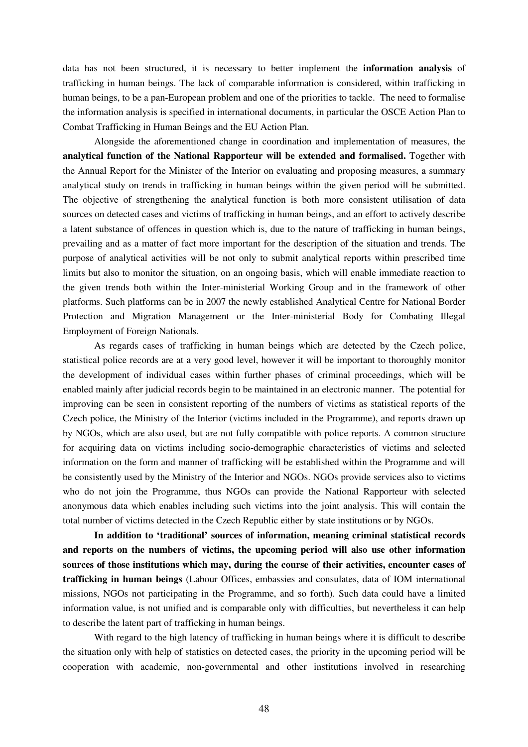data has not been structured, it is necessary to better implement the **information analysis** of trafficking in human beings. The lack of comparable information is considered, within trafficking in human beings, to be a pan-European problem and one of the priorities to tackle. The need to formalise the information analysis is specified in international documents, in particular the OSCE Action Plan to Combat Trafficking in Human Beings and the EU Action Plan.

Alongside the aforementioned change in coordination and implementation of measures, the **analytical function of the National Rapporteur will be extended and formalised.** Together with the Annual Report for the Minister of the Interior on evaluating and proposing measures, a summary analytical study on trends in trafficking in human beings within the given period will be submitted. The objective of strengthening the analytical function is both more consistent utilisation of data sources on detected cases and victims of trafficking in human beings, and an effort to actively describe a latent substance of offences in question which is, due to the nature of trafficking in human beings, prevailing and as a matter of fact more important for the description of the situation and trends. The purpose of analytical activities will be not only to submit analytical reports within prescribed time limits but also to monitor the situation, on an ongoing basis, which will enable immediate reaction to the given trends both within the Inter-ministerial Working Group and in the framework of other platforms. Such platforms can be in 2007 the newly established Analytical Centre for National Border Protection and Migration Management or the Inter-ministerial Body for Combating Illegal Employment of Foreign Nationals.

As regards cases of trafficking in human beings which are detected by the Czech police, statistical police records are at a very good level, however it will be important to thoroughly monitor the development of individual cases within further phases of criminal proceedings, which will be enabled mainly after judicial records begin to be maintained in an electronic manner. The potential for improving can be seen in consistent reporting of the numbers of victims as statistical reports of the Czech police, the Ministry of the Interior (victims included in the Programme), and reports drawn up by NGOs, which are also used, but are not fully compatible with police reports. A common structure for acquiring data on victims including socio-demographic characteristics of victims and selected information on the form and manner of trafficking will be established within the Programme and will be consistently used by the Ministry of the Interior and NGOs. NGOs provide services also to victims who do not join the Programme, thus NGOs can provide the National Rapporteur with selected anonymous data which enables including such victims into the joint analysis. This will contain the total number of victims detected in the Czech Republic either by state institutions or by NGOs.

**In addition to 'traditional' sources of information, meaning criminal statistical records and reports on the numbers of victims, the upcoming period will also use other information sources of those institutions which may, during the course of their activities, encounter cases of trafficking in human beings** (Labour Offices, embassies and consulates, data of IOM international missions, NGOs not participating in the Programme, and so forth). Such data could have a limited information value, is not unified and is comparable only with difficulties, but nevertheless it can help to describe the latent part of trafficking in human beings.

With regard to the high latency of trafficking in human beings where it is difficult to describe the situation only with help of statistics on detected cases, the priority in the upcoming period will be cooperation with academic, non-governmental and other institutions involved in researching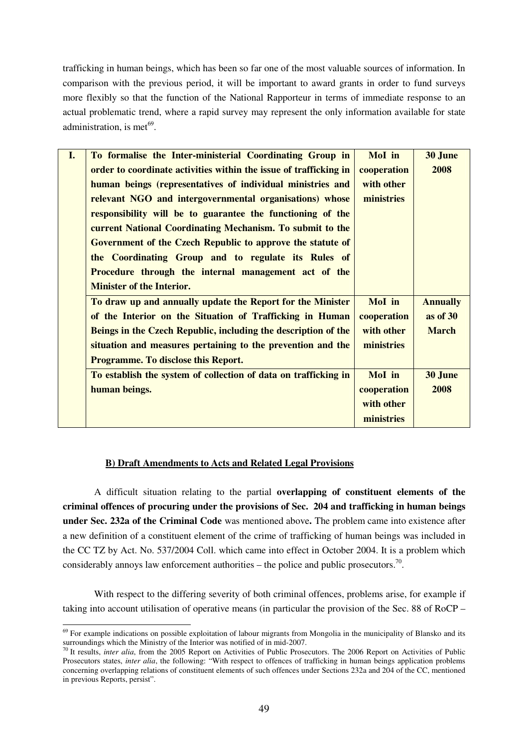trafficking in human beings, which has been so far one of the most valuable sources of information. In comparison with the previous period, it will be important to award grants in order to fund surveys more flexibly so that the function of the National Rapporteur in terms of immediate response to an actual problematic trend, where a rapid survey may represent the only information available for state administration, is met<sup>69</sup>.

| I. | To formalise the Inter-ministerial Coordinating Group in          | MoI in      | 30 June         |
|----|-------------------------------------------------------------------|-------------|-----------------|
|    | order to coordinate activities within the issue of trafficking in | cooperation | 2008            |
|    | human beings (representatives of individual ministries and        | with other  |                 |
|    | relevant NGO and intergovernmental organisations) whose           | ministries  |                 |
|    | responsibility will be to guarantee the functioning of the        |             |                 |
|    | current National Coordinating Mechanism. To submit to the         |             |                 |
|    | Government of the Czech Republic to approve the statute of        |             |                 |
|    | the Coordinating Group and to regulate its Rules of               |             |                 |
|    | Procedure through the internal management act of the              |             |                 |
|    | <b>Minister of the Interior.</b>                                  |             |                 |
|    | To draw up and annually update the Report for the Minister        | MoI in      | <b>Annually</b> |
|    | of the Interior on the Situation of Trafficking in Human          | cooperation | as of 30        |
|    | Beings in the Czech Republic, including the description of the    | with other  | <b>March</b>    |
|    | situation and measures pertaining to the prevention and the       | ministries  |                 |
|    | <b>Programme. To disclose this Report.</b>                        |             |                 |
|    | To establish the system of collection of data on trafficking in   | MoI in      | 30 June         |
|    | human beings.                                                     | cooperation | 2008            |
|    |                                                                   | with other  |                 |
|    |                                                                   | ministries  |                 |

#### **B) Draft Amendments to Acts and Related Legal Provisions**

A difficult situation relating to the partial **overlapping of constituent elements of the criminal offences of procuring under the provisions of Sec. 204 and trafficking in human beings under Sec. 232a of the Criminal Code** was mentioned above**.** The problem came into existence after a new definition of a constituent element of the crime of trafficking of human beings was included in the CC TZ by Act. No. 537/2004 Coll. which came into effect in October 2004. It is a problem which considerably annoys law enforcement authorities – the police and public prosecutors.<sup>70</sup>.

With respect to the differing severity of both criminal offences, problems arise, for example if taking into account utilisation of operative means (in particular the provision of the Sec. 88 of RoCP –

<sup>&</sup>lt;sup>69</sup> For example indications on possible exploitation of labour migrants from Mongolia in the municipality of Blansko and its

surroundings which the Ministry of the Interior was notified of in mid-2007. 70 It results, *inter alia*, from the 2005 Report on Activities of Public Prosecutors. The 2006 Report on Activities of Public Prosecutors states, *inter alia*, the following: "With respect to offences of trafficking in human beings application problems concerning overlapping relations of constituent elements of such offences under Sections 232a and 204 of the CC, mentioned in previous Reports, persist".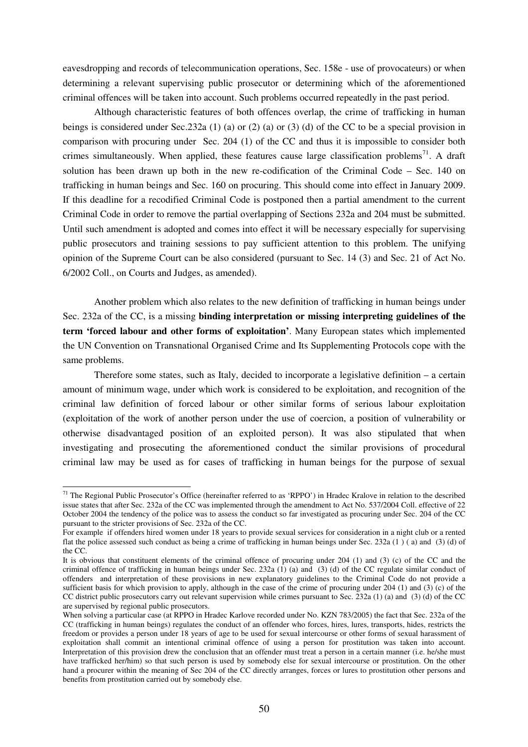eavesdropping and records of telecommunication operations, Sec. 158e - use of provocateurs) or when determining a relevant supervising public prosecutor or determining which of the aforementioned criminal offences will be taken into account. Such problems occurred repeatedly in the past period.

Although characteristic features of both offences overlap, the crime of trafficking in human beings is considered under Sec.232a (1) (a) or (2) (a) or (3) (d) of the CC to be a special provision in comparison with procuring under Sec. 204 (1) of the CC and thus it is impossible to consider both crimes simultaneously. When applied, these features cause large classification problems<sup>71</sup>. A draft solution has been drawn up both in the new re-codification of the Criminal Code – Sec. 140 on trafficking in human beings and Sec. 160 on procuring. This should come into effect in January 2009. If this deadline for a recodified Criminal Code is postponed then a partial amendment to the current Criminal Code in order to remove the partial overlapping of Sections 232a and 204 must be submitted. Until such amendment is adopted and comes into effect it will be necessary especially for supervising public prosecutors and training sessions to pay sufficient attention to this problem. The unifying opinion of the Supreme Court can be also considered (pursuant to Sec. 14 (3) and Sec. 21 of Act No. 6/2002 Coll., on Courts and Judges, as amended).

Another problem which also relates to the new definition of trafficking in human beings under Sec. 232a of the CC, is a missing **binding interpretation or missing interpreting guidelines of the term 'forced labour and other forms of exploitation'**. Many European states which implemented the UN Convention on Transnational Organised Crime and Its Supplementing Protocols cope with the same problems.

Therefore some states, such as Italy, decided to incorporate a legislative definition – a certain amount of minimum wage, under which work is considered to be exploitation, and recognition of the criminal law definition of forced labour or other similar forms of serious labour exploitation (exploitation of the work of another person under the use of coercion, a position of vulnerability or otherwise disadvantaged position of an exploited person). It was also stipulated that when investigating and prosecuting the aforementioned conduct the similar provisions of procedural criminal law may be used as for cases of trafficking in human beings for the purpose of sexual

 $71$  The Regional Public Prosecutor's Office (hereinafter referred to as 'RPPO') in Hradec Kralove in relation to the described issue states that after Sec. 232a of the CC was implemented through the amendment to Act No. 537/2004 Coll. effective of 22 October 2004 the tendency of the police was to assess the conduct so far investigated as procuring under Sec. 204 of the CC pursuant to the stricter provisions of Sec. 232a of the CC.

For example if offenders hired women under 18 years to provide sexual services for consideration in a night club or a rented flat the police assessed such conduct as being a crime of trafficking in human beings under Sec. 232a (1) (a) and (3) (d) of the CC.

It is obvious that constituent elements of the criminal offence of procuring under 204 (1) and (3) (c) of the CC and the criminal offence of trafficking in human beings under Sec. 232a (1) (a) and (3) (d) of the CC regulate similar conduct of offenders and interpretation of these provisions in new explanatory guidelines to the Criminal Code do not provide a sufficient basis for which provision to apply, although in the case of the crime of procuring under 204 (1) and (3) (c) of the CC district public prosecutors carry out relevant supervision while crimes pursuant to Sec.  $\overline{2}32a(1)$  (a) and (3) (d) of the CC are supervised by regional public prosecutors.

When solving a particular case (at RPPO in Hradec Karlove recorded under No. KZN 783/2005) the fact that Sec. 232a of the CC (trafficking in human beings) regulates the conduct of an offender who forces, hires, lures, transports, hides, restricts the freedom or provides a person under 18 years of age to be used for sexual intercourse or other forms of sexual harassment of exploitation shall commit an intentional criminal offence of using a person for prostitution was taken into account. Interpretation of this provision drew the conclusion that an offender must treat a person in a certain manner (i.e. he/she must have trafficked her/him) so that such person is used by somebody else for sexual intercourse or prostitution. On the other hand a procurer within the meaning of Sec 204 of the CC directly arranges, forces or lures to prostitution other persons and benefits from prostitution carried out by somebody else.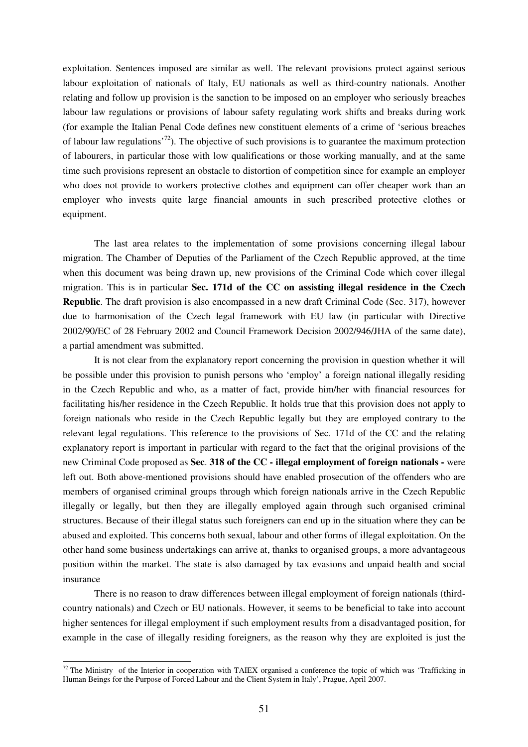exploitation. Sentences imposed are similar as well. The relevant provisions protect against serious labour exploitation of nationals of Italy, EU nationals as well as third-country nationals. Another relating and follow up provision is the sanction to be imposed on an employer who seriously breaches labour law regulations or provisions of labour safety regulating work shifts and breaks during work (for example the Italian Penal Code defines new constituent elements of a crime of 'serious breaches of labour law regulations<sup>'72</sup>). The objective of such provisions is to guarantee the maximum protection of labourers, in particular those with low qualifications or those working manually, and at the same time such provisions represent an obstacle to distortion of competition since for example an employer who does not provide to workers protective clothes and equipment can offer cheaper work than an employer who invests quite large financial amounts in such prescribed protective clothes or equipment.

The last area relates to the implementation of some provisions concerning illegal labour migration. The Chamber of Deputies of the Parliament of the Czech Republic approved, at the time when this document was being drawn up, new provisions of the Criminal Code which cover illegal migration. This is in particular **Sec. 171d of the CC on assisting illegal residence in the Czech Republic**. The draft provision is also encompassed in a new draft Criminal Code (Sec. 317), however due to harmonisation of the Czech legal framework with EU law (in particular with Directive 2002/90/EC of 28 February 2002 and Council Framework Decision 2002/946/JHA of the same date), a partial amendment was submitted.

It is not clear from the explanatory report concerning the provision in question whether it will be possible under this provision to punish persons who 'employ' a foreign national illegally residing in the Czech Republic and who, as a matter of fact, provide him/her with financial resources for facilitating his/her residence in the Czech Republic. It holds true that this provision does not apply to foreign nationals who reside in the Czech Republic legally but they are employed contrary to the relevant legal regulations. This reference to the provisions of Sec. 171d of the CC and the relating explanatory report is important in particular with regard to the fact that the original provisions of the new Criminal Code proposed as **Sec**. **318 of the CC - illegal employment of foreign nationals -** were left out. Both above-mentioned provisions should have enabled prosecution of the offenders who are members of organised criminal groups through which foreign nationals arrive in the Czech Republic illegally or legally, but then they are illegally employed again through such organised criminal structures. Because of their illegal status such foreigners can end up in the situation where they can be abused and exploited. This concerns both sexual, labour and other forms of illegal exploitation. On the other hand some business undertakings can arrive at, thanks to organised groups, a more advantageous position within the market. The state is also damaged by tax evasions and unpaid health and social insurance

There is no reason to draw differences between illegal employment of foreign nationals (thirdcountry nationals) and Czech or EU nationals. However, it seems to be beneficial to take into account higher sentences for illegal employment if such employment results from a disadvantaged position, for example in the case of illegally residing foreigners, as the reason why they are exploited is just the

 $72$  The Ministry of the Interior in cooperation with TAIEX organised a conference the topic of which was 'Trafficking in Human Beings for the Purpose of Forced Labour and the Client System in Italy', Prague, April 2007.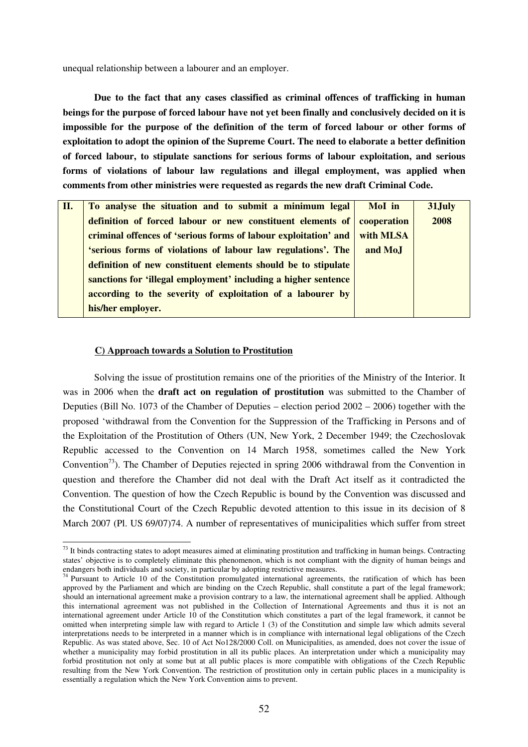unequal relationship between a labourer and an employer.

**Due to the fact that any cases classified as criminal offences of trafficking in human** beings for the purpose of forced labour have not yet been finally and conclusively decided on it is **impossible for the purpose of the definition of the term of forced labour or other forms of exploitation to adopt the opinion of the Supreme Court. The need to elaborate a better definition of forced labour, to stipulate sanctions for serious forms of labour exploitation, and serious forms of violations of labour law regulations and illegal employment, was applied when comments from other ministries were requested as regards the new draft Criminal Code.**

| II. | To analyse the situation and to submit a minimum legal          | MoI in      | 31July |
|-----|-----------------------------------------------------------------|-------------|--------|
|     | definition of forced labour or new constituent elements of      | cooperation | 2008   |
|     | criminal offences of 'serious forms of labour exploitation' and | with MLSA   |        |
|     | 'serious forms of violations of labour law regulations'. The    | and MoJ     |        |
|     | definition of new constituent elements should be to stipulate   |             |        |
|     | sanctions for 'illegal employment' including a higher sentence  |             |        |
|     | according to the severity of exploitation of a labourer by      |             |        |
|     | his/her employer.                                               |             |        |

#### **C) Approach towards a Solution to Prostitution**

Solving the issue of prostitution remains one of the priorities of the Ministry of the Interior. It was in 2006 when the **draft act on regulation of prostitution** was submitted to the Chamber of Deputies (Bill No. 1073 of the Chamber of Deputies – election period 2002 – 2006) together with the proposed 'withdrawal from the Convention for the Suppression of the Trafficking in Persons and of the Exploitation of the Prostitution of Others (UN, New York, 2 December 1949; the Czechoslovak Republic accessed to the Convention on 14 March 1958, sometimes called the New York Convention<sup>73</sup>). The Chamber of Deputies rejected in spring 2006 withdrawal from the Convention in question and therefore the Chamber did not deal with the Draft Act itself as it contradicted the Convention. The question of how the Czech Republic is bound by the Convention was discussed and the Constitutional Court of the Czech Republic devoted attention to this issue in its decision of 8 March 2007 (Pl. US 69/07)74. A number of representatives of municipalities which suffer from street

<sup>&</sup>lt;sup>73</sup> It binds contracting states to adopt measures aimed at eliminating prostitution and trafficking in human beings. Contracting states' objective is to completely eliminate this phenomenon, which is not compliant with the dignity of human beings and endangers both individuals and society, in particular by adopting restrictive measures.

 $74$  Pursuant to Article 10 of the Constitution promulgated international agreements, the ratification of which has been approved by the Parliament and which are binding on the Czech Republic, shall constitute a part of the legal framework; should an international agreement make a provision contrary to a law, the international agreement shall be applied. Although this international agreement was not published in the Collection of International Agreements and thus it is not an international agreement under Article 10 of the Constitution which constitutes a part of the legal framework, it cannot be omitted when interpreting simple law with regard to Article 1 (3) of the Constitution and simple law which admits several interpretations needs to be interpreted in a manner which is in compliance with international legal obligations of the Czech Republic. As was stated above, Sec. 10 of Act No128/2000 Coll. on Municipalities, as amended, does not cover the issue of whether a municipality may forbid prostitution in all its public places. An interpretation under which a municipality may forbid prostitution not only at some but at all public places is more compatible with obligations of the Czech Republic resulting from the New York Convention. The restriction of prostitution only in certain public places in a municipality is essentially a regulation which the New York Convention aims to prevent.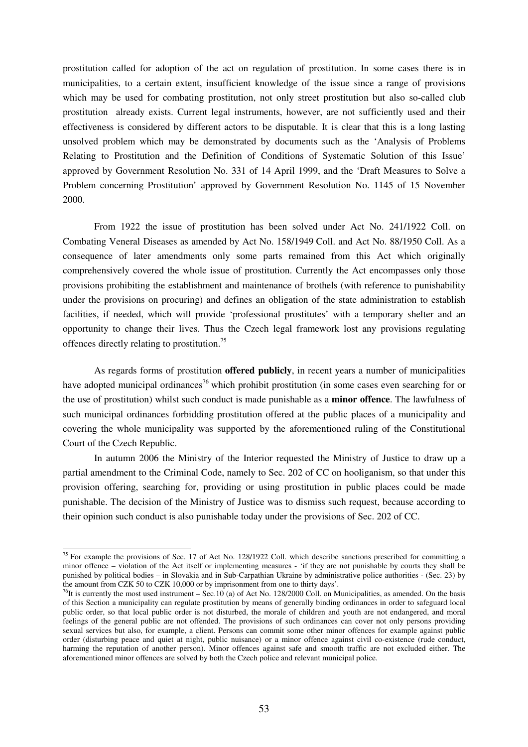prostitution called for adoption of the act on regulation of prostitution. In some cases there is in municipalities, to a certain extent, insufficient knowledge of the issue since a range of provisions which may be used for combating prostitution, not only street prostitution but also so-called club prostitution already exists. Current legal instruments, however, are not sufficiently used and their effectiveness is considered by different actors to be disputable. It is clear that this is a long lasting unsolved problem which may be demonstrated by documents such as the 'Analysis of Problems Relating to Prostitution and the Definition of Conditions of Systematic Solution of this Issue' approved by Government Resolution No. 331 of 14 April 1999, and the 'Draft Measures to Solve a Problem concerning Prostitution' approved by Government Resolution No. 1145 of 15 November 2000.

From 1922 the issue of prostitution has been solved under Act No. 241/1922 Coll. on Combating Veneral Diseases as amended by Act No. 158/1949 Coll. and Act No. 88/1950 Coll. As a consequence of later amendments only some parts remained from this Act which originally comprehensively covered the whole issue of prostitution. Currently the Act encompasses only those provisions prohibiting the establishment and maintenance of brothels (with reference to punishability under the provisions on procuring) and defines an obligation of the state administration to establish facilities, if needed, which will provide 'professional prostitutes' with a temporary shelter and an opportunity to change their lives. Thus the Czech legal framework lost any provisions regulating offences directly relating to prostitution.<sup>75</sup>

As regards forms of prostitution **offered publicly**, in recent years a number of municipalities have adopted municipal ordinances<sup>76</sup> which prohibit prostitution (in some cases even searching for or the use of prostitution) whilst such conduct is made punishable as a **minor offence**. The lawfulness of such municipal ordinances forbidding prostitution offered at the public places of a municipality and covering the whole municipality was supported by the aforementioned ruling of the Constitutional Court of the Czech Republic.

In autumn 2006 the Ministry of the Interior requested the Ministry of Justice to draw up a partial amendment to the Criminal Code, namely to Sec. 202 of CC on hooliganism, so that under this provision offering, searching for, providing or using prostitution in public places could be made punishable. The decision of the Ministry of Justice was to dismiss such request, because according to their opinion such conduct is also punishable today under the provisions of Sec. 202 of CC.

<sup>&</sup>lt;sup>75</sup> For example the provisions of Sec. 17 of Act No. 128/1922 Coll. which describe sanctions prescribed for committing a minor offence – violation of the Act itself or implementing measures - 'if they are not punishable by courts they shall be punished by political bodies – in Slovakia and in Sub-Carpathian Ukraine by administrative police authorities - (Sec. 23) by the amount from CZK 50 to CZK 10,000 or by imprisonment from one to thirty days'.

<sup>&</sup>lt;sup>76</sup>It is currently the most used instrument – Sec.10 (a) of Act No. 128/2000 Coll. on Municipalities, as amended. On the basis of this Section a municipality can regulate prostitution by means of generally binding ordinances in order to safeguard local public order, so that local public order is not disturbed, the morale of children and youth are not endangered, and moral feelings of the general public are not offended. The provisions of such ordinances can cover not only persons providing sexual services but also, for example, a client. Persons can commit some other minor offences for example against public order (disturbing peace and quiet at night, public nuisance) or a minor offence against civil co-existence (rude conduct, harming the reputation of another person). Minor offences against safe and smooth traffic are not excluded either. The aforementioned minor offences are solved by both the Czech police and relevant municipal police.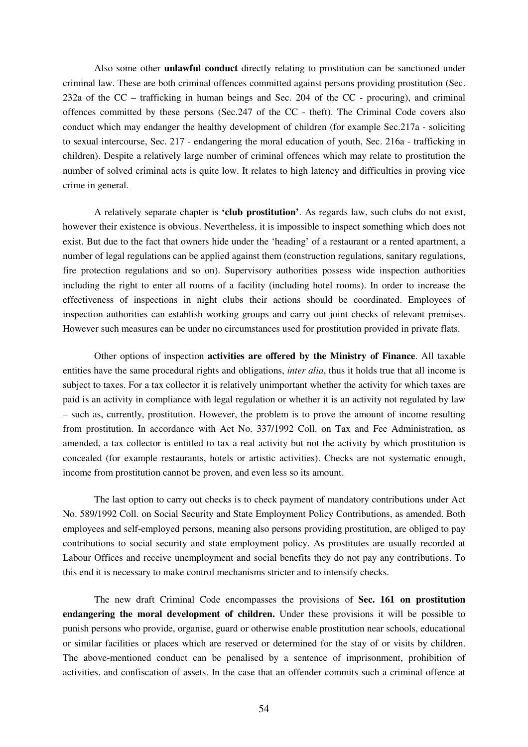Also some other **unlawful conduct** directly relating to prostitution can be sanctioned under criminal law. These are both criminal offences committed against persons providing prostitution (Sec. 232a of the CC – trafficking in human beings and Sec. 204 of the CC - procuring), and criminal offences committed by these persons (Sec.247 of the CC - theft). The Criminal Code covers also conduct which may endanger the healthy development of children (for example Sec.217a - soliciting to sexual intercourse, Sec. 217 - endangering the moral education of youth, Sec. 216a - trafficking in children). Despite a relatively large number of criminal offences which may relate to prostitution the number of solved criminal acts is quite low. It relates to high latency and difficulties in proving vice crime in general.

A relatively separate chapter is **'club prostitution'**. As regards law, such clubs do not exist, however their existence is obvious. Nevertheless, it is impossible to inspect something which does not exist. But due to the fact that owners hide under the 'heading' of a restaurant or a rented apartment, a number of legal regulations can be applied against them (construction regulations, sanitary regulations, fire protection regulations and so on). Supervisory authorities possess wide inspection authorities including the right to enter all rooms of a facility (including hotel rooms). In order to increase the effectiveness of inspections in night clubs their actions should be coordinated. Employees of inspection authorities can establish working groups and carry out joint checks of relevant premises. However such measures can be under no circumstances used for prostitution provided in private flats.

Other options of inspection **activities are offered by the Ministry of Finance**. All taxable entities have the same procedural rights and obligations, *inter alia*, thus it holds true that all income is subject to taxes. For a tax collector it is relatively unimportant whether the activity for which taxes are paid is an activity in compliance with legal regulation or whether it is an activity not regulated by law – such as, currently, prostitution. However, the problem is to prove the amount of income resulting from prostitution. In accordance with Act No. 337/1992 Coll. on Tax and Fee Administration, as amended, a tax collector is entitled to tax a real activity but not the activity by which prostitution is concealed (for example restaurants, hotels or artistic activities). Checks are not systematic enough, income from prostitution cannot be proven, and even less so its amount.

The last option to carry out checks is to check payment of mandatory contributions under Act No. 589/1992 Coll. on Social Security and State Employment Policy Contributions, as amended. Both employees and self-employed persons, meaning also persons providing prostitution, are obliged to pay contributions to social security and state employment policy. As prostitutes are usually recorded at Labour Offices and receive unemployment and social benefits they do not pay any contributions. To this end it is necessary to make control mechanisms stricter and to intensify checks.

The new draft Criminal Code encompasses the provisions of **Sec. 161 on prostitution endangering the moral development of children.** Under these provisions it will be possible to punish persons who provide, organise, guard or otherwise enable prostitution near schools, educational or similar facilities or places which are reserved or determined for the stay of or visits by children. The above-mentioned conduct can be penalised by a sentence of imprisonment, prohibition of activities, and confiscation of assets. In the case that an offender commits such a criminal offence at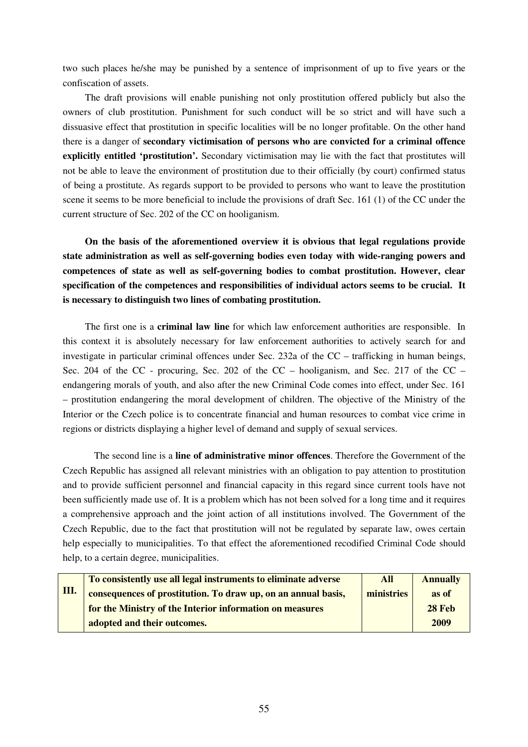two such places he/she may be punished by a sentence of imprisonment of up to five years or the confiscation of assets.

The draft provisions will enable punishing not only prostitution offered publicly but also the owners of club prostitution. Punishment for such conduct will be so strict and will have such a dissuasive effect that prostitution in specific localities will be no longer profitable. On the other hand there is a danger of **secondary victimisation of persons who are convicted for a criminal offence explicitly entitled 'prostitution'.** Secondary victimisation may lie with the fact that prostitutes will not be able to leave the environment of prostitution due to their officially (by court) confirmed status of being a prostitute. As regards support to be provided to persons who want to leave the prostitution scene it seems to be more beneficial to include the provisions of draft Sec. 161 (1) of the CC under the current structure of Sec. 202 of the CC on hooliganism.

**On the basis of the aforementioned overview it is obvious that legal regulations provide state administration as well as self-governing bodies even today with wide-ranging powers and competences of state as well as self-governing bodies to combat prostitution. However, clear specification of the competences and responsibilities of individual actors seems to be crucial. It is necessary to distinguish two lines of combating prostitution.**

The first one is a **criminal law line** for which law enforcement authorities are responsible. In this context it is absolutely necessary for law enforcement authorities to actively search for and investigate in particular criminal offences under Sec. 232a of the CC – trafficking in human beings, Sec. 204 of the CC - procuring, Sec. 202 of the CC – hooliganism, and Sec. 217 of the CC – endangering morals of youth, and also after the new Criminal Code comes into effect, under Sec. 161 – prostitution endangering the moral development of children. The objective of the Ministry of the Interior or the Czech police is to concentrate financial and human resources to combat vice crime in regions or districts displaying a higher level of demand and supply of sexual services.

The second line is a **line of administrative minor offences**. Therefore the Government of the Czech Republic has assigned all relevant ministries with an obligation to pay attention to prostitution and to provide sufficient personnel and financial capacity in this regard since current tools have not been sufficiently made use of. It is a problem which has not been solved for a long time and it requires a comprehensive approach and the joint action of all institutions involved. The Government of the Czech Republic, due to the fact that prostitution will not be regulated by separate law, owes certain help especially to municipalities. To that effect the aforementioned recodified Criminal Code should help, to a certain degree, municipalities.

|      | To consistently use all legal instruments to eliminate adverse | All        | <b>Annually</b> |
|------|----------------------------------------------------------------|------------|-----------------|
| III. | consequences of prostitution. To draw up, on an annual basis,  | ministries | as of           |
|      | for the Ministry of the Interior information on measures       |            | <b>28 Feb</b>   |
|      | adopted and their outcomes.                                    |            | 2009            |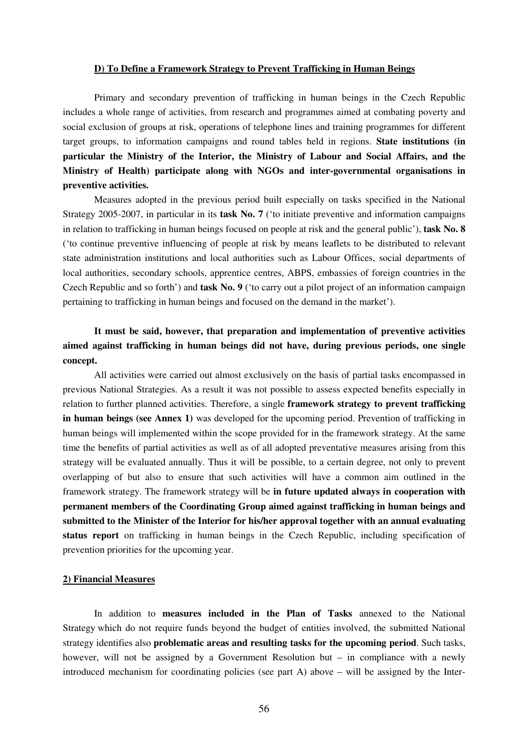#### **D) To Define a Framework Strategy to Prevent Trafficking in Human Beings**

Primary and secondary prevention of trafficking in human beings in the Czech Republic includes a whole range of activities, from research and programmes aimed at combating poverty and social exclusion of groups at risk, operations of telephone lines and training programmes for different target groups, to information campaigns and round tables held in regions. **State institutions (in particular the Ministry of the Interior, the Ministry of Labour and Social Affairs, and the Ministry of Health) participate along with NGOs and inter-governmental organisations in preventive activities.**

Measures adopted in the previous period built especially on tasks specified in the National Strategy 2005-2007, in particular in its **task No. 7** ('to initiate preventive and information campaigns in relation to trafficking in human beings focused on people at risk and the general public'), **task No. 8** ('to continue preventive influencing of people at risk by means leaflets to be distributed to relevant state administration institutions and local authorities such as Labour Offices, social departments of local authorities, secondary schools, apprentice centres, ABPS, embassies of foreign countries in the Czech Republic and so forth') and **task No. 9** ('to carry out a pilot project of an information campaign pertaining to trafficking in human beings and focused on the demand in the market').

# **It must be said, however, that preparation and implementation of preventive activities aimed against trafficking in human beings did not have, during previous periods, one single concept.**

All activities were carried out almost exclusively on the basis of partial tasks encompassed in previous National Strategies. As a result it was not possible to assess expected benefits especially in relation to further planned activities. Therefore, a single **framework strategy to prevent trafficking in human beings (see Annex 1)** was developed for the upcoming period. Prevention of trafficking in human beings will implemented within the scope provided for in the framework strategy. At the same time the benefits of partial activities as well as of all adopted preventative measures arising from this strategy will be evaluated annually. Thus it will be possible, to a certain degree, not only to prevent overlapping of but also to ensure that such activities will have a common aim outlined in the framework strategy. The framework strategy will be **in future updated always in cooperation with permanent members of the Coordinating Group aimed against trafficking in human beings and submitted to the Minister of the Interior for his/her approval together with an annual evaluating status report** on trafficking in human beings in the Czech Republic, including specification of prevention priorities for the upcoming year.

#### **2) Financial Measures**

In addition to **measures included in the Plan of Tasks** annexed to the National Strategy which do not require funds beyond the budget of entities involved, the submitted National strategy identifies also **problematic areas and resulting tasks for the upcoming period**. Such tasks, however, will not be assigned by a Government Resolution but – in compliance with a newly introduced mechanism for coordinating policies (see part A) above – will be assigned by the Inter-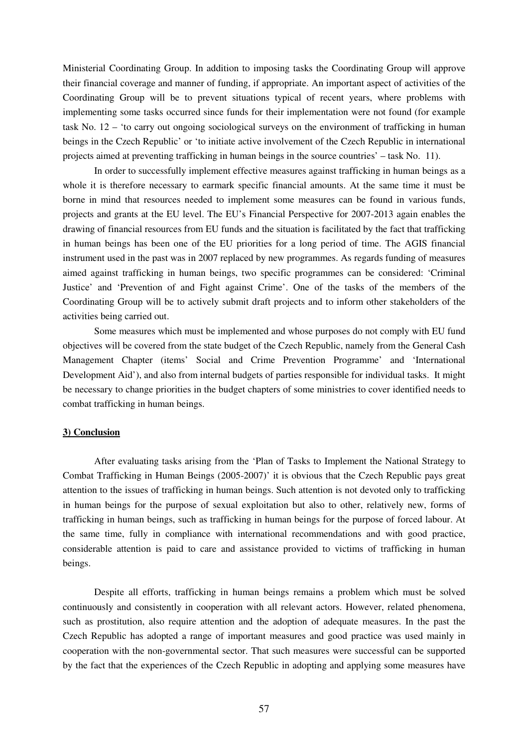Ministerial Coordinating Group. In addition to imposing tasks the Coordinating Group will approve their financial coverage and manner of funding, if appropriate. An important aspect of activities of the Coordinating Group will be to prevent situations typical of recent years, where problems with implementing some tasks occurred since funds for their implementation were not found (for example task No. 12 – 'to carry out ongoing sociological surveys on the environment of trafficking in human beings in the Czech Republic' or 'to initiate active involvement of the Czech Republic in international projects aimed at preventing trafficking in human beings in the source countries' – task No. 11).

In order to successfully implement effective measures against trafficking in human beings as a whole it is therefore necessary to earmark specific financial amounts. At the same time it must be borne in mind that resources needed to implement some measures can be found in various funds, projects and grants at the EU level. The EU's Financial Perspective for 2007-2013 again enables the drawing of financial resources from EU funds and the situation is facilitated by the fact that trafficking in human beings has been one of the EU priorities for a long period of time. The AGIS financial instrument used in the past was in 2007 replaced by new programmes. As regards funding of measures aimed against trafficking in human beings, two specific programmes can be considered: 'Criminal Justice' and 'Prevention of and Fight against Crime'. One of the tasks of the members of the Coordinating Group will be to actively submit draft projects and to inform other stakeholders of the activities being carried out.

Some measures which must be implemented and whose purposes do not comply with EU fund objectives will be covered from the state budget of the Czech Republic, namely from the General Cash Management Chapter (items' Social and Crime Prevention Programme' and 'International Development Aid'), and also from internal budgets of parties responsible for individual tasks. It might be necessary to change priorities in the budget chapters of some ministries to cover identified needs to combat trafficking in human beings.

#### **3) Conclusion**

After evaluating tasks arising from the 'Plan of Tasks to Implement the National Strategy to Combat Trafficking in Human Beings (2005-2007)' it is obvious that the Czech Republic pays great attention to the issues of trafficking in human beings. Such attention is not devoted only to trafficking in human beings for the purpose of sexual exploitation but also to other, relatively new, forms of trafficking in human beings, such as trafficking in human beings for the purpose of forced labour. At the same time, fully in compliance with international recommendations and with good practice, considerable attention is paid to care and assistance provided to victims of trafficking in human beings.

Despite all efforts, trafficking in human beings remains a problem which must be solved continuously and consistently in cooperation with all relevant actors. However, related phenomena, such as prostitution, also require attention and the adoption of adequate measures. In the past the Czech Republic has adopted a range of important measures and good practice was used mainly in cooperation with the non-governmental sector. That such measures were successful can be supported by the fact that the experiences of the Czech Republic in adopting and applying some measures have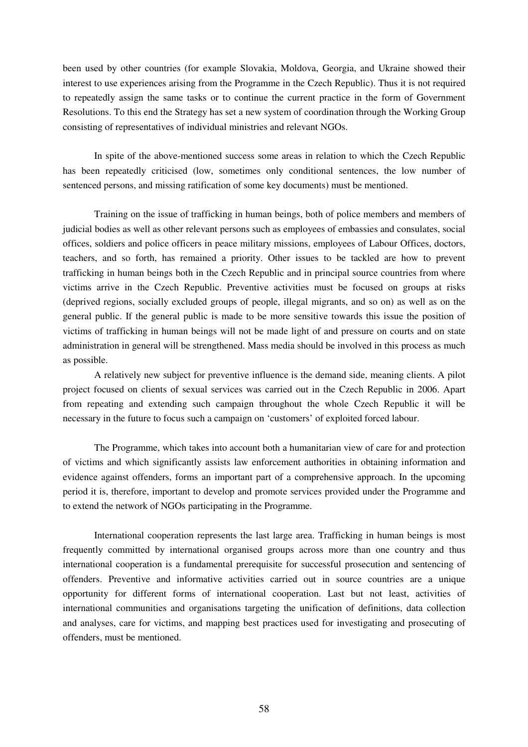been used by other countries (for example Slovakia, Moldova, Georgia, and Ukraine showed their interest to use experiences arising from the Programme in the Czech Republic). Thus it is not required to repeatedly assign the same tasks or to continue the current practice in the form of Government Resolutions. To this end the Strategy has set a new system of coordination through the Working Group consisting of representatives of individual ministries and relevant NGOs.

In spite of the above-mentioned success some areas in relation to which the Czech Republic has been repeatedly criticised (low, sometimes only conditional sentences, the low number of sentenced persons, and missing ratification of some key documents) must be mentioned.

Training on the issue of trafficking in human beings, both of police members and members of judicial bodies as well as other relevant persons such as employees of embassies and consulates, social offices, soldiers and police officers in peace military missions, employees of Labour Offices, doctors, teachers, and so forth, has remained a priority. Other issues to be tackled are how to prevent trafficking in human beings both in the Czech Republic and in principal source countries from where victims arrive in the Czech Republic. Preventive activities must be focused on groups at risks (deprived regions, socially excluded groups of people, illegal migrants, and so on) as well as on the general public. If the general public is made to be more sensitive towards this issue the position of victims of trafficking in human beings will not be made light of and pressure on courts and on state administration in general will be strengthened. Mass media should be involved in this process as much as possible.

A relatively new subject for preventive influence is the demand side, meaning clients. A pilot project focused on clients of sexual services was carried out in the Czech Republic in 2006. Apart from repeating and extending such campaign throughout the whole Czech Republic it will be necessary in the future to focus such a campaign on 'customers' of exploited forced labour.

The Programme, which takes into account both a humanitarian view of care for and protection of victims and which significantly assists law enforcement authorities in obtaining information and evidence against offenders, forms an important part of a comprehensive approach. In the upcoming period it is, therefore, important to develop and promote services provided under the Programme and to extend the network of NGOs participating in the Programme.

International cooperation represents the last large area. Trafficking in human beings is most frequently committed by international organised groups across more than one country and thus international cooperation is a fundamental prerequisite for successful prosecution and sentencing of offenders. Preventive and informative activities carried out in source countries are a unique opportunity for different forms of international cooperation. Last but not least, activities of international communities and organisations targeting the unification of definitions, data collection and analyses, care for victims, and mapping best practices used for investigating and prosecuting of offenders, must be mentioned.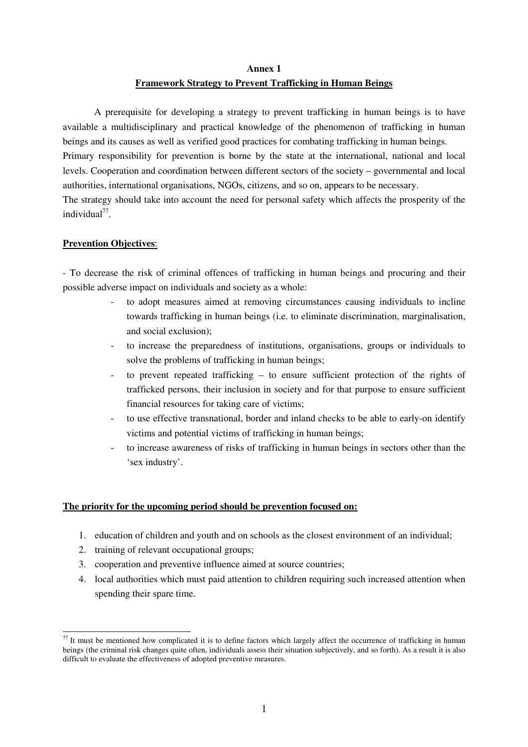# **Annex 1 Framework Strategy to Prevent Trafficking in Human Beings**

A prerequisite for developing a strategy to prevent trafficking in human beings is to have available a multidisciplinary and practical knowledge of the phenomenon of trafficking in human beings and its causes as well as verified good practices for combating trafficking in human beings.

Primary responsibility for prevention is borne by the state at the international, national and local levels. Cooperation and coordination between different sectors of the society – governmental and local authorities, international organisations, NGOs, citizens, and so on, appears to be necessary.

The strategy should take into account the need for personal safety which affects the prosperity of the individual<sup>77</sup>.

# **Prevention Objectives**:

- To decrease the risk of criminal offences of trafficking in human beings and procuring and their possible adverse impact on individuals and society as a whole:

- to adopt measures aimed at removing circumstances causing individuals to incline towards trafficking in human beings (i.e. to eliminate discrimination, marginalisation, and social exclusion);
- to increase the preparedness of institutions, organisations, groups or individuals to solve the problems of trafficking in human beings;
- to prevent repeated trafficking to ensure sufficient protection of the rights of trafficked persons, their inclusion in society and for that purpose to ensure sufficient financial resources for taking care of victims;
- to use effective transnational, border and inland checks to be able to early-on identify victims and potential victims of trafficking in human beings;
- to increase awareness of risks of trafficking in human beings in sectors other than the 'sex industry'.

### **The priority for the upcoming period should be prevention focused on:**

- 1. education of children and youth and on schools as the closest environment of an individual;
- 2. training of relevant occupational groups;
- 3. cooperation and preventive influence aimed at source countries;
- 4. local authorities which must paid attention to children requiring such increased attention when spending their spare time.

 $77$  It must be mentioned how complicated it is to define factors which largely affect the occurrence of trafficking in human beings (the criminal risk changes quite often, individuals assess their situation subjectively, and so forth). As a result it is also difficult to evaluate the effectiveness of adopted preventive measures.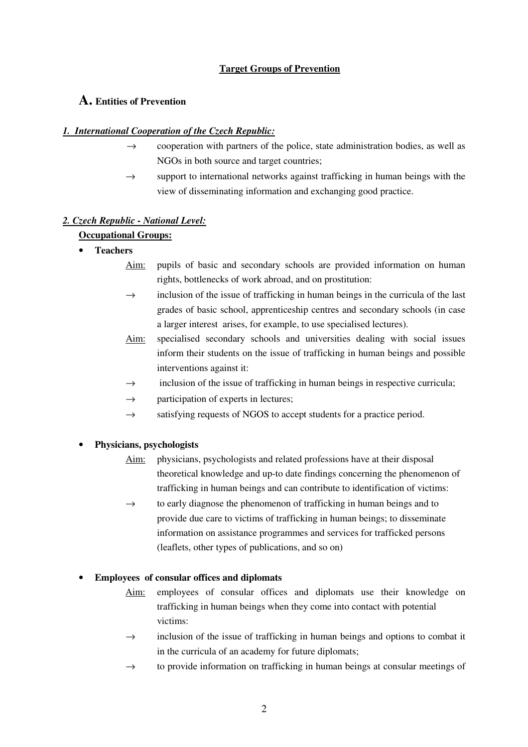### **Target Groups of Prevention**

# **A. Entities of Prevention**

### *1. International Cooperation of the Czech Republic:*

- $\rightarrow$  cooperation with partners of the police, state administration bodies, as well as NGOs in both source and target countries;
- $\rightarrow$  support to international networks against trafficking in human beings with the view of disseminating information and exchanging good practice.

### *2. Czech Republic - National Level:*

### **Occupational Groups:**

- **Teachers**
	- Aim: pupils of basic and secondary schools are provided information on human rights, bottlenecks of work abroad, and on prostitution:
	- $\rightarrow$  inclusion of the issue of trafficking in human beings in the curricula of the last grades of basic school, apprenticeship centres and secondary schools (in case a larger interest arises, for example, to use specialised lectures).
	- Aim: specialised secondary schools and universities dealing with social issues inform their students on the issue of trafficking in human beings and possible interventions against it:
	- $\rightarrow$  inclusion of the issue of trafficking in human beings in respective curricula;
	- $\rightarrow$  participation of experts in lectures;
	- $\rightarrow$  satisfying requests of NGOS to accept students for a practice period.

### • **Physicians, psychologists**

- Aim: physicians, psychologists and related professions have at their disposal theoretical knowledge and up-to date findings concerning the phenomenon of trafficking in human beings and can contribute to identification of victims:
- $\rightarrow$  to early diagnose the phenomenon of trafficking in human beings and to provide due care to victims of trafficking in human beings; to disseminate information on assistance programmes and services for trafficked persons (leaflets, other types of publications, and so on)

### • **Employees of consular offices and diplomats**

- Aim: employees of consular offices and diplomats use their knowledge on trafficking in human beings when they come into contact with potential victims:
- $\rightarrow$  inclusion of the issue of trafficking in human beings and options to combat it in the curricula of an academy for future diplomats;
- $\rightarrow$  to provide information on trafficking in human beings at consular meetings of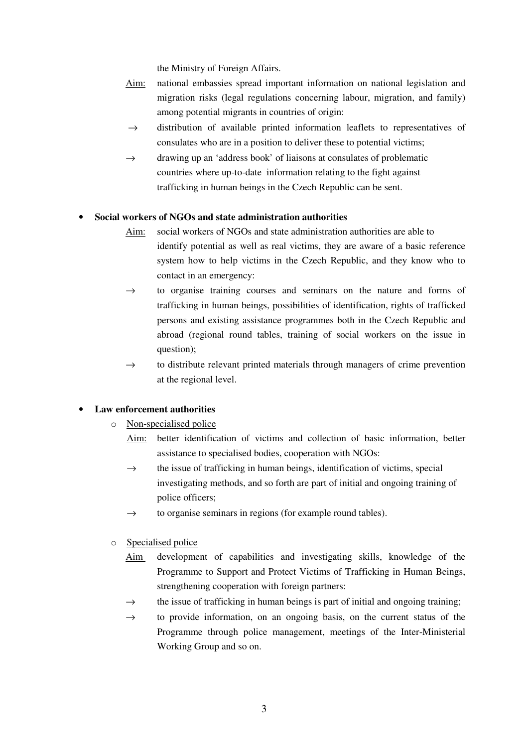the Ministry of Foreign Affairs.

- Aim: national embassies spread important information on national legislation and migration risks (legal regulations concerning labour, migration, and family) among potential migrants in countries of origin:
- $\rightarrow$  distribution of available printed information leaflets to representatives of consulates who are in a position to deliver these to potential victims;
- $\rightarrow$  drawing up an 'address book' of liaisons at consulates of problematic countries where up-to-date information relating to the fight against trafficking in human beings in the Czech Republic can be sent.

### • **Social workers of NGOs and state administration authorities**

- Aim: social workers of NGOs and state administration authorities are able to identify potential as well as real victims, they are aware of a basic reference system how to help victims in the Czech Republic, and they know who to contact in an emergency:
- $\rightarrow$  to organise training courses and seminars on the nature and forms of trafficking in human beings, possibilities of identification, rights of trafficked persons and existing assistance programmes both in the Czech Republic and abroad (regional round tables, training of social workers on the issue in question);
- $\rightarrow$  to distribute relevant printed materials through managers of crime prevention at the regional level.

### • **Law enforcement authorities**

- o Non-specialised police
	- Aim: better identification of victims and collection of basic information, better assistance to specialised bodies, cooperation with NGOs:
	- $\rightarrow$  the issue of trafficking in human beings, identification of victims, special investigating methods, and so forth are part of initial and ongoing training of police officers;
	- $\rightarrow$  to organise seminars in regions (for example round tables).
- o Specialised police
	- Aim development of capabilities and investigating skills, knowledge of the Programme to Support and Protect Victims of Trafficking in Human Beings, strengthening cooperation with foreign partners:
	- $\rightarrow$  the issue of trafficking in human beings is part of initial and ongoing training;
	- $\rightarrow$  to provide information, on an ongoing basis, on the current status of the Programme through police management, meetings of the Inter-Ministerial Working Group and so on.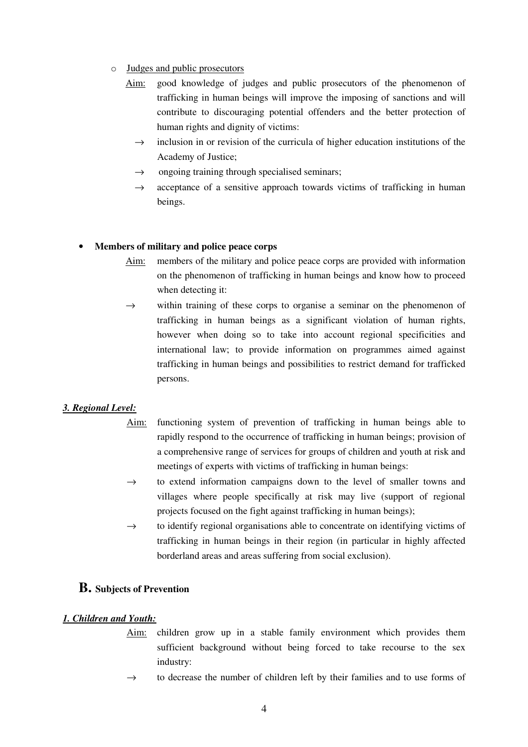- o Judges and public prosecutors
	- Aim: good knowledge of judges and public prosecutors of the phenomenon of trafficking in human beings will improve the imposing of sanctions and will contribute to discouraging potential offenders and the better protection of human rights and dignity of victims:
		- $\rightarrow$  inclusion in or revision of the curricula of higher education institutions of the Academy of Justice;
		- $\rightarrow$  ongoing training through specialised seminars;
		- $\rightarrow$  acceptance of a sensitive approach towards victims of trafficking in human beings.

# • **Members of military and police peace corps**

- Aim: members of the military and police peace corps are provided with information on the phenomenon of trafficking in human beings and know how to proceed when detecting it:
- $\rightarrow$  within training of these corps to organise a seminar on the phenomenon of trafficking in human beings as a significant violation of human rights, however when doing so to take into account regional specificities and international law; to provide information on programmes aimed against trafficking in human beings and possibilities to restrict demand for trafficked persons.

# *3. Regional Level:*

- Aim: functioning system of prevention of trafficking in human beings able to rapidly respond to the occurrence of trafficking in human beings; provision of a comprehensive range of services for groups of children and youth at risk and meetings of experts with victims of trafficking in human beings:
- $\rightarrow$  to extend information campaigns down to the level of smaller towns and villages where people specifically at risk may live (support of regional projects focused on the fight against trafficking in human beings);
- $\rightarrow$  to identify regional organisations able to concentrate on identifying victims of trafficking in human beings in their region (in particular in highly affected borderland areas and areas suffering from social exclusion).

# **B. Subjects of Prevention**

### *1. Children and Youth:*

- Aim: children grow up in a stable family environment which provides them sufficient background without being forced to take recourse to the sex industry:
- $\rightarrow$  to decrease the number of children left by their families and to use forms of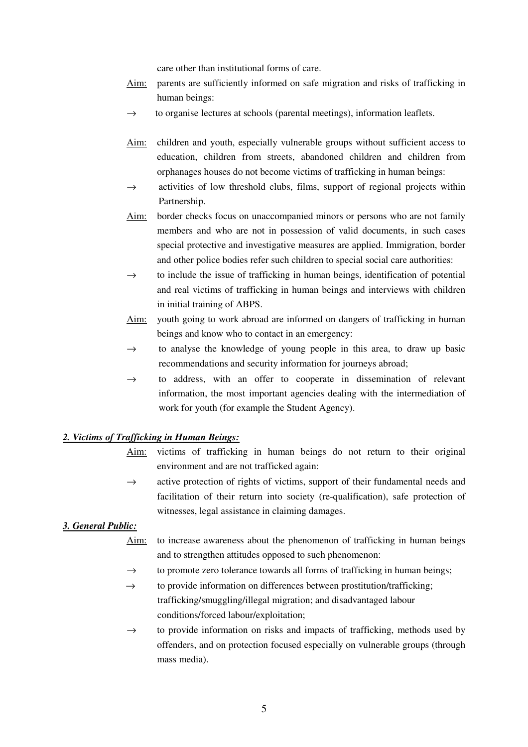care other than institutional forms of care.

- Aim: parents are sufficiently informed on safe migration and risks of trafficking in human beings:
- $\rightarrow$  to organise lectures at schools (parental meetings), information leaflets.
- Aim: children and youth, especially vulnerable groups without sufficient access to education, children from streets, abandoned children and children from orphanages houses do not become victims of trafficking in human beings:
- $\rightarrow$  activities of low threshold clubs, films, support of regional projects within Partnership.
- Aim: border checks focus on unaccompanied minors or persons who are not family members and who are not in possession of valid documents, in such cases special protective and investigative measures are applied. Immigration, border and other police bodies refer such children to special social care authorities:
- $\rightarrow$  to include the issue of trafficking in human beings, identification of potential and real victims of trafficking in human beings and interviews with children in initial training of ABPS.
- Aim: youth going to work abroad are informed on dangers of trafficking in human beings and know who to contact in an emergency:
- $\rightarrow$  to analyse the knowledge of young people in this area, to draw up basic recommendations and security information for journeys abroad;
- $\rightarrow$  to address, with an offer to cooperate in dissemination of relevant information, the most important agencies dealing with the intermediation of work for youth (for example the Student Agency).

#### *2. Victims of Trafficking in Human Beings:*

- Aim: victims of trafficking in human beings do not return to their original environment and are not trafficked again:
- $\rightarrow$  active protection of rights of victims, support of their fundamental needs and facilitation of their return into society (re-qualification), safe protection of witnesses, legal assistance in claiming damages.

### *3. General Public:*

- Aim: to increase awareness about the phenomenon of trafficking in human beings and to strengthen attitudes opposed to such phenomenon:
- $\rightarrow$  to promote zero tolerance towards all forms of trafficking in human beings;
- $\rightarrow$  to provide information on differences between prostitution/trafficking; trafficking/smuggling/illegal migration; and disadvantaged labour conditions/forced labour/exploitation;
- $\rightarrow$  to provide information on risks and impacts of trafficking, methods used by offenders, and on protection focused especially on vulnerable groups (through mass media).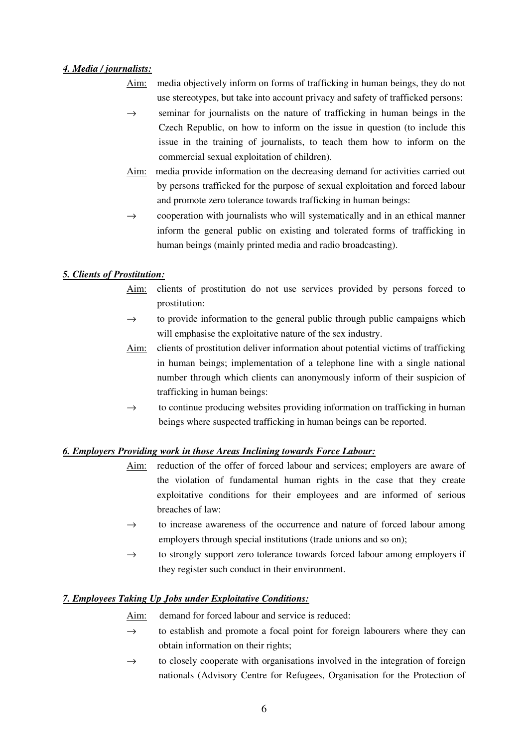### *4. Media / journalists:*

- Aim: media objectively inform on forms of trafficking in human beings, they do not use stereotypes, but take into account privacy and safety of trafficked persons:
- $\rightarrow$  seminar for journalists on the nature of trafficking in human beings in the Czech Republic, on how to inform on the issue in question (to include this issue in the training of journalists, to teach them how to inform on the commercial sexual exploitation of children).
- Aim: media provide information on the decreasing demand for activities carried out by persons trafficked for the purpose of sexual exploitation and forced labour and promote zero tolerance towards trafficking in human beings:
- $\rightarrow$  cooperation with journalists who will systematically and in an ethical manner inform the general public on existing and tolerated forms of trafficking in human beings (mainly printed media and radio broadcasting).

### *5. Clients of Prostitution:*

- Aim: clients of prostitution do not use services provided by persons forced to prostitution:
- $\rightarrow$  to provide information to the general public through public campaigns which will emphasise the exploitative nature of the sex industry.
- Aim: clients of prostitution deliver information about potential victims of trafficking in human beings; implementation of a telephone line with a single national number through which clients can anonymously inform of their suspicion of trafficking in human beings:
- $\rightarrow$  to continue producing websites providing information on trafficking in human beings where suspected trafficking in human beings can be reported.

### *6. Employers Providing work in those Areas Inclining towards Force Labour:*

- Aim: reduction of the offer of forced labour and services; employers are aware of the violation of fundamental human rights in the case that they create exploitative conditions for their employees and are informed of serious breaches of law:
- $\rightarrow$  to increase awareness of the occurrence and nature of forced labour among employers through special institutions (trade unions and so on);
- $\rightarrow$  to strongly support zero tolerance towards forced labour among employers if they register such conduct in their environment.

### *7. Employees Taking Up Jobs under Exploitative Conditions:*

Aim: demand for forced labour and service is reduced:

- $\rightarrow$  to establish and promote a focal point for foreign labourers where they can obtain information on their rights;
- $\rightarrow$  to closely cooperate with organisations involved in the integration of foreign nationals (Advisory Centre for Refugees, Organisation for the Protection of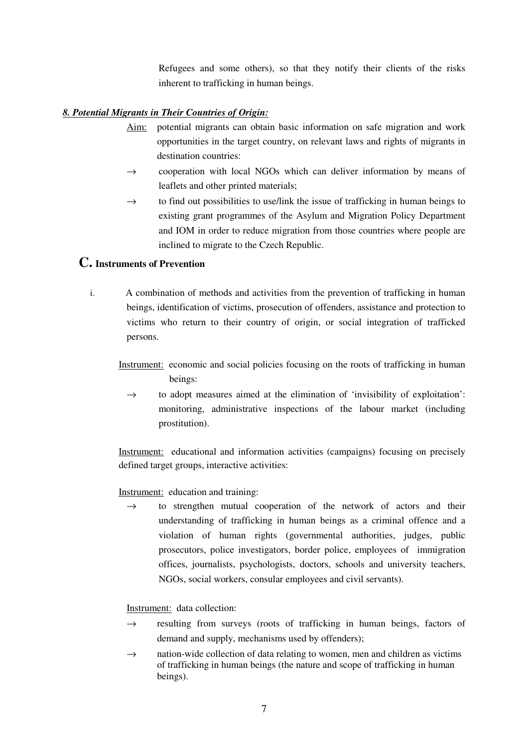Refugees and some others), so that they notify their clients of the risks inherent to trafficking in human beings.

# *8. Potential Migrants in Their Countries of Origin:*

- Aim: potential migrants can obtain basic information on safe migration and work opportunities in the target country, on relevant laws and rights of migrants in destination countries:
- $\rightarrow$  cooperation with local NGOs which can deliver information by means of leaflets and other printed materials;
- $\rightarrow$  to find out possibilities to use/link the issue of trafficking in human beings to existing grant programmes of the Asylum and Migration Policy Department and IOM in order to reduce migration from those countries where people are inclined to migrate to the Czech Republic.

# **C. Instruments of Prevention**

- i. A combination of methods and activities from the prevention of trafficking in human beings, identification of victims, prosecution of offenders, assistance and protection to victims who return to their country of origin, or social integration of trafficked persons.
	- Instrument: economic and social policies focusing on the roots of trafficking in human beings:
		- $\rightarrow$  to adopt measures aimed at the elimination of 'invisibility of exploitation': monitoring, administrative inspections of the labour market (including prostitution).

Instrument: educational and information activities (campaigns) focusing on precisely defined target groups, interactive activities:

Instrument: education and training:

 $\rightarrow$  to strengthen mutual cooperation of the network of actors and their understanding of trafficking in human beings as a criminal offence and a violation of human rights (governmental authorities, judges, public prosecutors, police investigators, border police, employees of immigration offices, journalists, psychologists, doctors, schools and university teachers, NGOs, social workers, consular employees and civil servants).

Instrument: data collection:

- $\rightarrow$  resulting from surveys (roots of trafficking in human beings, factors of demand and supply, mechanisms used by offenders);
- $\rightarrow$  nation-wide collection of data relating to women, men and children as victims of trafficking in human beings (the nature and scope of trafficking in human beings).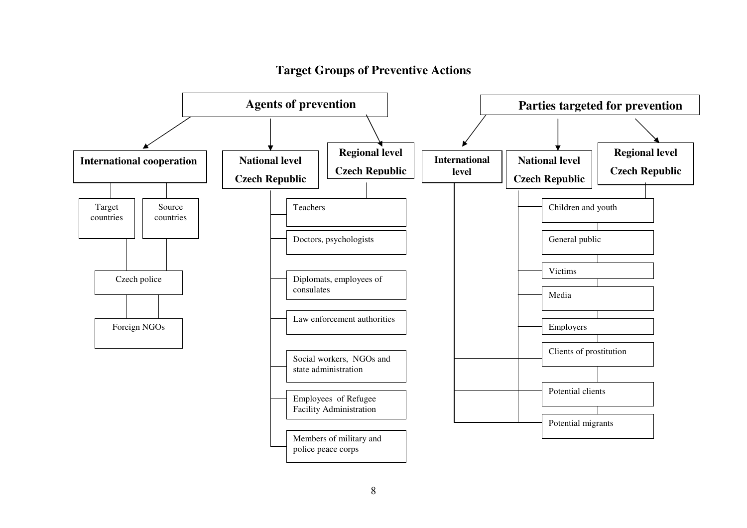

# **Target Groups of Preventive Actions**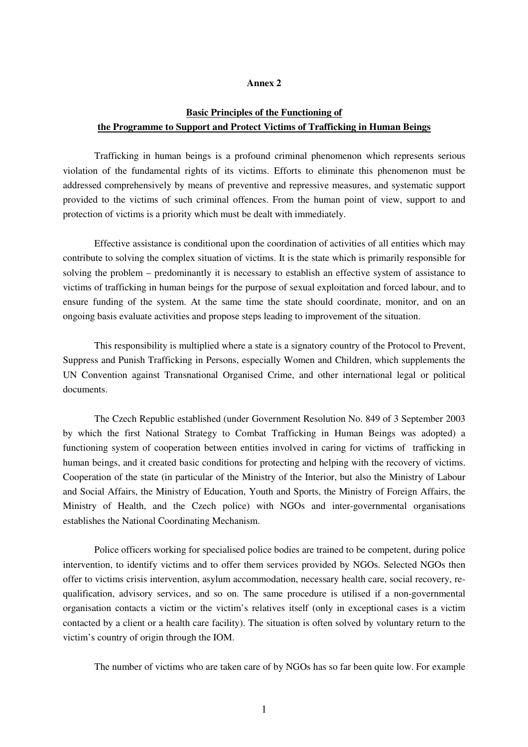#### **Annex 2**

# **Basic Principles of the Functioning of the Programme to Support and Protect Victims of Trafficking in Human Beings**

Trafficking in human beings is a profound criminal phenomenon which represents serious violation of the fundamental rights of its victims. Efforts to eliminate this phenomenon must be addressed comprehensively by means of preventive and repressive measures, and systematic support provided to the victims of such criminal offences. From the human point of view, support to and protection of victims is a priority which must be dealt with immediately.

Effective assistance is conditional upon the coordination of activities of all entities which may contribute to solving the complex situation of victims. It is the state which is primarily responsible for solving the problem – predominantly it is necessary to establish an effective system of assistance to victims of trafficking in human beings for the purpose of sexual exploitation and forced labour, and to ensure funding of the system. At the same time the state should coordinate, monitor, and on an ongoing basis evaluate activities and propose steps leading to improvement of the situation.

This responsibility is multiplied where a state is a signatory country of the Protocol to Prevent, Suppress and Punish Trafficking in Persons, especially Women and Children, which supplements the UN Convention against Transnational Organised Crime, and other international legal or political documents.

The Czech Republic established (under Government Resolution No. 849 of 3 September 2003 by which the first National Strategy to Combat Trafficking in Human Beings was adopted) a functioning system of cooperation between entities involved in caring for victims of trafficking in human beings, and it created basic conditions for protecting and helping with the recovery of victims. Cooperation of the state (in particular of the Ministry of the Interior, but also the Ministry of Labour and Social Affairs, the Ministry of Education, Youth and Sports, the Ministry of Foreign Affairs, the Ministry of Health, and the Czech police) with NGOs and inter-governmental organisations establishes the National Coordinating Mechanism.

Police officers working for specialised police bodies are trained to be competent, during police intervention, to identify victims and to offer them services provided by NGOs. Selected NGOs then offer to victims crisis intervention, asylum accommodation, necessary health care, social recovery, requalification, advisory services, and so on. The same procedure is utilised if a non-governmental organisation contacts a victim or the victim's relatives itself (only in exceptional cases is a victim contacted by a client or a health care facility). The situation is often solved by voluntary return to the victim's country of origin through the IOM.

The number of victims who are taken care of by NGOs has so far been quite low. For example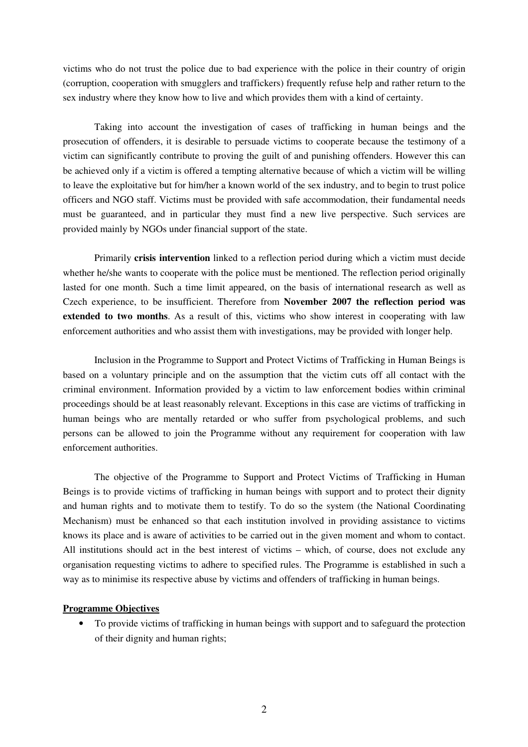victims who do not trust the police due to bad experience with the police in their country of origin (corruption, cooperation with smugglers and traffickers) frequently refuse help and rather return to the sex industry where they know how to live and which provides them with a kind of certainty.

Taking into account the investigation of cases of trafficking in human beings and the prosecution of offenders, it is desirable to persuade victims to cooperate because the testimony of a victim can significantly contribute to proving the guilt of and punishing offenders. However this can be achieved only if a victim is offered a tempting alternative because of which a victim will be willing to leave the exploitative but for him/her a known world of the sex industry, and to begin to trust police officers and NGO staff. Victims must be provided with safe accommodation, their fundamental needs must be guaranteed, and in particular they must find a new live perspective. Such services are provided mainly by NGOs under financial support of the state.

Primarily **crisis intervention** linked to a reflection period during which a victim must decide whether he/she wants to cooperate with the police must be mentioned. The reflection period originally lasted for one month. Such a time limit appeared, on the basis of international research as well as Czech experience, to be insufficient. Therefore from **November 2007 the reflection period was extended to two months**. As a result of this, victims who show interest in cooperating with law enforcement authorities and who assist them with investigations, may be provided with longer help.

Inclusion in the Programme to Support and Protect Victims of Trafficking in Human Beings is based on a voluntary principle and on the assumption that the victim cuts off all contact with the criminal environment. Information provided by a victim to law enforcement bodies within criminal proceedings should be at least reasonably relevant. Exceptions in this case are victims of trafficking in human beings who are mentally retarded or who suffer from psychological problems, and such persons can be allowed to join the Programme without any requirement for cooperation with law enforcement authorities.

The objective of the Programme to Support and Protect Victims of Trafficking in Human Beings is to provide victims of trafficking in human beings with support and to protect their dignity and human rights and to motivate them to testify. To do so the system (the National Coordinating Mechanism) must be enhanced so that each institution involved in providing assistance to victims knows its place and is aware of activities to be carried out in the given moment and whom to contact. All institutions should act in the best interest of victims – which, of course, does not exclude any organisation requesting victims to adhere to specified rules. The Programme is established in such a way as to minimise its respective abuse by victims and offenders of trafficking in human beings.

### **Programme Objectives**

• To provide victims of trafficking in human beings with support and to safeguard the protection of their dignity and human rights;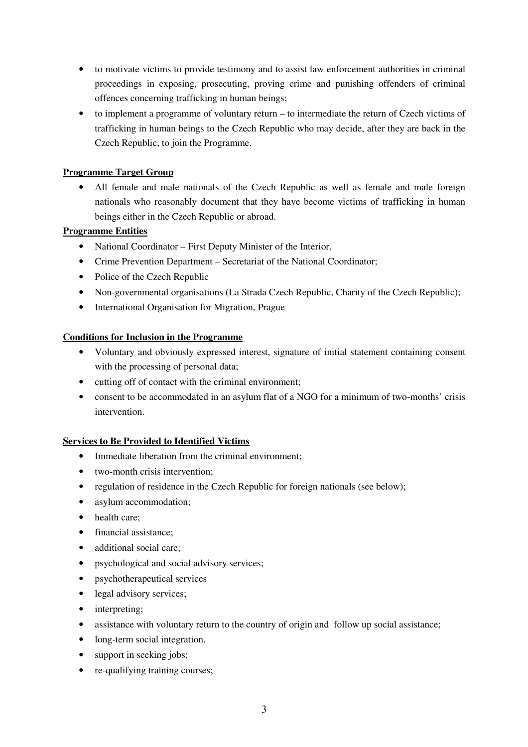- to motivate victims to provide testimony and to assist law enforcement authorities in criminal proceedings in exposing, prosecuting, proving crime and punishing offenders of criminal offences concerning trafficking in human beings;
- to implement a programme of voluntary return to intermediate the return of Czech victims of trafficking in human beings to the Czech Republic who may decide, after they are back in the Czech Republic, to join the Programme.

### **Programme Target Group**

• All female and male nationals of the Czech Republic as well as female and male foreign nationals who reasonably document that they have become victims of trafficking in human beings either in the Czech Republic or abroad.

# **Programme Entities**

- National Coordinator First Deputy Minister of the Interior,
- Crime Prevention Department Secretariat of the National Coordinator;
- Police of the Czech Republic
- Non-governmental organisations (La Strada Czech Republic, Charity of the Czech Republic);
- International Organisation for Migration, Prague

### **Conditions for Inclusion in the Programme**

- Voluntary and obviously expressed interest, signature of initial statement containing consent with the processing of personal data;
- cutting off of contact with the criminal environment;
- consent to be accommodated in an asylum flat of a NGO for a minimum of two-months' crisis intervention.

### **Services to Be Provided to Identified Victims**

- Immediate liberation from the criminal environment;
- two-month crisis intervention:
- regulation of residence in the Czech Republic for foreign nationals (see below);
- asylum accommodation;
- health care:
- financial assistance:
- additional social care;
- psychological and social advisory services;
- **psychotherapeutical services**
- legal advisory services;
- interpreting:
- assistance with voluntary return to the country of origin and follow up social assistance;
- long-term social integration.
- support in seeking jobs;
- re-qualifying training courses;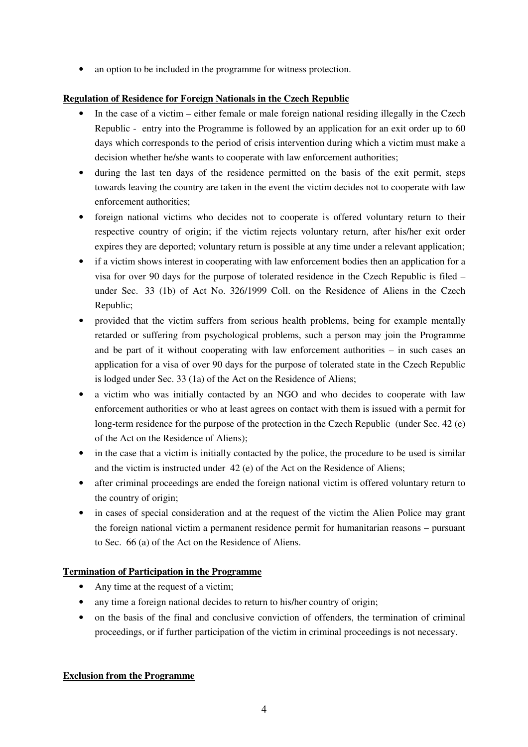• an option to be included in the programme for witness protection.

# **Regulation of Residence for Foreign Nationals in the Czech Republic**

- In the case of a victim either female or male foreign national residing illegally in the Czech Republic - entry into the Programme is followed by an application for an exit order up to 60 days which corresponds to the period of crisis intervention during which a victim must make a decision whether he/she wants to cooperate with law enforcement authorities;
- during the last ten days of the residence permitted on the basis of the exit permit, steps towards leaving the country are taken in the event the victim decides not to cooperate with law enforcement authorities;
- foreign national victims who decides not to cooperate is offered voluntary return to their respective country of origin; if the victim rejects voluntary return, after his/her exit order expires they are deported; voluntary return is possible at any time under a relevant application;
- if a victim shows interest in cooperating with law enforcement bodies then an application for a visa for over 90 days for the purpose of tolerated residence in the Czech Republic is filed – under Sec. 33 (1b) of Act No. 326/1999 Coll. on the Residence of Aliens in the Czech Republic;
- provided that the victim suffers from serious health problems, being for example mentally retarded or suffering from psychological problems, such a person may join the Programme and be part of it without cooperating with law enforcement authorities – in such cases an application for a visa of over 90 days for the purpose of tolerated state in the Czech Republic is lodged under Sec. 33 (1a) of the Act on the Residence of Aliens;
- a victim who was initially contacted by an NGO and who decides to cooperate with law enforcement authorities or who at least agrees on contact with them is issued with a permit for long-term residence for the purpose of the protection in the Czech Republic (under Sec. 42 (e) of the Act on the Residence of Aliens);
- in the case that a victim is initially contacted by the police, the procedure to be used is similar and the victim is instructed under 42 (e) of the Act on the Residence of Aliens;
- after criminal proceedings are ended the foreign national victim is offered voluntary return to the country of origin;
- in cases of special consideration and at the request of the victim the Alien Police may grant the foreign national victim a permanent residence permit for humanitarian reasons – pursuant to Sec. 66 (a) of the Act on the Residence of Aliens.

### **Termination of Participation in the Programme**

- Any time at the request of a victim;
- any time a foreign national decides to return to his/her country of origin;
- on the basis of the final and conclusive conviction of offenders, the termination of criminal proceedings, or if further participation of the victim in criminal proceedings is not necessary.

### **Exclusion from the Programme**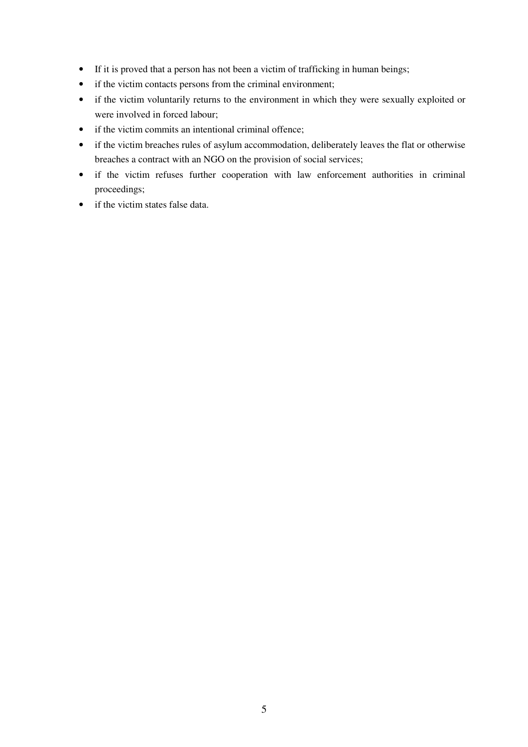- If it is proved that a person has not been a victim of trafficking in human beings;
- if the victim contacts persons from the criminal environment;
- if the victim voluntarily returns to the environment in which they were sexually exploited or were involved in forced labour;
- if the victim commits an intentional criminal offence;
- if the victim breaches rules of asylum accommodation, deliberately leaves the flat or otherwise breaches a contract with an NGO on the provision of social services;
- if the victim refuses further cooperation with law enforcement authorities in criminal proceedings;
- if the victim states false data.